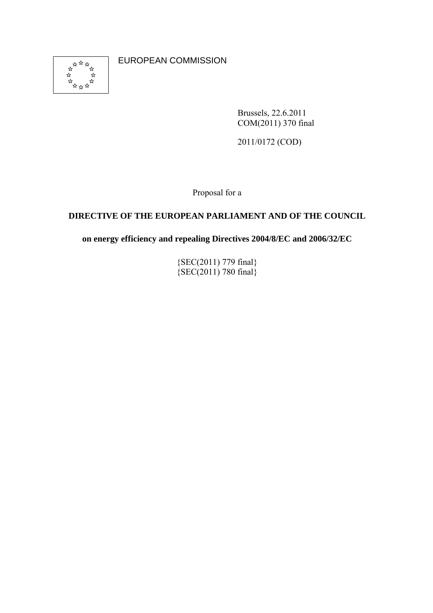

EUROPEAN COMMISSION

Brussels, 22.6.2011 COM(2011) 370 final

2011/0172 (COD)

Proposal for a

# **DIRECTIVE OF THE EUROPEAN PARLIAMENT AND OF THE COUNCIL**

**on energy efficiency and repealing Directives 2004/8/EC and 2006/32/EC** 

{SEC(2011) 779 final}  $\{SEC(2011)$  780 final $\}$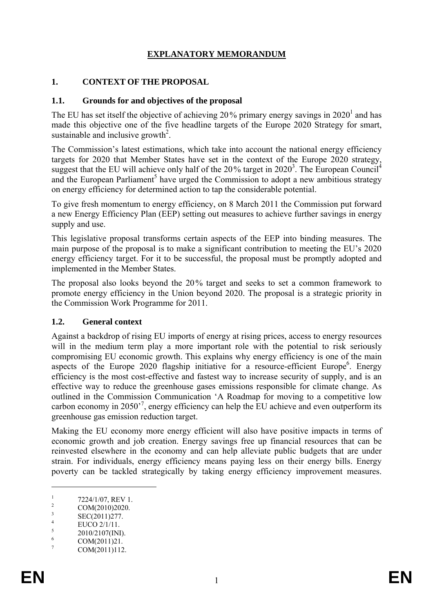# **EXPLANATORY MEMORANDUM**

#### **1. CONTEXT OF THE PROPOSAL**

#### **1.1. Grounds for and objectives of the proposal**

The EU has set itself the objective of achieving 20% primary energy savings in  $2020<sup>1</sup>$  and has made this objective one of the five headline targets of the Europe 2020 Strategy for smart, sustainable and inclusive growth<sup>2</sup>.

The Commission's latest estimations, which take into account the national energy efficiency targets for 2020 that Member States have set in the context of the Europe 2020 strategy, suggest that the EU will achieve only half of the  $20\%$  target in  $2020<sup>3</sup>$ . The European Council<sup>4</sup> and the European Parliament<sup>5</sup> have urged the Commission to adopt a new ambitious strategy on energy efficiency for determined action to tap the considerable potential.

To give fresh momentum to energy efficiency, on 8 March 2011 the Commission put forward a new Energy Efficiency Plan (EEP) setting out measures to achieve further savings in energy supply and use.

This legislative proposal transforms certain aspects of the EEP into binding measures. The main purpose of the proposal is to make a significant contribution to meeting the EU's 2020 energy efficiency target. For it to be successful, the proposal must be promptly adopted and implemented in the Member States.

The proposal also looks beyond the 20% target and seeks to set a common framework to promote energy efficiency in the Union beyond 2020. The proposal is a strategic priority in the Commission Work Programme for 2011.

#### **1.2. General context**

Against a backdrop of rising EU imports of energy at rising prices, access to energy resources will in the medium term play a more important role with the potential to risk seriously compromising EU economic growth. This explains why energy efficiency is one of the main aspects of the Europe 2020 flagship initiative for a resource-efficient Europe<sup>6</sup>. Energy efficiency is the most cost-effective and fastest way to increase security of supply, and is an effective way to reduce the greenhouse gases emissions responsible for climate change. As outlined in the Commission Communication 'A Roadmap for moving to a competitive low carbon economy in 2050'<sup>7</sup> , energy efficiency can help the EU achieve and even outperform its greenhouse gas emission reduction target.

Making the EU economy more energy efficient will also have positive impacts in terms of economic growth and job creation. Energy savings free up financial resources that can be reinvested elsewhere in the economy and can help alleviate public budgets that are under strain. For individuals, energy efficiency means paying less on their energy bills. Energy poverty can be tackled strategically by taking energy efficiency improvement measures.

<sup>1</sup> 7224/1/07, REV 1. 2

COM(2010)2020. 3

SEC(2011)277. 4

EUCO 2/1/11.

<sup>5</sup> [2010/2107\(INI\).](http://www.europarl.europa.eu/oeil/FindByProcnum.do?lang=en&procnum=INI/2010/2107)  6

COM(2011)21.

<sup>7</sup> COM(2011)112.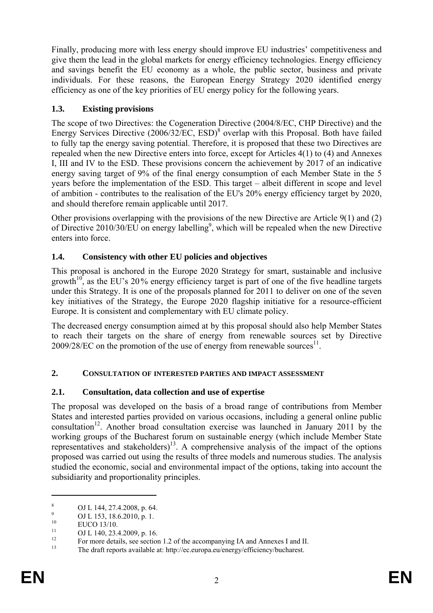Finally, producing more with less energy should improve EU industries' competitiveness and give them the lead in the global markets for energy efficiency technologies. Energy efficiency and savings benefit the EU economy as a whole, the public sector, business and private individuals. For these reasons, the European Energy Strategy 2020 identified energy efficiency as one of the key priorities of EU energy policy for the following years.

## **1.3. Existing provisions**

The scope of two Directives: the Cogeneration Directive (2004/8/EC, CHP Directive) and the Energy Services Directive (2006/32/EC, ESD)<sup>8</sup> overlap with this Proposal. Both have failed to fully tap the energy saving potential. Therefore, it is proposed that these two Directives are repealed when the new Directive enters into force, except for Articles 4(1) to (4) and Annexes I, III and IV to the ESD. These provisions concern the achievement by 2017 of an indicative energy saving target of 9% of the final energy consumption of each Member State in the 5 years before the implementation of the ESD. This target – albeit different in scope and level of ambition - contributes to the realisation of the EU's 20% energy efficiency target by 2020, and should therefore remain applicable until 2017.

Other provisions overlapping with the provisions of the new Directive are Article 9(1) and (2) of Directive 2010/30/EU on energy labelling<sup>9</sup>, which will be repealed when the new Directive enters into force.

# **1.4. Consistency with other EU policies and objectives**

This proposal is anchored in the Europe 2020 Strategy for smart, sustainable and inclusive growth<sup>10</sup>, as the EU's 20% energy efficiency target is part of one of the five headline targets under this Strategy. It is one of the proposals planned for 2011 to deliver on one of the seven key initiatives of the Strategy, the Europe 2020 flagship initiative for a resource-efficient Europe. It is consistent and complementary with EU climate policy.

The decreased energy consumption aimed at by this proposal should also help Member States to reach their targets on the share of energy from renewable sources set by Directive  $2009/28/EC$  on the promotion of the use of energy from renewable sources<sup>11</sup>.

# **2. CONSULTATION OF INTERESTED PARTIES AND IMPACT ASSESSMENT**

# **2.1. Consultation, data collection and use of expertise**

The proposal was developed on the basis of a broad range of contributions from Member States and interested parties provided on various occasions, including a general online public consultation<sup>12</sup>. Another broad consultation exercise was launched in January 2011 by the working groups of the Bucharest forum on sustainable energy (which include Member State representatives and stakeholders)<sup>13</sup>. A comprehensive analysis of the impact of the options proposed was carried out using the results of three models and numerous studies. The analysis studied the economic, social and environmental impact of the options, taking into account the subsidiarity and proportionality principles.

<sup>8</sup> OJ L 144, 27.4.2008, p. 64.

<sup>9</sup>  $^{9}$  OJ L 153, 18.6.2010, p. 1.

 $10$  EUCO 13/10.

 $11$  OJ L 140, 23.4.2009, p. 16.

<sup>&</sup>lt;sup>12</sup> For more details, see section 1.2 of the accompanying IA and Annexes I and II.<br><sup>13</sup> The dreft reports available at http://so. surges av/aparay/officianay/bushaped.

The draft reports available at: http://ec.europa.eu/energy/efficiency/bucharest.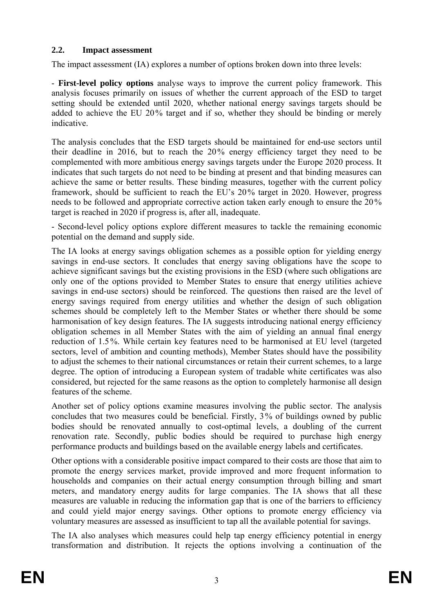## **2.2. Impact assessment**

The impact assessment (IA) explores a number of options broken down into three levels:

- **First-level policy options** analyse ways to improve the current policy framework. This analysis focuses primarily on issues of whether the current approach of the ESD to target setting should be extended until 2020, whether national energy savings targets should be added to achieve the EU 20% target and if so, whether they should be binding or merely indicative.

The analysis concludes that the ESD targets should be maintained for end-use sectors until their deadline in 2016, but to reach the 20% energy efficiency target they need to be complemented with more ambitious energy savings targets under the Europe 2020 process. It indicates that such targets do not need to be binding at present and that binding measures can achieve the same or better results. These binding measures, together with the current policy framework, should be sufficient to reach the EU's 20% target in 2020. However, progress needs to be followed and appropriate corrective action taken early enough to ensure the 20% target is reached in 2020 if progress is, after all, inadequate.

- Second-level policy options explore different measures to tackle the remaining economic potential on the demand and supply side.

The IA looks at energy savings obligation schemes as a possible option for yielding energy savings in end-use sectors. It concludes that energy saving obligations have the scope to achieve significant savings but the existing provisions in the ESD (where such obligations are only one of the options provided to Member States to ensure that energy utilities achieve savings in end-use sectors) should be reinforced. The questions then raised are the level of energy savings required from energy utilities and whether the design of such obligation schemes should be completely left to the Member States or whether there should be some harmonisation of key design features. The IA suggests introducing national energy efficiency obligation schemes in all Member States with the aim of yielding an annual final energy reduction of 1.5%. While certain key features need to be harmonised at EU level (targeted sectors, level of ambition and counting methods), Member States should have the possibility to adjust the schemes to their national circumstances or retain their current schemes, to a large degree. The option of introducing a European system of tradable white certificates was also considered, but rejected for the same reasons as the option to completely harmonise all design features of the scheme.

Another set of policy options examine measures involving the public sector. The analysis concludes that two measures could be beneficial. Firstly, 3% of buildings owned by public bodies should be renovated annually to cost-optimal levels, a doubling of the current renovation rate. Secondly, public bodies should be required to purchase high energy performance products and buildings based on the available energy labels and certificates.

Other options with a considerable positive impact compared to their costs are those that aim to promote the energy services market, provide improved and more frequent information to households and companies on their actual energy consumption through billing and smart meters, and mandatory energy audits for large companies. The IA shows that all these measures are valuable in reducing the information gap that is one of the barriers to efficiency and could yield major energy savings. Other options to promote energy efficiency via voluntary measures are assessed as insufficient to tap all the available potential for savings.

The IA also analyses which measures could help tap energy efficiency potential in energy transformation and distribution. It rejects the options involving a continuation of the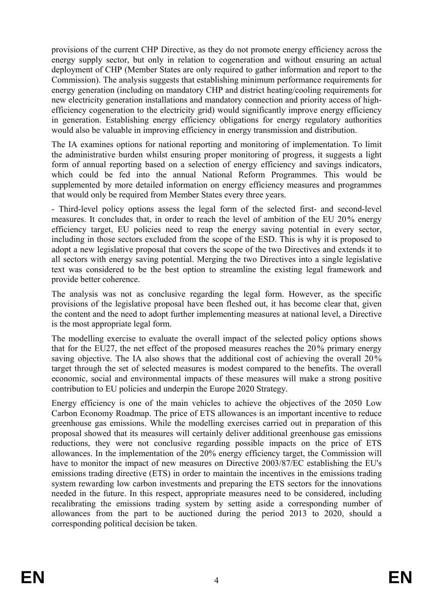provisions of the current CHP Directive, as they do not promote energy efficiency across the energy supply sector, but only in relation to cogeneration and without ensuring an actual deployment of CHP (Member States are only required to gather information and report to the Commission). The analysis suggests that establishing minimum performance requirements for energy generation (including on mandatory CHP and district heating/cooling requirements for new electricity generation installations and mandatory connection and priority access of highefficiency cogeneration to the electricity grid) would significantly improve energy efficiency in generation. Establishing energy efficiency obligations for energy regulatory authorities would also be valuable in improving efficiency in energy transmission and distribution.

The IA examines options for national reporting and monitoring of implementation. To limit the administrative burden whilst ensuring proper monitoring of progress, it suggests a light form of annual reporting based on a selection of energy efficiency and savings indicators, which could be fed into the annual National Reform Programmes. This would be supplemented by more detailed information on energy efficiency measures and programmes that would only be required from Member States every three years.

- Third-level policy options assess the legal form of the selected first- and second-level measures. It concludes that, in order to reach the level of ambition of the EU 20% energy efficiency target, EU policies need to reap the energy saving potential in every sector, including in those sectors excluded from the scope of the ESD. This is why it is proposed to adopt a new legislative proposal that covers the scope of the two Directives and extends it to all sectors with energy saving potential. Merging the two Directives into a single legislative text was considered to be the best option to streamline the existing legal framework and provide better coherence.

The analysis was not as conclusive regarding the legal form. However, as the specific provisions of the legislative proposal have been fleshed out, it has become clear that, given the content and the need to adopt further implementing measures at national level, a Directive is the most appropriate legal form.

The modelling exercise to evaluate the overall impact of the selected policy options shows that for the EU27, the net effect of the proposed measures reaches the 20% primary energy saving objective. The IA also shows that the additional cost of achieving the overall 20% target through the set of selected measures is modest compared to the benefits. The overall economic, social and environmental impacts of these measures will make a strong positive contribution to EU policies and underpin the Europe 2020 Strategy.

Energy efficiency is one of the main vehicles to achieve the objectives of the 2050 Low Carbon Economy Roadmap. The price of ETS allowances is an important incentive to reduce greenhouse gas emissions. While the modelling exercises carried out in preparation of this proposal showed that its measures will certainly deliver additional greenhouse gas emissions reductions, they were not conclusive regarding possible impacts on the price of ETS allowances. In the implementation of the 20% energy efficiency target, the Commission will have to monitor the impact of new measures on Directive 2003/87/EC establishing the EU's emissions trading directive (ETS) in order to maintain the incentives in the emissions trading system rewarding low carbon investments and preparing the ETS sectors for the innovations needed in the future. In this respect, appropriate measures need to be considered, including recalibrating the emissions trading system by setting aside a corresponding number of allowances from the part to be auctioned during the period 2013 to 2020, should a corresponding political decision be taken.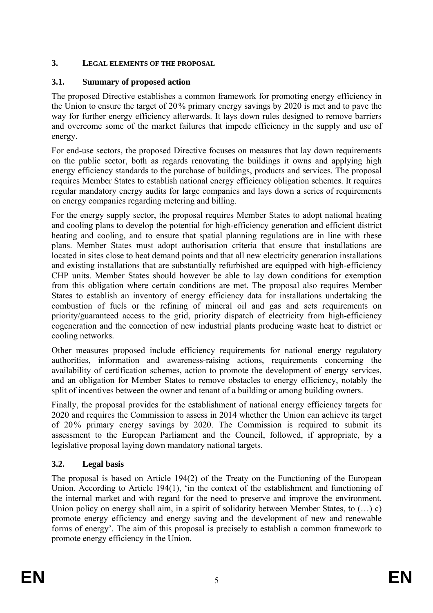# **3. LEGAL ELEMENTS OF THE PROPOSAL**

## **3.1. Summary of proposed action**

The proposed Directive establishes a common framework for promoting energy efficiency in the Union to ensure the target of 20% primary energy savings by 2020 is met and to pave the way for further energy efficiency afterwards. It lays down rules designed to remove barriers and overcome some of the market failures that impede efficiency in the supply and use of energy.

For end-use sectors, the proposed Directive focuses on measures that lay down requirements on the public sector, both as regards renovating the buildings it owns and applying high energy efficiency standards to the purchase of buildings, products and services. The proposal requires Member States to establish national energy efficiency obligation schemes. It requires regular mandatory energy audits for large companies and lays down a series of requirements on energy companies regarding metering and billing.

For the energy supply sector, the proposal requires Member States to adopt national heating and cooling plans to develop the potential for high-efficiency generation and efficient district heating and cooling, and to ensure that spatial planning regulations are in line with these plans. Member States must adopt authorisation criteria that ensure that installations are located in sites close to heat demand points and that all new electricity generation installations and existing installations that are substantially refurbished are equipped with high-efficiency CHP units. Member States should however be able to lay down conditions for exemption from this obligation where certain conditions are met. The proposal also requires Member States to establish an inventory of energy efficiency data for installations undertaking the combustion of fuels or the refining of mineral oil and gas and sets requirements on priority/guaranteed access to the grid, priority dispatch of electricity from high-efficiency cogeneration and the connection of new industrial plants producing waste heat to district or cooling networks.

Other measures proposed include efficiency requirements for national energy regulatory authorities, information and awareness-raising actions, requirements concerning the availability of certification schemes, action to promote the development of energy services, and an obligation for Member States to remove obstacles to energy efficiency, notably the split of incentives between the owner and tenant of a building or among building owners.

Finally, the proposal provides for the establishment of national energy efficiency targets for 2020 and requires the Commission to assess in 2014 whether the Union can achieve its target of 20% primary energy savings by 2020. The Commission is required to submit its assessment to the European Parliament and the Council, followed, if appropriate, by a legislative proposal laying down mandatory national targets.

# **3.2. Legal basis**

The proposal is based on Article 194(2) of the Treaty on the Functioning of the European Union. According to Article 194(1), 'in the context of the establishment and functioning of the internal market and with regard for the need to preserve and improve the environment, Union policy on energy shall aim, in a spirit of solidarity between Member States, to (…) c) promote energy efficiency and energy saving and the development of new and renewable forms of energy'. The aim of this proposal is precisely to establish a common framework to promote energy efficiency in the Union.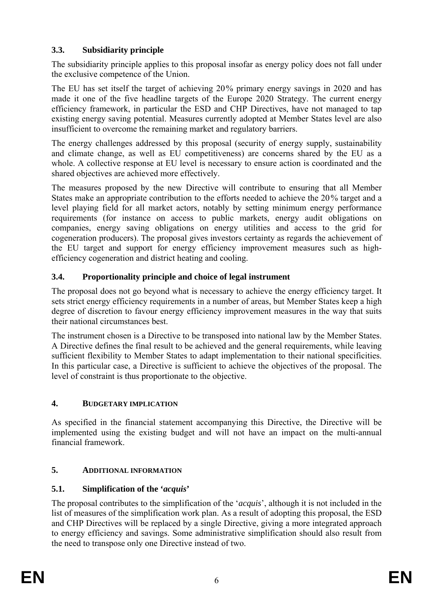# **3.3. Subsidiarity principle**

The subsidiarity principle applies to this proposal insofar as energy policy does not fall under the exclusive competence of the Union.

The EU has set itself the target of achieving 20% primary energy savings in 2020 and has made it one of the five headline targets of the Europe 2020 Strategy. The current energy efficiency framework, in particular the ESD and CHP Directives, have not managed to tap existing energy saving potential. Measures currently adopted at Member States level are also insufficient to overcome the remaining market and regulatory barriers.

The energy challenges addressed by this proposal (security of energy supply, sustainability and climate change, as well as EU competitiveness) are concerns shared by the EU as a whole. A collective response at EU level is necessary to ensure action is coordinated and the shared objectives are achieved more effectively.

The measures proposed by the new Directive will contribute to ensuring that all Member States make an appropriate contribution to the efforts needed to achieve the 20% target and a level playing field for all market actors, notably by setting minimum energy performance requirements (for instance on access to public markets, energy audit obligations on companies, energy saving obligations on energy utilities and access to the grid for cogeneration producers). The proposal gives investors certainty as regards the achievement of the EU target and support for energy efficiency improvement measures such as highefficiency cogeneration and district heating and cooling.

# **3.4. Proportionality principle and choice of legal instrument**

The proposal does not go beyond what is necessary to achieve the energy efficiency target. It sets strict energy efficiency requirements in a number of areas, but Member States keep a high degree of discretion to favour energy efficiency improvement measures in the way that suits their national circumstances best.

The instrument chosen is a Directive to be transposed into national law by the Member States. A Directive defines the final result to be achieved and the general requirements, while leaving sufficient flexibility to Member States to adapt implementation to their national specificities. In this particular case, a Directive is sufficient to achieve the objectives of the proposal. The level of constraint is thus proportionate to the objective.

# **4. BUDGETARY IMPLICATION**

As specified in the financial statement accompanying this Directive, the Directive will be implemented using the existing budget and will not have an impact on the multi-annual financial framework.

# **5. ADDITIONAL INFORMATION**

# **5.1. Simplification of the '***acquis***'**

The proposal contributes to the simplification of the '*acquis*', although it is not included in the list of measures of the simplification work plan. As a result of adopting this proposal, the ESD and CHP Directives will be replaced by a single Directive, giving a more integrated approach to energy efficiency and savings. Some administrative simplification should also result from the need to transpose only one Directive instead of two.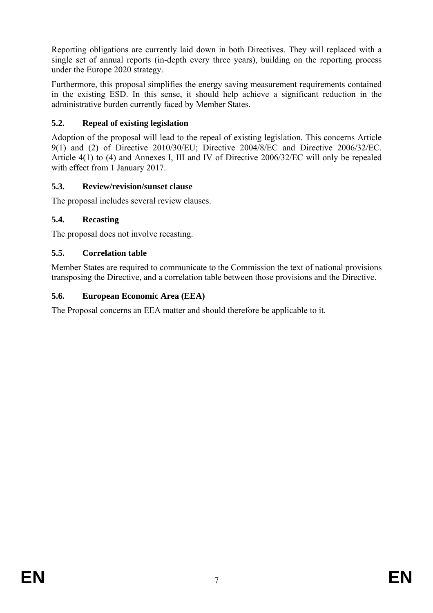Reporting obligations are currently laid down in both Directives. They will replaced with a single set of annual reports (in-depth every three years), building on the reporting process under the Europe 2020 strategy.

Furthermore, this proposal simplifies the energy saving measurement requirements contained in the existing ESD. In this sense, it should help achieve a significant reduction in the administrative burden currently faced by Member States.

# **5.2. Repeal of existing legislation**

Adoption of the proposal will lead to the repeal of existing legislation. This concerns Article 9(1) and (2) of Directive 2010/30/EU; Directive 2004/8/EC and Directive 2006/32/EC. Article 4(1) to (4) and Annexes I, III and IV of Directive 2006/32/EC will only be repealed with effect from 1 January 2017.

## **5.3. Review/revision/sunset clause**

The proposal includes several review clauses.

## **5.4. Recasting**

The proposal does not involve recasting.

## **5.5. Correlation table**

Member States are required to communicate to the Commission the text of national provisions transposing the Directive, and a correlation table between those provisions and the Directive.

## **5.6. European Economic Area (EEA)**

The Proposal concerns an EEA matter and should therefore be applicable to it.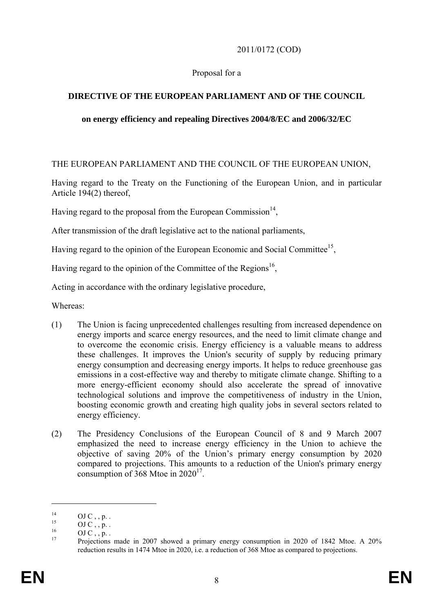## 2011/0172 (COD)

## Proposal for a

# **DIRECTIVE OF THE EUROPEAN PARLIAMENT AND OF THE COUNCIL**

## **on energy efficiency and repealing Directives 2004/8/EC and 2006/32/EC**

THE EUROPEAN PARLIAMENT AND THE COUNCIL OF THE EUROPEAN UNION,

Having regard to the Treaty on the Functioning of the European Union, and in particular Article 194(2) thereof,

Having regard to the proposal from the European Commission<sup>14</sup>,

After transmission of the draft legislative act to the national parliaments,

Having regard to the opinion of the European Economic and Social Committee<sup>15</sup>,

Having regard to the opinion of the Committee of the Regions<sup>16</sup>,

Acting in accordance with the ordinary legislative procedure,

Whereas:

- (1) The Union is facing unprecedented challenges resulting from increased dependence on energy imports and scarce energy resources, and the need to limit climate change and to overcome the economic crisis. Energy efficiency is a valuable means to address these challenges. It improves the Union's security of supply by reducing primary energy consumption and decreasing energy imports. It helps to reduce greenhouse gas emissions in a cost-effective way and thereby to mitigate climate change. Shifting to a more energy-efficient economy should also accelerate the spread of innovative technological solutions and improve the competitiveness of industry in the Union, boosting economic growth and creating high quality jobs in several sectors related to energy efficiency.
- (2) The Presidency Conclusions of the European Council of 8 and 9 March 2007 emphasized the need to increase energy efficiency in the Union to achieve the objective of saving 20% of the Union's primary energy consumption by 2020 compared to projections. This amounts to a reduction of the Union's primary energy consumption of 368 Mtoe in  $2020^{17}$ .

<u>.</u>

 $^{14}_{15}$  OJ C, , p. .

 $^{15}$  OJ C , , p. .

 $\frac{16}{17}$  OJ C, , p. .

<sup>17</sup> Projections made in 2007 showed a primary energy consumption in 2020 of 1842 Mtoe. A 20% reduction results in 1474 Mtoe in 2020, i.e. a reduction of 368 Mtoe as compared to projections.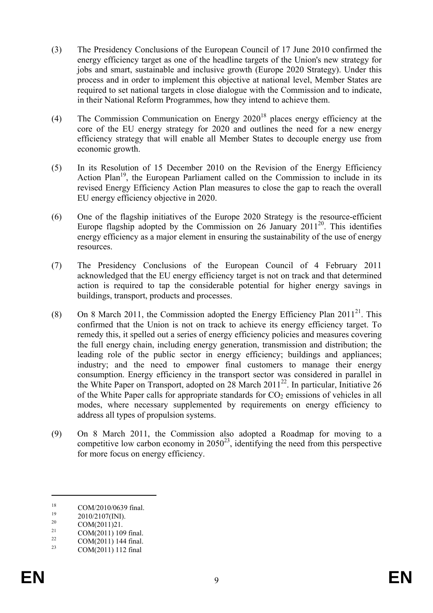- (3) The Presidency Conclusions of the European Council of 17 June 2010 confirmed the energy efficiency target as one of the headline targets of the Union's new strategy for jobs and smart, sustainable and inclusive growth (Europe 2020 Strategy). Under this process and in order to implement this objective at national level, Member States are required to set national targets in close dialogue with the Commission and to indicate, in their National Reform Programmes, how they intend to achieve them.
- (4) The Commission Communication on Energy  $2020^{18}$  places energy efficiency at the core of the EU energy strategy for 2020 and outlines the need for a new energy efficiency strategy that will enable all Member States to decouple energy use from economic growth.
- (5) In its Resolution of 15 December 2010 on the Revision of the Energy Efficiency Action Plan<sup>19</sup>, the European Parliament called on the Commission to include in its revised Energy Efficiency Action Plan measures to close the gap to reach the overall EU energy efficiency objective in 2020.
- (6) One of the flagship initiatives of the Europe 2020 Strategy is the resource-efficient Europe flagship adopted by the Commission on 26 January 2011<sup>20</sup>. This identifies energy efficiency as a major element in ensuring the sustainability of the use of energy resources.
- (7) The Presidency Conclusions of the European Council of 4 February 2011 acknowledged that the EU energy efficiency target is not on track and that determined action is required to tap the considerable potential for higher energy savings in buildings, transport, products and processes.
- (8) On 8 March 2011, the Commission adopted the Energy Efficiency Plan  $2011^{21}$ . This confirmed that the Union is not on track to achieve its energy efficiency target. To remedy this, it spelled out a series of energy efficiency policies and measures covering the full energy chain, including energy generation, transmission and distribution; the leading role of the public sector in energy efficiency; buildings and appliances; industry; and the need to empower final customers to manage their energy consumption. Energy efficiency in the transport sector was considered in parallel in the White Paper on Transport, adopted on 28 March 201122. In particular, Initiative 26 of the White Paper calls for appropriate standards for  $CO<sub>2</sub>$  emissions of vehicles in all modes, where necessary supplemented by requirements on energy efficiency to address all types of propulsion systems.
- (9) On 8 March 2011, the Commission also adopted a Roadmap for moving to a competitive low carbon economy in  $2050<sup>23</sup>$ , identifying the need from this perspective for more focus on energy efficiency.

 $^{18}$  COM/2010/0639 final.

 $^{19}$  2010/2107(INI).<br>  $^{20}$  COM(2011)21

 $\frac{20}{21}$  COM(2011)21.

 $21 \qquad \qquad \text{COM}(2011) \; 109 \; \text{final.}$ 

 $\frac{22}{23}$  COM(2011) 144 final.

COM(2011) 112 final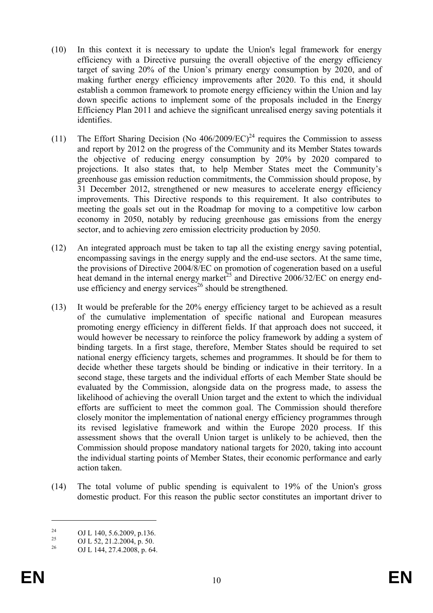- (10) In this context it is necessary to update the Union's legal framework for energy efficiency with a Directive pursuing the overall objective of the energy efficiency target of saving 20% of the Union's primary energy consumption by 2020, and of making further energy efficiency improvements after 2020. To this end, it should establish a common framework to promote energy efficiency within the Union and lay down specific actions to implement some of the proposals included in the Energy Efficiency Plan 2011 and achieve the significant unrealised energy saving potentials it identifies.
- (11) The Effort Sharing Decision (No  $406/2009/EC$ )<sup>24</sup> requires the Commission to assess and report by 2012 on the progress of the Community and its Member States towards the objective of reducing energy consumption by 20% by 2020 compared to projections. It also states that, to help Member States meet the Community's greenhouse gas emission reduction commitments, the Commission should propose, by 31 December 2012, strengthened or new measures to accelerate energy efficiency improvements. This Directive responds to this requirement. It also contributes to meeting the goals set out in the Roadmap for moving to a competitive low carbon economy in 2050, notably by reducing greenhouse gas emissions from the energy sector, and to achieving zero emission electricity production by 2050.
- (12) An integrated approach must be taken to tap all the existing energy saving potential, encompassing savings in the energy supply and the end-use sectors. At the same time, the provisions of Directive 2004/8/EC on promotion of cogeneration based on a useful heat demand in the internal energy market<sup>25</sup> and Directive 2006/32/EC on energy enduse efficiency and energy services<sup>26</sup> should be strengthened.
- (13) It would be preferable for the 20% energy efficiency target to be achieved as a result of the cumulative implementation of specific national and European measures promoting energy efficiency in different fields. If that approach does not succeed, it would however be necessary to reinforce the policy framework by adding a system of binding targets. In a first stage, therefore, Member States should be required to set national energy efficiency targets, schemes and programmes. It should be for them to decide whether these targets should be binding or indicative in their territory. In a second stage, these targets and the individual efforts of each Member State should be evaluated by the Commission, alongside data on the progress made, to assess the likelihood of achieving the overall Union target and the extent to which the individual efforts are sufficient to meet the common goal. The Commission should therefore closely monitor the implementation of national energy efficiency programmes through its revised legislative framework and within the Europe 2020 process. If this assessment shows that the overall Union target is unlikely to be achieved, then the Commission should propose mandatory national targets for 2020, taking into account the individual starting points of Member States, their economic performance and early action taken.
- (14) The total volume of public spending is equivalent to 19% of the Union's gross domestic product. For this reason the public sector constitutes an important driver to

<sup>&</sup>lt;sup>24</sup> OJ L 140, 5.6.2009, p.136.<br><sup>25</sup> OJ L 52, 21, 2, 2004, p.50.

<sup>&</sup>lt;sup>25</sup> OJ L 52, 21.2.2004, p. 50.<br><sup>26</sup> OJ L 144, 27, 4.2009, p. 64.

<sup>26</sup> OJ L 144, 27.4.2008, p. 64.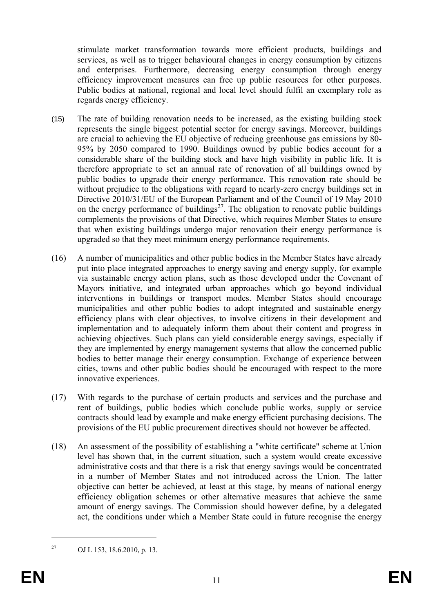stimulate market transformation towards more efficient products, buildings and services, as well as to trigger behavioural changes in energy consumption by citizens and enterprises. Furthermore, decreasing energy consumption through energy efficiency improvement measures can free up public resources for other purposes. Public bodies at national, regional and local level should fulfil an exemplary role as regards energy efficiency.

- (15) The rate of building renovation needs to be increased, as the existing building stock represents the single biggest potential sector for energy savings. Moreover, buildings are crucial to achieving the EU objective of reducing greenhouse gas emissions by 80- 95% by 2050 compared to 1990. Buildings owned by public bodies account for a considerable share of the building stock and have high visibility in public life. It is therefore appropriate to set an annual rate of renovation of all buildings owned by public bodies to upgrade their energy performance. This renovation rate should be without prejudice to the obligations with regard to nearly-zero energy buildings set in Directive 2010/31/EU of the European Parliament and of the Council of 19 May 2010 on the energy performance of buildings<sup>27</sup>. The obligation to renovate public buildings complements the provisions of that Directive, which requires Member States to ensure that when existing buildings undergo major renovation their energy performance is upgraded so that they meet minimum energy performance requirements.
- (16) A number of municipalities and other public bodies in the Member States have already put into place integrated approaches to energy saving and energy supply, for example via sustainable energy action plans, such as those developed under the Covenant of Mayors initiative, and integrated urban approaches which go beyond individual interventions in buildings or transport modes. Member States should encourage municipalities and other public bodies to adopt integrated and sustainable energy efficiency plans with clear objectives, to involve citizens in their development and implementation and to adequately inform them about their content and progress in achieving objectives. Such plans can yield considerable energy savings, especially if they are implemented by energy management systems that allow the concerned public bodies to better manage their energy consumption. Exchange of experience between cities, towns and other public bodies should be encouraged with respect to the more innovative experiences.
- (17) With regards to the purchase of certain products and services and the purchase and rent of buildings, public bodies which conclude public works, supply or service contracts should lead by example and make energy efficient purchasing decisions. The provisions of the EU public procurement directives should not however be affected.
- (18) An assessment of the possibility of establishing a "white certificate" scheme at Union level has shown that, in the current situation, such a system would create excessive administrative costs and that there is a risk that energy savings would be concentrated in a number of Member States and not introduced across the Union. The latter objective can better be achieved, at least at this stage, by means of national energy efficiency obligation schemes or other alternative measures that achieve the same amount of energy savings. The Commission should however define, by a delegated act, the conditions under which a Member State could in future recognise the energy

<sup>27</sup> OJ L 153, 18.6.2010, p. 13.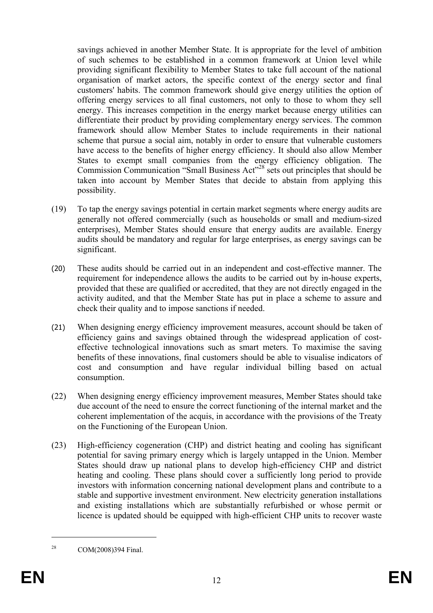savings achieved in another Member State. It is appropriate for the level of ambition of such schemes to be established in a common framework at Union level while providing significant flexibility to Member States to take full account of the national organisation of market actors, the specific context of the energy sector and final customers' habits. The common framework should give energy utilities the option of offering energy services to all final customers, not only to those to whom they sell energy. This increases competition in the energy market because energy utilities can differentiate their product by providing complementary energy services. The common framework should allow Member States to include requirements in their national scheme that pursue a social aim, notably in order to ensure that vulnerable customers have access to the benefits of higher energy efficiency. It should also allow Member States to exempt small companies from the energy efficiency obligation. The Commission Communication "Small Business Act"28 sets out principles that should be taken into account by Member States that decide to abstain from applying this possibility.

- (19) To tap the energy savings potential in certain market segments where energy audits are generally not offered commercially (such as households or small and medium-sized enterprises), Member States should ensure that energy audits are available. Energy audits should be mandatory and regular for large enterprises, as energy savings can be significant.
- (20) These audits should be carried out in an independent and cost-effective manner. The requirement for independence allows the audits to be carried out by in-house experts, provided that these are qualified or accredited, that they are not directly engaged in the activity audited, and that the Member State has put in place a scheme to assure and check their quality and to impose sanctions if needed.
- (21) When designing energy efficiency improvement measures, account should be taken of efficiency gains and savings obtained through the widespread application of costeffective technological innovations such as smart meters. To maximise the saving benefits of these innovations, final customers should be able to visualise indicators of cost and consumption and have regular individual billing based on actual consumption.
- (22) When designing energy efficiency improvement measures, Member States should take due account of the need to ensure the correct functioning of the internal market and the coherent implementation of the acquis, in accordance with the provisions of the Treaty on the Functioning of the European Union.
- (23) High-efficiency cogeneration (CHP) and district heating and cooling has significant potential for saving primary energy which is largely untapped in the Union. Member States should draw up national plans to develop high-efficiency CHP and district heating and cooling. These plans should cover a sufficiently long period to provide investors with information concerning national development plans and contribute to a stable and supportive investment environment. New electricity generation installations and existing installations which are substantially refurbished or whose permit or licence is updated should be equipped with high-efficient CHP units to recover waste

<sup>28</sup> COM(2008)394 Final.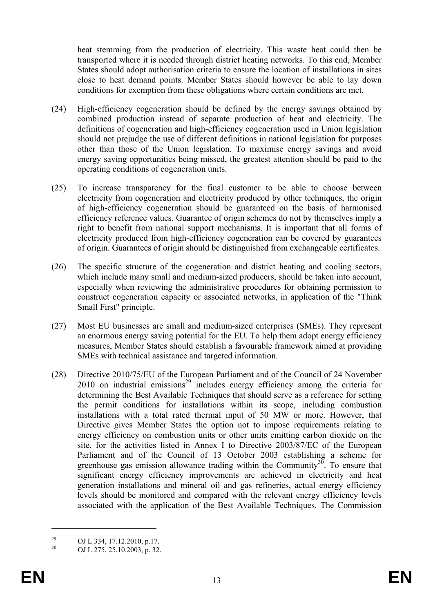heat stemming from the production of electricity. This waste heat could then be transported where it is needed through district heating networks. To this end, Member States should adopt authorisation criteria to ensure the location of installations in sites close to heat demand points. Member States should however be able to lay down conditions for exemption from these obligations where certain conditions are met.

- (24) High-efficiency cogeneration should be defined by the energy savings obtained by combined production instead of separate production of heat and electricity. The definitions of cogeneration and high-efficiency cogeneration used in Union legislation should not prejudge the use of different definitions in national legislation for purposes other than those of the Union legislation. To maximise energy savings and avoid energy saving opportunities being missed, the greatest attention should be paid to the operating conditions of cogeneration units.
- (25) To increase transparency for the final customer to be able to choose between electricity from cogeneration and electricity produced by other techniques, the origin of high-efficiency cogeneration should be guaranteed on the basis of harmonised efficiency reference values. Guarantee of origin schemes do not by themselves imply a right to benefit from national support mechanisms. It is important that all forms of electricity produced from high-efficiency cogeneration can be covered by guarantees of origin. Guarantees of origin should be distinguished from exchangeable certificates.
- (26) The specific structure of the cogeneration and district heating and cooling sectors, which include many small and medium-sized producers, should be taken into account, especially when reviewing the administrative procedures for obtaining permission to construct cogeneration capacity or associated networks, in application of the "Think Small First" principle.
- (27) Most EU businesses are small and medium-sized enterprises (SMEs). They represent an enormous energy saving potential for the EU. To help them adopt energy efficiency measures, Member States should establish a favourable framework aimed at providing SMEs with technical assistance and targeted information.
- (28) Directive 2010/75/EU of the European Parliament and of the Council of 24 November 2010 on industrial emissions<sup>29</sup> includes energy efficiency among the criteria for determining the Best Available Techniques that should serve as a reference for setting the permit conditions for installations within its scope, including combustion installations with a total rated thermal input of 50 MW or more. However, that Directive gives Member States the option not to impose requirements relating to energy efficiency on combustion units or other units emitting carbon dioxide on the site, for the activities listed in Annex I to Directive 2003/87/EC of the European Parliament and of the Council of 13 October 2003 establishing a scheme for greenhouse gas emission allowance trading within the Community<sup>30</sup>. To ensure that significant energy efficiency improvements are achieved in electricity and heat generation installations and mineral oil and gas refineries, actual energy efficiency levels should be monitored and compared with the relevant energy efficiency levels associated with the application of the Best Available Techniques. The Commission

<u>.</u>

<sup>&</sup>lt;sup>29</sup> OJ L 334, 17.12.2010, p.17.<br>
OJ L 375, 35, 10, 2002, p. 22

<sup>30</sup> OJ L 275, 25.10.2003, p. 32.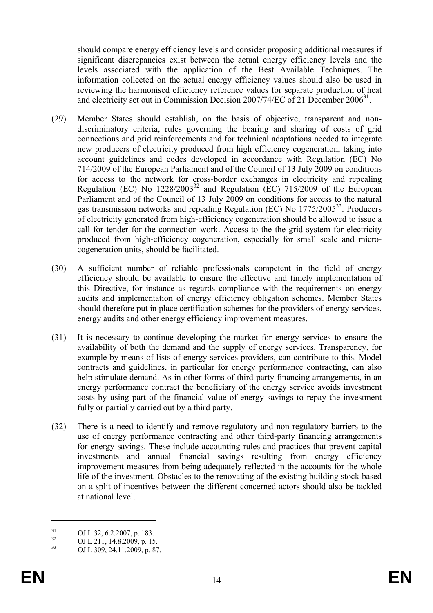should compare energy efficiency levels and consider proposing additional measures if significant discrepancies exist between the actual energy efficiency levels and the levels associated with the application of the Best Available Techniques. The information collected on the actual energy efficiency values should also be used in reviewing the harmonised efficiency reference values for separate production of heat and electricity set out in Commission Decision 2007/74/EC of 21 December  $2006<sup>31</sup>$ .

- (29) Member States should establish, on the basis of objective, transparent and nondiscriminatory criteria, rules governing the bearing and sharing of costs of grid connections and grid reinforcements and for technical adaptations needed to integrate new producers of electricity produced from high efficiency cogeneration, taking into account guidelines and codes developed in accordance with Regulation (EC) No 714/2009 of the European Parliament and of the Council of 13 July 2009 on conditions for access to the network for cross-border exchanges in electricity and repealing Regulation (EC) No  $1228/2003^{32}$  and Regulation (EC) 715/2009 of the European Parliament and of the Council of 13 July 2009 on conditions for access to the natural gas transmission networks and repealing Regulation (EC) No  $1775/2005^{33}$ . Producers of electricity generated from high-efficiency cogeneration should be allowed to issue a call for tender for the connection work. Access to the the grid system for electricity produced from high-efficiency cogeneration, especially for small scale and microcogeneration units, should be facilitated.
- (30) A sufficient number of reliable professionals competent in the field of energy efficiency should be available to ensure the effective and timely implementation of this Directive, for instance as regards compliance with the requirements on energy audits and implementation of energy efficiency obligation schemes. Member States should therefore put in place certification schemes for the providers of energy services, energy audits and other energy efficiency improvement measures.
- (31) It is necessary to continue developing the market for energy services to ensure the availability of both the demand and the supply of energy services. Transparency, for example by means of lists of energy services providers, can contribute to this. Model contracts and guidelines, in particular for energy performance contracting, can also help stimulate demand. As in other forms of third-party financing arrangements, in an energy performance contract the beneficiary of the energy service avoids investment costs by using part of the financial value of energy savings to repay the investment fully or partially carried out by a third party.
- (32) There is a need to identify and remove regulatory and non-regulatory barriers to the use of energy performance contracting and other third-party financing arrangements for energy savings. These include accounting rules and practices that prevent capital investments and annual financial savings resulting from energy efficiency improvement measures from being adequately reflected in the accounts for the whole life of the investment. Obstacles to the renovating of the existing building stock based on a split of incentives between the different concerned actors should also be tackled at national level.

 $31$  OJ L 32, 6.2.2007, p. 183.

 $^{32}$  OJ L 211, 14.8.2009, p. 15.<br> $^{33}$  OJ L 200, 24, 11, 2000, p. 97

<sup>33</sup> OJ L 309, 24.11.2009, p. 87.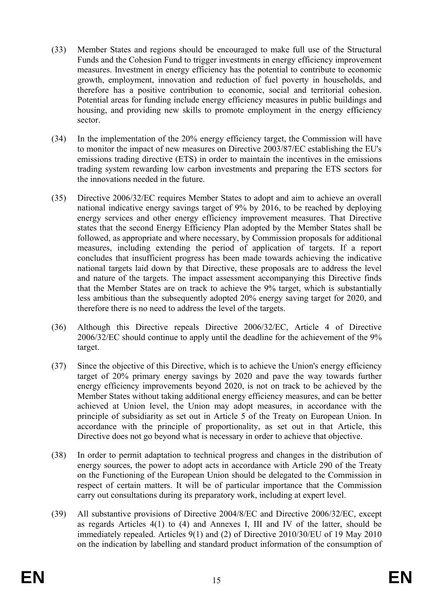- (33) Member States and regions should be encouraged to make full use of the Structural Funds and the Cohesion Fund to trigger investments in energy efficiency improvement measures. Investment in energy efficiency has the potential to contribute to economic growth, employment, innovation and reduction of fuel poverty in households, and therefore has a positive contribution to economic, social and territorial cohesion. Potential areas for funding include energy efficiency measures in public buildings and housing, and providing new skills to promote employment in the energy efficiency sector.
- (34) In the implementation of the 20% energy efficiency target, the Commission will have to monitor the impact of new measures on Directive 2003/87/EC establishing the EU's emissions trading directive (ETS) in order to maintain the incentives in the emissions trading system rewarding low carbon investments and preparing the ETS sectors for the innovations needed in the future.
- (35) Directive 2006/32/EC requires Member States to adopt and aim to achieve an overall national indicative energy savings target of 9% by 2016, to be reached by deploying energy services and other energy efficiency improvement measures. That Directive states that the second Energy Efficiency Plan adopted by the Member States shall be followed, as appropriate and where necessary, by Commission proposals for additional measures, including extending the period of application of targets. If a report concludes that insufficient progress has been made towards achieving the indicative national targets laid down by that Directive, these proposals are to address the level and nature of the targets. The impact assessment accompanying this Directive finds that the Member States are on track to achieve the 9% target, which is substantially less ambitious than the subsequently adopted 20% energy saving target for 2020, and therefore there is no need to address the level of the targets.
- (36) Although this Directive repeals Directive 2006/32/EC, Article 4 of Directive 2006/32/EC should continue to apply until the deadline for the achievement of the 9% target.
- (37) Since the objective of this Directive, which is to achieve the Union's energy efficiency target of 20% primary energy savings by 2020 and pave the way towards further energy efficiency improvements beyond 2020, is not on track to be achieved by the Member States without taking additional energy efficiency measures, and can be better achieved at Union level, the Union may adopt measures, in accordance with the principle of subsidiarity as set out in Article 5 of the Treaty on European Union. In accordance with the principle of proportionality, as set out in that Article, this Directive does not go beyond what is necessary in order to achieve that objective.
- (38) In order to permit adaptation to technical progress and changes in the distribution of energy sources, the power to adopt acts in accordance with Article 290 of the Treaty on the Functioning of the European Union should be delegated to the Commission in respect of certain matters. It will be of particular importance that the Commission carry out consultations during its preparatory work, including at expert level.
- (39) All substantive provisions of Directive 2004/8/EC and Directive 2006/32/EC, except as regards Articles 4(1) to (4) and Annexes I, III and IV of the latter, should be immediately repealed. Articles 9(1) and (2) of Directive 2010/30/EU of 19 May 2010 on the indication by labelling and standard product information of the consumption of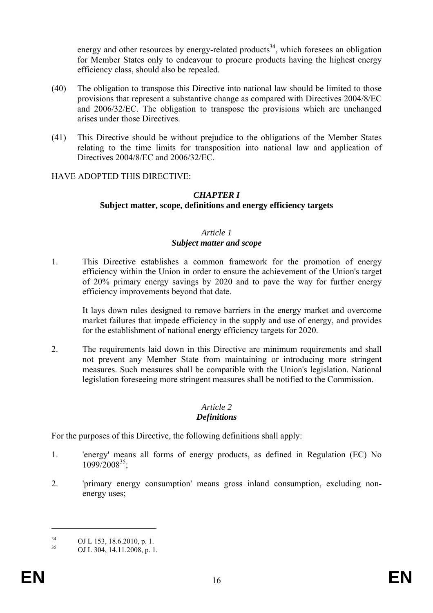energy and other resources by energy-related products<sup>34</sup>, which foresees an obligation for Member States only to endeavour to procure products having the highest energy efficiency class, should also be repealed.

- (40) The obligation to transpose this Directive into national law should be limited to those provisions that represent a substantive change as compared with Directives 2004/8/EC and 2006/32/EC. The obligation to transpose the provisions which are unchanged arises under those Directives.
- (41) This Directive should be without prejudice to the obligations of the Member States relating to the time limits for transposition into national law and application of Directives 2004/8/EC and 2006/32/EC.

#### HAVE ADOPTED THIS DIRECTIVE:

#### *CHAPTER I*  **Subject matter, scope, definitions and energy efficiency targets**

#### *Article 1 Subject matter and scope*

1. This Directive establishes a common framework for the promotion of energy efficiency within the Union in order to ensure the achievement of the Union's target of 20% primary energy savings by 2020 and to pave the way for further energy efficiency improvements beyond that date.

 It lays down rules designed to remove barriers in the energy market and overcome market failures that impede efficiency in the supply and use of energy, and provides for the establishment of national energy efficiency targets for 2020.

2. The requirements laid down in this Directive are minimum requirements and shall not prevent any Member State from maintaining or introducing more stringent measures. Such measures shall be compatible with the Union's legislation. National legislation foreseeing more stringent measures shall be notified to the Commission.

# *Article 2*

## *Definitions*

For the purposes of this Directive, the following definitions shall apply:

- 1. 'energy' means all forms of energy products, as defined in Regulation (EC) No  $1099/2008^{35}$ ;
- 2. 'primary energy consumption' means gross inland consumption, excluding nonenergy uses;

<u>.</u>

 $^{34}$  OJ L 153, 18.6.2010, p. 1.<br> $^{35}$  OJ L 204, 14, 11, 2008, p. 1.

<sup>35</sup> OJ L 304, 14.11.2008, p. 1.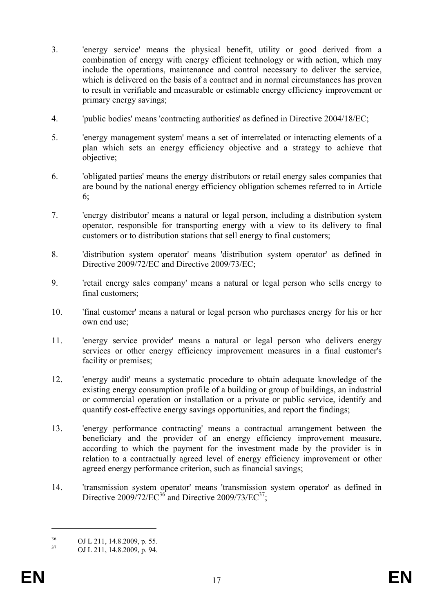- 3. 'energy service' means the physical benefit, utility or good derived from a combination of energy with energy efficient technology or with action, which may include the operations, maintenance and control necessary to deliver the service, which is delivered on the basis of a contract and in normal circumstances has proven to result in verifiable and measurable or estimable energy efficiency improvement or primary energy savings;
- 4. 'public bodies' means 'contracting authorities' as defined in Directive 2004/18/EC;
- 5. 'energy management system' means a set of interrelated or interacting elements of a plan which sets an energy efficiency objective and a strategy to achieve that objective;
- 6. 'obligated parties' means the energy distributors or retail energy sales companies that are bound by the national energy efficiency obligation schemes referred to in Article 6;
- 7. 'energy distributor' means a natural or legal person, including a distribution system operator, responsible for transporting energy with a view to its delivery to final customers or to distribution stations that sell energy to final customers;
- 8. 'distribution system operator' means 'distribution system operator' as defined in Directive 2009/72/EC and Directive 2009/73/EC;
- 9. 'retail energy sales company' means a natural or legal person who sells energy to final customers;
- 10. 'final customer' means a natural or legal person who purchases energy for his or her own end use;
- 11. 'energy service provider' means a natural or legal person who delivers energy services or other energy efficiency improvement measures in a final customer's facility or premises;
- 12. 'energy audit' means a systematic procedure to obtain adequate knowledge of the existing energy consumption profile of a building or group of buildings, an industrial or commercial operation or installation or a private or public service, identify and quantify cost-effective energy savings opportunities, and report the findings;
- 13. 'energy performance contracting' means a contractual arrangement between the beneficiary and the provider of an energy efficiency improvement measure, according to which the payment for the investment made by the provider is in relation to a contractually agreed level of energy efficiency improvement or other agreed energy performance criterion, such as financial savings;
- 14. 'transmission system operator' means 'transmission system operator' as defined in Directive  $2009/72/EC^{36}$  and Directive  $2009/73/EC^{37}$ ;

<u>.</u>

 $^{36}$  OJ L 211, 14.8.2009, p. 55.<br> $^{37}$  OJ L 211, 14.8.2009, p. 04

OJ L 211, 14.8.2009, p. 94.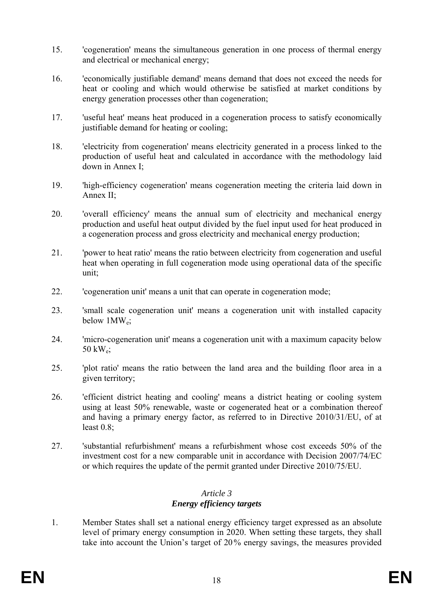- 15. 'cogeneration' means the simultaneous generation in one process of thermal energy and electrical or mechanical energy;
- 16. 'economically justifiable demand' means demand that does not exceed the needs for heat or cooling and which would otherwise be satisfied at market conditions by energy generation processes other than cogeneration;
- 17. 'useful heat' means heat produced in a cogeneration process to satisfy economically justifiable demand for heating or cooling;
- 18. 'electricity from cogeneration' means electricity generated in a process linked to the production of useful heat and calculated in accordance with the methodology laid down in Annex I;
- 19. 'high-efficiency cogeneration' means cogeneration meeting the criteria laid down in Annex II;
- 20. 'overall efficiency' means the annual sum of electricity and mechanical energy production and useful heat output divided by the fuel input used for heat produced in a cogeneration process and gross electricity and mechanical energy production;
- 21. 'power to heat ratio' means the ratio between electricity from cogeneration and useful heat when operating in full cogeneration mode using operational data of the specific unit;
- 22. 'cogeneration unit' means a unit that can operate in cogeneration mode;
- 23. 'small scale cogeneration unit' means a cogeneration unit with installed capacity below 1MW<sub>e</sub>;
- 24. 'micro-cogeneration unit' means a cogeneration unit with a maximum capacity below 50 kWe;
- 25. 'plot ratio' means the ratio between the land area and the building floor area in a given territory;
- 26. 'efficient district heating and cooling' means a district heating or cooling system using at least 50% renewable, waste or cogenerated heat or a combination thereof and having a primary energy factor, as referred to in Directive 2010/31/EU, of at least 0.8;
- 27. 'substantial refurbishment' means a refurbishment whose cost exceeds 50% of the investment cost for a new comparable unit in accordance with Decision 2007/74/EC or which requires the update of the permit granted under Directive 2010/75/EU.

#### *Article 3 Energy efficiency targets*

1. Member States shall set a national energy efficiency target expressed as an absolute level of primary energy consumption in 2020. When setting these targets, they shall take into account the Union's target of 20% energy savings, the measures provided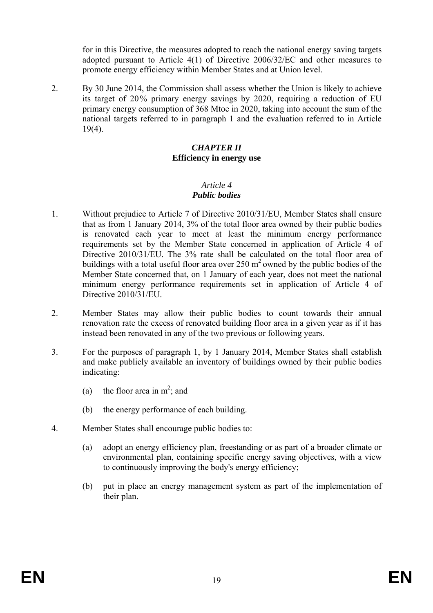for in this Directive, the measures adopted to reach the national energy saving targets adopted pursuant to Article 4(1) of Directive 2006/32/EC and other measures to promote energy efficiency within Member States and at Union level.

2. By 30 June 2014, the Commission shall assess whether the Union is likely to achieve its target of 20% primary energy savings by 2020, requiring a reduction of EU primary energy consumption of 368 Mtoe in 2020, taking into account the sum of the national targets referred to in paragraph 1 and the evaluation referred to in Article 19(4).

#### *CHAPTER II* **Efficiency in energy use**

#### *Article 4 Public bodies*

- 1. Without prejudice to Article 7 of Directive 2010/31/EU, Member States shall ensure that as from 1 January 2014, 3% of the total floor area owned by their public bodies is renovated each year to meet at least the minimum energy performance requirements set by the Member State concerned in application of Article 4 of Directive 2010/31/EU. The 3% rate shall be calculated on the total floor area of buildings with a total useful floor area over  $250 \text{ m}^2$  owned by the public bodies of the Member State concerned that, on 1 January of each year, does not meet the national minimum energy performance requirements set in application of Article 4 of Directive 2010/31/EU.
- 2. Member States may allow their public bodies to count towards their annual renovation rate the excess of renovated building floor area in a given year as if it has instead been renovated in any of the two previous or following years.
- 3. For the purposes of paragraph 1, by 1 January 2014, Member States shall establish and make publicly available an inventory of buildings owned by their public bodies indicating:
	- (a) the floor area in  $m^2$ ; and
	- (b) the energy performance of each building.
- 4. Member States shall encourage public bodies to:
	- (a) adopt an energy efficiency plan, freestanding or as part of a broader climate or environmental plan, containing specific energy saving objectives, with a view to continuously improving the body's energy efficiency;
	- (b) put in place an energy management system as part of the implementation of their plan.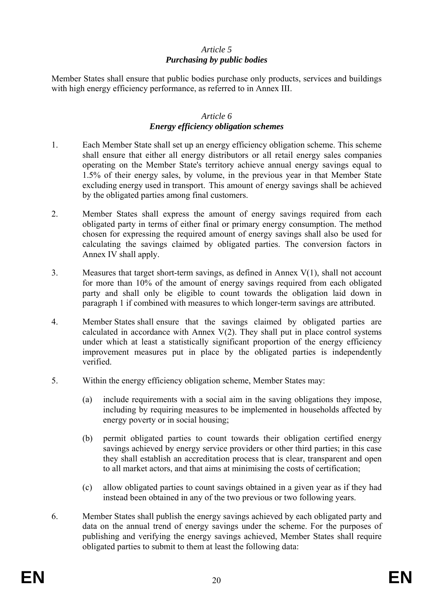#### *Article 5 Purchasing by public bodies*

Member States shall ensure that public bodies purchase only products, services and buildings with high energy efficiency performance, as referred to in Annex III.

#### *Article 6 Energy efficiency obligation schemes*

- 1. Each Member State shall set up an energy efficiency obligation scheme. This scheme shall ensure that either all energy distributors or all retail energy sales companies operating on the Member State's territory achieve annual energy savings equal to 1.5% of their energy sales, by volume, in the previous year in that Member State excluding energy used in transport. This amount of energy savings shall be achieved by the obligated parties among final customers.
- 2. Member States shall express the amount of energy savings required from each obligated party in terms of either final or primary energy consumption. The method chosen for expressing the required amount of energy savings shall also be used for calculating the savings claimed by obligated parties. The conversion factors in Annex IV shall apply.
- 3. Measures that target short-term savings, as defined in Annex V(1), shall not account for more than 10% of the amount of energy savings required from each obligated party and shall only be eligible to count towards the obligation laid down in paragraph 1 if combined with measures to which longer-term savings are attributed.
- 4. Member States shall ensure that the savings claimed by obligated parties are calculated in accordance with Annex  $V(2)$ . They shall put in place control systems under which at least a statistically significant proportion of the energy efficiency improvement measures put in place by the obligated parties is independently verified.
- 5. Within the energy efficiency obligation scheme, Member States may:
	- (a) include requirements with a social aim in the saving obligations they impose, including by requiring measures to be implemented in households affected by energy poverty or in social housing;
	- (b) permit obligated parties to count towards their obligation certified energy savings achieved by energy service providers or other third parties; in this case they shall establish an accreditation process that is clear, transparent and open to all market actors, and that aims at minimising the costs of certification;
	- (c) allow obligated parties to count savings obtained in a given year as if they had instead been obtained in any of the two previous or two following years.
- 6. Member States shall publish the energy savings achieved by each obligated party and data on the annual trend of energy savings under the scheme. For the purposes of publishing and verifying the energy savings achieved, Member States shall require obligated parties to submit to them at least the following data: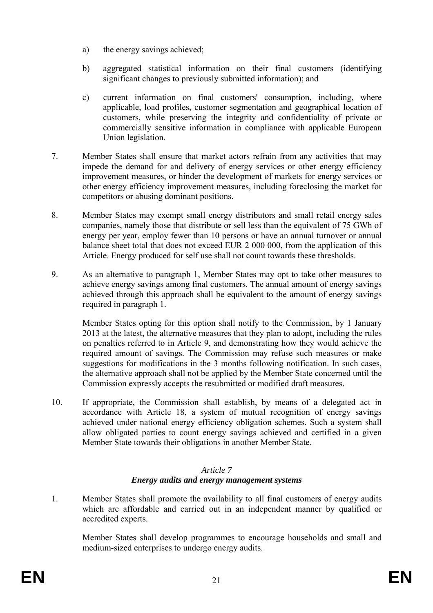- a) the energy savings achieved;
- b) aggregated statistical information on their final customers (identifying significant changes to previously submitted information); and
- c) current information on final customers' consumption, including, where applicable, load profiles, customer segmentation and geographical location of customers, while preserving the integrity and confidentiality of private or commercially sensitive information in compliance with applicable European Union legislation.
- 7. Member States shall ensure that market actors refrain from any activities that may impede the demand for and delivery of energy services or other energy efficiency improvement measures, or hinder the development of markets for energy services or other energy efficiency improvement measures, including foreclosing the market for competitors or abusing dominant positions.
- 8. Member States may exempt small energy distributors and small retail energy sales companies, namely those that distribute or sell less than the equivalent of 75 GWh of energy per year, employ fewer than 10 persons or have an annual turnover or annual balance sheet total that does not exceed EUR 2 000 000, from the application of this Article. Energy produced for self use shall not count towards these thresholds.
- 9. As an alternative to paragraph 1, Member States may opt to take other measures to achieve energy savings among final customers. The annual amount of energy savings achieved through this approach shall be equivalent to the amount of energy savings required in paragraph 1.

Member States opting for this option shall notify to the Commission, by 1 January 2013 at the latest, the alternative measures that they plan to adopt, including the rules on penalties referred to in Article 9, and demonstrating how they would achieve the required amount of savings. The Commission may refuse such measures or make suggestions for modifications in the 3 months following notification. In such cases, the alternative approach shall not be applied by the Member State concerned until the Commission expressly accepts the resubmitted or modified draft measures.

10. If appropriate, the Commission shall establish, by means of a delegated act in accordance with Article 18, a system of mutual recognition of energy savings achieved under national energy efficiency obligation schemes. Such a system shall allow obligated parties to count energy savings achieved and certified in a given Member State towards their obligations in another Member State.

#### *Article 7 Energy audits and energy management systems*

1. Member States shall promote the availability to all final customers of energy audits which are affordable and carried out in an independent manner by qualified or accredited experts.

Member States shall develop programmes to encourage households and small and medium-sized enterprises to undergo energy audits.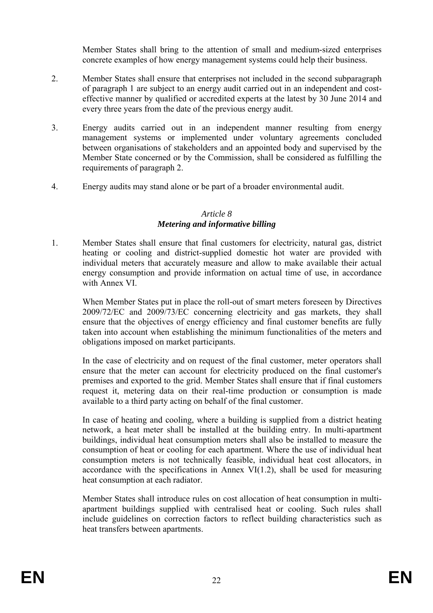Member States shall bring to the attention of small and medium-sized enterprises concrete examples of how energy management systems could help their business.

- 2. Member States shall ensure that enterprises not included in the second subparagraph of paragraph 1 are subject to an energy audit carried out in an independent and costeffective manner by qualified or accredited experts at the latest by 30 June 2014 and every three years from the date of the previous energy audit.
- 3. Energy audits carried out in an independent manner resulting from energy management systems or implemented under voluntary agreements concluded between organisations of stakeholders and an appointed body and supervised by the Member State concerned or by the Commission, shall be considered as fulfilling the requirements of paragraph 2.
- 4. Energy audits may stand alone or be part of a broader environmental audit.

## *Article 8 Metering and informative billing*

1. Member States shall ensure that final customers for electricity, natural gas, district heating or cooling and district-supplied domestic hot water are provided with individual meters that accurately measure and allow to make available their actual energy consumption and provide information on actual time of use, in accordance with Annex VI.

When Member States put in place the roll-out of smart meters foreseen by Directives 2009/72/EC and 2009/73/EC concerning electricity and gas markets, they shall ensure that the objectives of energy efficiency and final customer benefits are fully taken into account when establishing the minimum functionalities of the meters and obligations imposed on market participants.

In the case of electricity and on request of the final customer, meter operators shall ensure that the meter can account for electricity produced on the final customer's premises and exported to the grid. Member States shall ensure that if final customers request it, metering data on their real-time production or consumption is made available to a third party acting on behalf of the final customer.

In case of heating and cooling, where a building is supplied from a district heating network, a heat meter shall be installed at the building entry. In multi-apartment buildings, individual heat consumption meters shall also be installed to measure the consumption of heat or cooling for each apartment. Where the use of individual heat consumption meters is not technically feasible, individual heat cost allocators, in accordance with the specifications in Annex VI $(1.2)$ , shall be used for measuring heat consumption at each radiator.

Member States shall introduce rules on cost allocation of heat consumption in multiapartment buildings supplied with centralised heat or cooling. Such rules shall include guidelines on correction factors to reflect building characteristics such as heat transfers between apartments.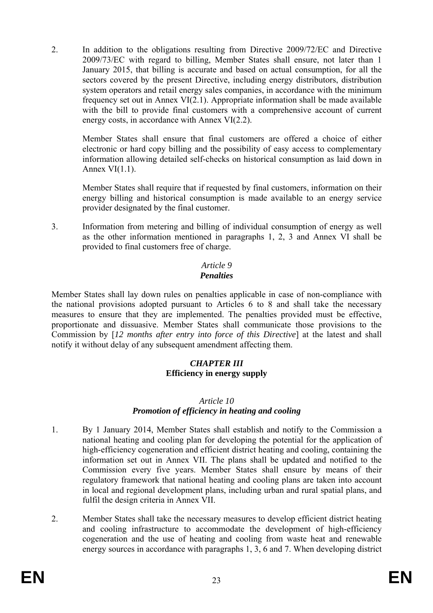2. In addition to the obligations resulting from Directive 2009/72/EC and Directive 2009/73/EC with regard to billing, Member States shall ensure, not later than 1 January 2015, that billing is accurate and based on actual consumption, for all the sectors covered by the present Directive, including energy distributors, distribution system operators and retail energy sales companies, in accordance with the minimum frequency set out in Annex VI(2.1). Appropriate information shall be made available with the bill to provide final customers with a comprehensive account of current energy costs, in accordance with Annex VI(2.2).

Member States shall ensure that final customers are offered a choice of either electronic or hard copy billing and the possibility of easy access to complementary information allowing detailed self-checks on historical consumption as laid down in Annex  $VI(1.1)$ .

Member States shall require that if requested by final customers, information on their energy billing and historical consumption is made available to an energy service provider designated by the final customer.

3. Information from metering and billing of individual consumption of energy as well as the other information mentioned in paragraphs 1, 2, 3 and Annex VI shall be provided to final customers free of charge.

#### *Article 9 Penalties*

Member States shall lay down rules on penalties applicable in case of non-compliance with the national provisions adopted pursuant to Articles 6 to 8 and shall take the necessary measures to ensure that they are implemented. The penalties provided must be effective, proportionate and dissuasive. Member States shall communicate those provisions to the Commission by [*12 months after entry into force of this Directive*] at the latest and shall notify it without delay of any subsequent amendment affecting them.

#### *CHAPTER III* **Efficiency in energy supply**

#### *Article 10 Promotion of efficiency in heating and cooling*

- 1. By 1 January 2014, Member States shall establish and notify to the Commission a national heating and cooling plan for developing the potential for the application of high-efficiency cogeneration and efficient district heating and cooling, containing the information set out in Annex VII. The plans shall be updated and notified to the Commission every five years. Member States shall ensure by means of their regulatory framework that national heating and cooling plans are taken into account in local and regional development plans, including urban and rural spatial plans, and fulfil the design criteria in Annex VII.
- 2. Member States shall take the necessary measures to develop efficient district heating and cooling infrastructure to accommodate the development of high-efficiency cogeneration and the use of heating and cooling from waste heat and renewable energy sources in accordance with paragraphs 1, 3, 6 and 7. When developing district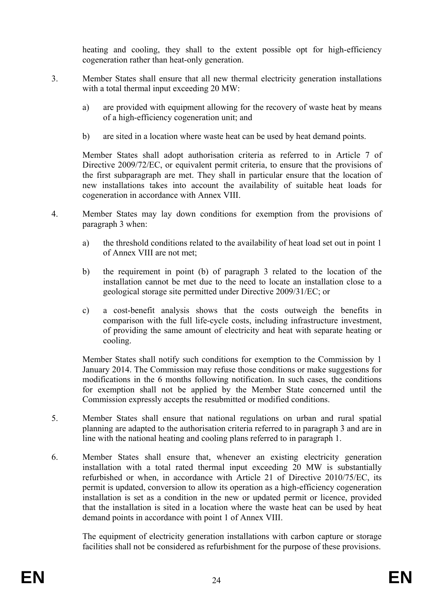heating and cooling, they shall to the extent possible opt for high-efficiency cogeneration rather than heat-only generation.

- 3. Member States shall ensure that all new thermal electricity generation installations with a total thermal input exceeding 20 MW:
	- a) are provided with equipment allowing for the recovery of waste heat by means of a high-efficiency cogeneration unit; and
	- b) are sited in a location where waste heat can be used by heat demand points.

Member States shall adopt authorisation criteria as referred to in Article 7 of Directive 2009/72/EC, or equivalent permit criteria, to ensure that the provisions of the first subparagraph are met. They shall in particular ensure that the location of new installations takes into account the availability of suitable heat loads for cogeneration in accordance with Annex VIII.

- 4. Member States may lay down conditions for exemption from the provisions of paragraph 3 when:
	- a) the threshold conditions related to the availability of heat load set out in point 1 of Annex VIII are not met;
	- b) the requirement in point (b) of paragraph 3 related to the location of the installation cannot be met due to the need to locate an installation close to a geological storage site permitted under Directive 2009/31/EC; or
	- c) a cost-benefit analysis shows that the costs outweigh the benefits in comparison with the full life-cycle costs, including infrastructure investment, of providing the same amount of electricity and heat with separate heating or cooling.

Member States shall notify such conditions for exemption to the Commission by 1 January 2014. The Commission may refuse those conditions or make suggestions for modifications in the 6 months following notification. In such cases, the conditions for exemption shall not be applied by the Member State concerned until the Commission expressly accepts the resubmitted or modified conditions.

- 5. Member States shall ensure that national regulations on urban and rural spatial planning are adapted to the authorisation criteria referred to in paragraph 3 and are in line with the national heating and cooling plans referred to in paragraph 1.
- 6. Member States shall ensure that, whenever an existing electricity generation installation with a total rated thermal input exceeding 20 MW is substantially refurbished or when, in accordance with Article 21 of Directive 2010/75/EC, its permit is updated, conversion to allow its operation as a high-efficiency cogeneration installation is set as a condition in the new or updated permit or licence, provided that the installation is sited in a location where the waste heat can be used by heat demand points in accordance with point 1 of Annex VIII.

The equipment of electricity generation installations with carbon capture or storage facilities shall not be considered as refurbishment for the purpose of these provisions.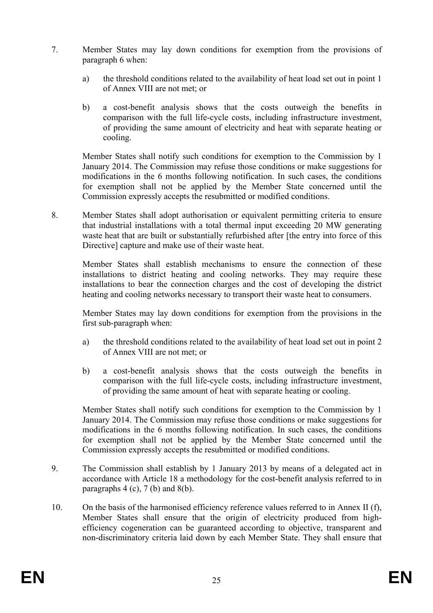- 7. Member States may lay down conditions for exemption from the provisions of paragraph 6 when:
	- a) the threshold conditions related to the availability of heat load set out in point 1 of Annex VIII are not met; or
	- b) a cost-benefit analysis shows that the costs outweigh the benefits in comparison with the full life-cycle costs, including infrastructure investment, of providing the same amount of electricity and heat with separate heating or cooling.

Member States shall notify such conditions for exemption to the Commission by 1 January 2014. The Commission may refuse those conditions or make suggestions for modifications in the 6 months following notification. In such cases, the conditions for exemption shall not be applied by the Member State concerned until the Commission expressly accepts the resubmitted or modified conditions.

8. Member States shall adopt authorisation or equivalent permitting criteria to ensure that industrial installations with a total thermal input exceeding 20 MW generating waste heat that are built or substantially refurbished after [the entry into force of this Directive] capture and make use of their waste heat.

Member States shall establish mechanisms to ensure the connection of these installations to district heating and cooling networks. They may require these installations to bear the connection charges and the cost of developing the district heating and cooling networks necessary to transport their waste heat to consumers.

Member States may lay down conditions for exemption from the provisions in the first sub-paragraph when:

- a) the threshold conditions related to the availability of heat load set out in point 2 of Annex VIII are not met; or
- b) a cost-benefit analysis shows that the costs outweigh the benefits in comparison with the full life-cycle costs, including infrastructure investment, of providing the same amount of heat with separate heating or cooling.

Member States shall notify such conditions for exemption to the Commission by 1 January 2014. The Commission may refuse those conditions or make suggestions for modifications in the 6 months following notification. In such cases, the conditions for exemption shall not be applied by the Member State concerned until the Commission expressly accepts the resubmitted or modified conditions.

- 9. The Commission shall establish by 1 January 2013 by means of a delegated act in accordance with Article 18 a methodology for the cost-benefit analysis referred to in paragraphs  $4$  (c),  $7$  (b) and  $8(b)$ .
- 10. On the basis of the harmonised efficiency reference values referred to in Annex II (f), Member States shall ensure that the origin of electricity produced from highefficiency cogeneration can be guaranteed according to objective, transparent and non-discriminatory criteria laid down by each Member State. They shall ensure that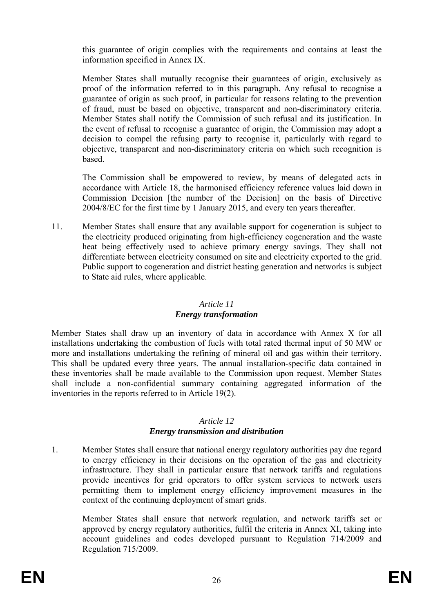this guarantee of origin complies with the requirements and contains at least the information specified in Annex IX.

Member States shall mutually recognise their guarantees of origin, exclusively as proof of the information referred to in this paragraph. Any refusal to recognise a guarantee of origin as such proof, in particular for reasons relating to the prevention of fraud, must be based on objective, transparent and non-discriminatory criteria. Member States shall notify the Commission of such refusal and its justification. In the event of refusal to recognise a guarantee of origin, the Commission may adopt a decision to compel the refusing party to recognise it, particularly with regard to objective, transparent and non-discriminatory criteria on which such recognition is based.

The Commission shall be empowered to review, by means of delegated acts in accordance with Article 18, the harmonised efficiency reference values laid down in Commission Decision [the number of the Decision] on the basis of Directive 2004/8/EC for the first time by 1 January 2015, and every ten years thereafter.

11. Member States shall ensure that any available support for cogeneration is subject to the electricity produced originating from high-efficiency cogeneration and the waste heat being effectively used to achieve primary energy savings. They shall not differentiate between electricity consumed on site and electricity exported to the grid. Public support to cogeneration and district heating generation and networks is subject to State aid rules, where applicable.

#### *Article 11*

## *Energy transformation*

Member States shall draw up an inventory of data in accordance with Annex X for all installations undertaking the combustion of fuels with total rated thermal input of 50 MW or more and installations undertaking the refining of mineral oil and gas within their territory. This shall be updated every three years. The annual installation-specific data contained in these inventories shall be made available to the Commission upon request. Member States shall include a non-confidential summary containing aggregated information of the inventories in the reports referred to in Article 19(2).

## *Article 12*

# *Energy transmission and distribution*

1. Member States shall ensure that national energy regulatory authorities pay due regard to energy efficiency in their decisions on the operation of the gas and electricity infrastructure. They shall in particular ensure that network tariffs and regulations provide incentives for grid operators to offer system services to network users permitting them to implement energy efficiency improvement measures in the context of the continuing deployment of smart grids.

Member States shall ensure that network regulation, and network tariffs set or approved by energy regulatory authorities, fulfil the criteria in Annex XI, taking into account guidelines and codes developed pursuant to Regulation 714/2009 and Regulation 715/2009.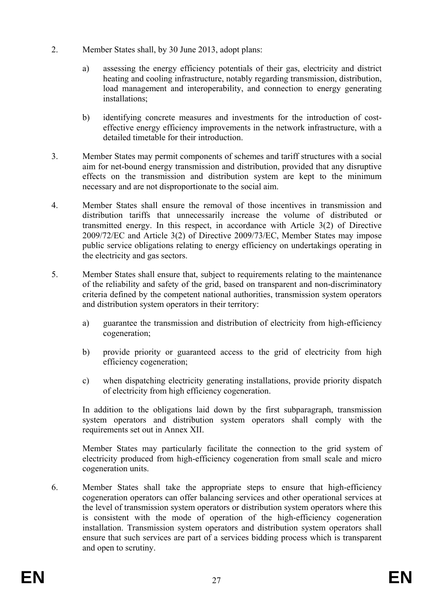- 2. Member States shall, by 30 June 2013, adopt plans:
	- a) assessing the energy efficiency potentials of their gas, electricity and district heating and cooling infrastructure, notably regarding transmission, distribution, load management and interoperability, and connection to energy generating installations;
	- b) identifying concrete measures and investments for the introduction of costeffective energy efficiency improvements in the network infrastructure, with a detailed timetable for their introduction.
- 3. Member States may permit components of schemes and tariff structures with a social aim for net-bound energy transmission and distribution, provided that any disruptive effects on the transmission and distribution system are kept to the minimum necessary and are not disproportionate to the social aim.
- 4. Member States shall ensure the removal of those incentives in transmission and distribution tariffs that unnecessarily increase the volume of distributed or transmitted energy. In this respect, in accordance with Article 3(2) of Directive 2009/72/EC and Article 3(2) of Directive 2009/73/EC, Member States may impose public service obligations relating to energy efficiency on undertakings operating in the electricity and gas sectors.
- 5. Member States shall ensure that, subject to requirements relating to the maintenance of the reliability and safety of the grid, based on transparent and non-discriminatory criteria defined by the competent national authorities, transmission system operators and distribution system operators in their territory:
	- a) guarantee the transmission and distribution of electricity from high-efficiency cogeneration;
	- b) provide priority or guaranteed access to the grid of electricity from high efficiency cogeneration;
	- c) when dispatching electricity generating installations, provide priority dispatch of electricity from high efficiency cogeneration.

 In addition to the obligations laid down by the first subparagraph, transmission system operators and distribution system operators shall comply with the requirements set out in Annex XII.

Member States may particularly facilitate the connection to the grid system of electricity produced from high-efficiency cogeneration from small scale and micro cogeneration units.

6. Member States shall take the appropriate steps to ensure that high-efficiency cogeneration operators can offer balancing services and other operational services at the level of transmission system operators or distribution system operators where this is consistent with the mode of operation of the high-efficiency cogeneration installation. Transmission system operators and distribution system operators shall ensure that such services are part of a services bidding process which is transparent and open to scrutiny.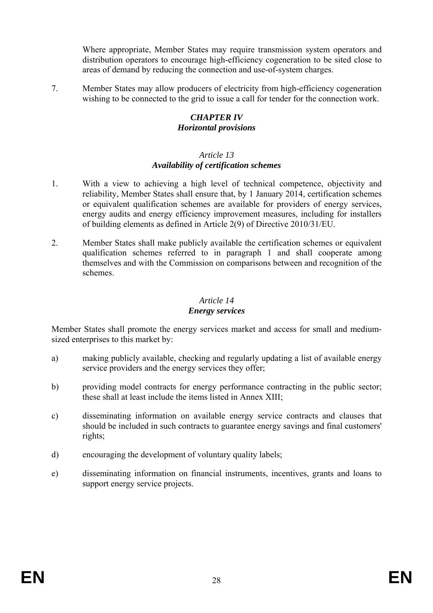Where appropriate, Member States may require transmission system operators and distribution operators to encourage high-efficiency cogeneration to be sited close to areas of demand by reducing the connection and use-of-system charges.

7. Member States may allow producers of electricity from high-efficiency cogeneration wishing to be connected to the grid to issue a call for tender for the connection work.

#### *CHAPTER IV Horizontal provisions*

#### *Article 13 Availability of certification schemes*

- 1. With a view to achieving a high level of technical competence, objectivity and reliability, Member States shall ensure that, by 1 January 2014, certification schemes or equivalent qualification schemes are available for providers of energy services, energy audits and energy efficiency improvement measures, including for installers of building elements as defined in Article 2(9) of Directive 2010/31/EU.
- 2. Member States shall make publicly available the certification schemes or equivalent qualification schemes referred to in paragraph 1 and shall cooperate among themselves and with the Commission on comparisons between and recognition of the schemes.

# *Article 14*

## *Energy services*

Member States shall promote the energy services market and access for small and mediumsized enterprises to this market by:

- a) making publicly available, checking and regularly updating a list of available energy service providers and the energy services they offer;
- b) providing model contracts for energy performance contracting in the public sector; these shall at least include the items listed in Annex XIII;
- c) disseminating information on available energy service contracts and clauses that should be included in such contracts to guarantee energy savings and final customers' rights;
- d) encouraging the development of voluntary quality labels;
- e) disseminating information on financial instruments, incentives, grants and loans to support energy service projects.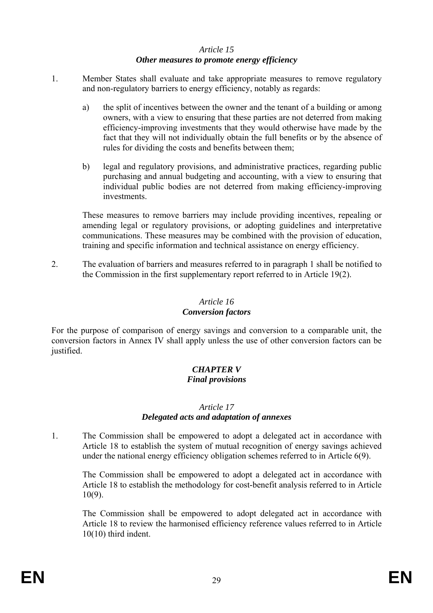#### *Article 15 Other measures to promote energy efficiency*

- 1. Member States shall evaluate and take appropriate measures to remove regulatory and non-regulatory barriers to energy efficiency, notably as regards:
	- a) the split of incentives between the owner and the tenant of a building or among owners, with a view to ensuring that these parties are not deterred from making efficiency-improving investments that they would otherwise have made by the fact that they will not individually obtain the full benefits or by the absence of rules for dividing the costs and benefits between them;
	- b) legal and regulatory provisions, and administrative practices, regarding public purchasing and annual budgeting and accounting, with a view to ensuring that individual public bodies are not deterred from making efficiency-improving investments.

These measures to remove barriers may include providing incentives, repealing or amending legal or regulatory provisions, or adopting guidelines and interpretative communications. These measures may be combined with the provision of education, training and specific information and technical assistance on energy efficiency.

2. The evaluation of barriers and measures referred to in paragraph 1 shall be notified to the Commission in the first supplementary report referred to in Article 19(2).

# *Article 16*

## *Conversion factors*

For the purpose of comparison of energy savings and conversion to a comparable unit, the conversion factors in Annex IV shall apply unless the use of other conversion factors can be justified.

#### *CHAPTER V Final provisions*

## *Article 17*

# *Delegated acts and adaptation of annexes*

1. The Commission shall be empowered to adopt a delegated act in accordance with Article 18 to establish the system of mutual recognition of energy savings achieved under the national energy efficiency obligation schemes referred to in Article 6(9).

The Commission shall be empowered to adopt a delegated act in accordance with Article 18 to establish the methodology for cost-benefit analysis referred to in Article 10(9).

The Commission shall be empowered to adopt delegated act in accordance with Article 18 to review the harmonised efficiency reference values referred to in Article 10(10) third indent.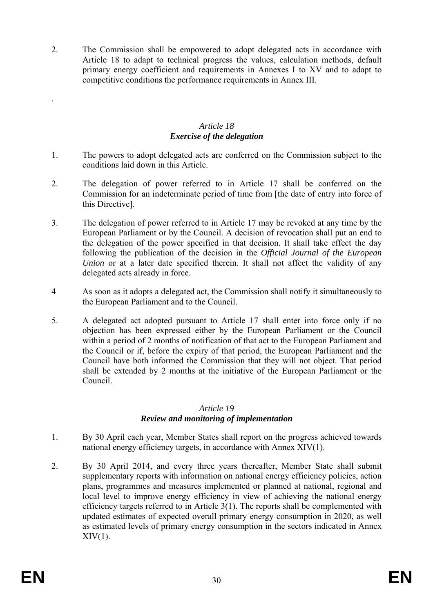2. The Commission shall be empowered to adopt delegated acts in accordance with Article 18 to adapt to technical progress the values, calculation methods, default primary energy coefficient and requirements in Annexes I to XV and to adapt to competitive conditions the performance requirements in Annex III.

## *Article 18 Exercise of the delegation*

- 1. The powers to adopt delegated acts are conferred on the Commission subject to the conditions laid down in this Article.
- 2. The delegation of power referred to in Article 17 shall be conferred on the Commission for an indeterminate period of time from [the date of entry into force of this Directive].
- 3. The delegation of power referred to in Article 17 may be revoked at any time by the European Parliament or by the Council. A decision of revocation shall put an end to the delegation of the power specified in that decision. It shall take effect the day following the publication of the decision in the *Official Journal of the European Union* or at a later date specified therein. It shall not affect the validity of any delegated acts already in force.
- 4 As soon as it adopts a delegated act, the Commission shall notify it simultaneously to the European Parliament and to the Council.
- 5. A delegated act adopted pursuant to Article 17 shall enter into force only if no objection has been expressed either by the European Parliament or the Council within a period of 2 months of notification of that act to the European Parliament and the Council or if, before the expiry of that period, the European Parliament and the Council have both informed the Commission that they will not object. That period shall be extended by 2 months at the initiative of the European Parliament or the Council.

#### *Article 19 Review and monitoring of implementation*

- 1. By 30 April each year, Member States shall report on the progress achieved towards national energy efficiency targets, in accordance with Annex XIV(1).
- 2. By 30 April 2014, and every three years thereafter, Member State shall submit supplementary reports with information on national energy efficiency policies, action plans, programmes and measures implemented or planned at national, regional and local level to improve energy efficiency in view of achieving the national energy efficiency targets referred to in Article 3(1). The reports shall be complemented with updated estimates of expected overall primary energy consumption in 2020, as well as estimated levels of primary energy consumption in the sectors indicated in Annex  $XIV(1)$ .

.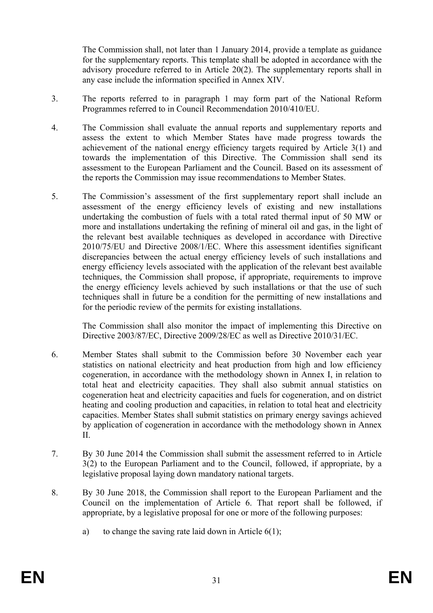The Commission shall, not later than 1 January 2014, provide a template as guidance for the supplementary reports. This template shall be adopted in accordance with the advisory procedure referred to in Article 20(2). The supplementary reports shall in any case include the information specified in Annex XIV.

- 3. The reports referred to in paragraph 1 may form part of the National Reform Programmes referred to in Council Recommendation 2010/410/EU.
- 4. The Commission shall evaluate the annual reports and supplementary reports and assess the extent to which Member States have made progress towards the achievement of the national energy efficiency targets required by Article 3(1) and towards the implementation of this Directive. The Commission shall send its assessment to the European Parliament and the Council. Based on its assessment of the reports the Commission may issue recommendations to Member States.
- 5. The Commission's assessment of the first supplementary report shall include an assessment of the energy efficiency levels of existing and new installations undertaking the combustion of fuels with a total rated thermal input of 50 MW or more and installations undertaking the refining of mineral oil and gas, in the light of the relevant best available techniques as developed in accordance with Directive 2010/75/EU and Directive 2008/1/EC. Where this assessment identifies significant discrepancies between the actual energy efficiency levels of such installations and energy efficiency levels associated with the application of the relevant best available techniques, the Commission shall propose, if appropriate, requirements to improve the energy efficiency levels achieved by such installations or that the use of such techniques shall in future be a condition for the permitting of new installations and for the periodic review of the permits for existing installations.

The Commission shall also monitor the impact of implementing this Directive on Directive 2003/87/EC, Directive 2009/28/EC as well as Directive 2010/31/EC.

- 6. Member States shall submit to the Commission before 30 November each year statistics on national electricity and heat production from high and low efficiency cogeneration, in accordance with the methodology shown in Annex I, in relation to total heat and electricity capacities. They shall also submit annual statistics on cogeneration heat and electricity capacities and fuels for cogeneration, and on district heating and cooling production and capacities, in relation to total heat and electricity capacities. Member States shall submit statistics on primary energy savings achieved by application of cogeneration in accordance with the methodology shown in Annex II.
- 7. By 30 June 2014 the Commission shall submit the assessment referred to in Article 3(2) to the European Parliament and to the Council, followed, if appropriate, by a legislative proposal laying down mandatory national targets.
- 8. By 30 June 2018, the Commission shall report to the European Parliament and the Council on the implementation of Article 6. That report shall be followed, if appropriate, by a legislative proposal for one or more of the following purposes:
	- a) to change the saving rate laid down in Article  $6(1)$ ;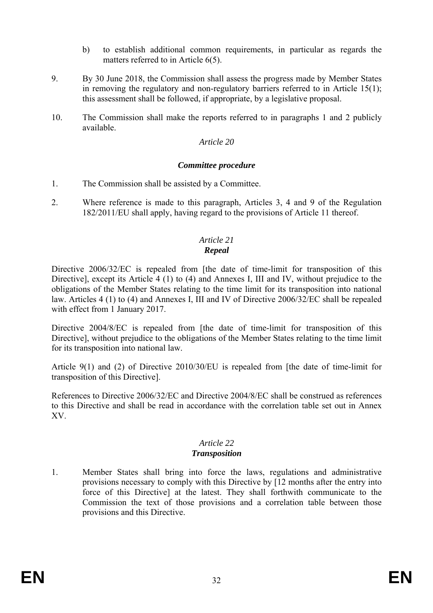- b) to establish additional common requirements, in particular as regards the matters referred to in Article 6(5).
- 9. By 30 June 2018, the Commission shall assess the progress made by Member States in removing the regulatory and non-regulatory barriers referred to in Article 15(1); this assessment shall be followed, if appropriate, by a legislative proposal.
- 10. The Commission shall make the reports referred to in paragraphs 1 and 2 publicly available.

#### *Article 20*

#### *Committee procedure*

- 1. The Commission shall be assisted by a Committee.
- 2. Where reference is made to this paragraph, Articles 3, 4 and 9 of the Regulation 182/2011/EU shall apply, having regard to the provisions of Article 11 thereof.

#### *Article 21 Repeal*

Directive 2006/32/EC is repealed from [the date of time-limit for transposition of this Directive], except its Article 4 (1) to (4) and Annexes I, III and IV, without prejudice to the obligations of the Member States relating to the time limit for its transposition into national law. Articles 4 (1) to (4) and Annexes I, III and IV of Directive 2006/32/EC shall be repealed with effect from 1 January 2017.

Directive 2004/8/EC is repealed from [the date of time-limit for transposition of this Directive], without prejudice to the obligations of the Member States relating to the time limit for its transposition into national law.

Article 9(1) and (2) of Directive 2010/30/EU is repealed from [the date of time-limit for transposition of this Directive].

References to Directive 2006/32/EC and Directive 2004/8/EC shall be construed as references to this Directive and shall be read in accordance with the correlation table set out in Annex XV.

#### *Article 22 Transposition*

1. Member States shall bring into force the laws, regulations and administrative provisions necessary to comply with this Directive by [12 months after the entry into force of this Directive] at the latest. They shall forthwith communicate to the Commission the text of those provisions and a correlation table between those provisions and this Directive.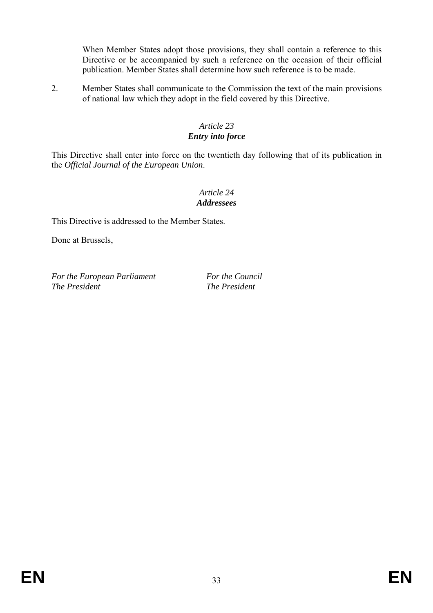When Member States adopt those provisions, they shall contain a reference to this Directive or be accompanied by such a reference on the occasion of their official publication. Member States shall determine how such reference is to be made.

2. Member States shall communicate to the Commission the text of the main provisions of national law which they adopt in the field covered by this Directive.

## *Article 23 Entry into force*

This Directive shall enter into force on the twentieth day following that of its publication in the *Official Journal of the European Union*.

## *Article 24 Addressees*

This Directive is addressed to the Member States.

Done at Brussels,

*For the European Parliament For the Council*<br>The President **The President** 

*The President The President*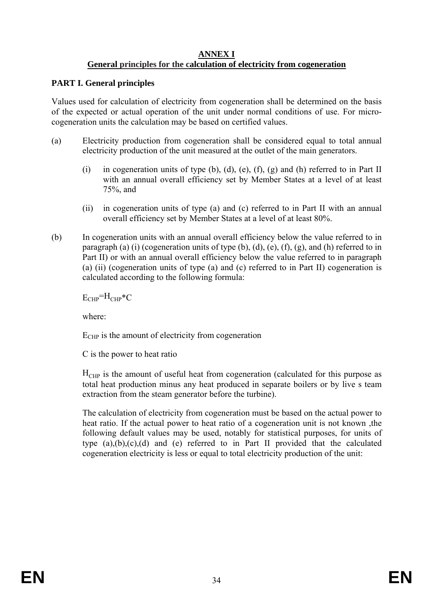#### **ANNEX I General principles for the calculation of electricity from cogeneration**

## **PART I. General principles**

Values used for calculation of electricity from cogeneration shall be determined on the basis of the expected or actual operation of the unit under normal conditions of use. For microcogeneration units the calculation may be based on certified values.

- (a) Electricity production from cogeneration shall be considered equal to total annual electricity production of the unit measured at the outlet of the main generators.
	- (i) in cogeneration units of type  $(b)$ ,  $(d)$ ,  $(e)$ ,  $(f)$ ,  $(g)$  and  $(h)$  referred to in Part II with an annual overall efficiency set by Member States at a level of at least 75%, and
	- (ii) in cogeneration units of type (a) and (c) referred to in Part II with an annual overall efficiency set by Member States at a level of at least 80%.
- (b) In cogeneration units with an annual overall efficiency below the value referred to in paragraph (a) (i) (cogeneration units of type  $(b)$ ,  $(d)$ ,  $(e)$ ,  $(f)$ ,  $(g)$ , and  $(h)$  referred to in Part II) or with an annual overall efficiency below the value referred to in paragraph (a) (ii) (cogeneration units of type (a) and (c) referred to in Part II) cogeneration is calculated according to the following formula:

 $E_{CHP} = H_{CHP} * C$ 

where:

 $E_{CHP}$  is the amount of electricity from cogeneration

C is the power to heat ratio

 $H<sub>CHP</sub>$  is the amount of useful heat from cogeneration (calculated for this purpose as total heat production minus any heat produced in separate boilers or by live s team extraction from the steam generator before the turbine).

The calculation of electricity from cogeneration must be based on the actual power to heat ratio. If the actual power to heat ratio of a cogeneration unit is not known ,the following default values may be used, notably for statistical purposes, for units of type  $(a)$ , $(b)$ , $(c)$ , $(d)$  and  $(e)$  referred to in Part II provided that the calculated cogeneration electricity is less or equal to total electricity production of the unit: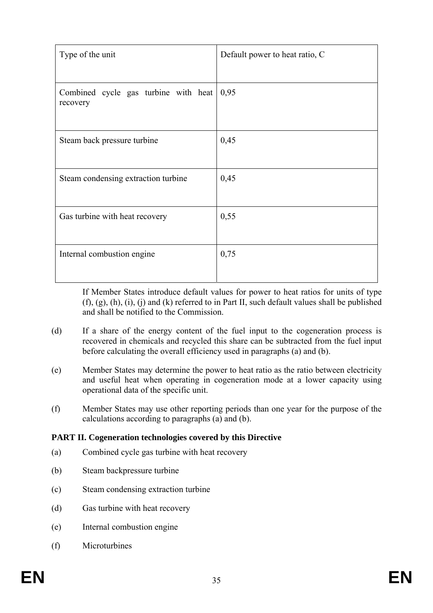| Type of the unit                                 | Default power to heat ratio, C |
|--------------------------------------------------|--------------------------------|
| Combined cycle gas turbine with heat<br>recovery | 0,95                           |
| Steam back pressure turbine                      | 0,45                           |
| Steam condensing extraction turbine              | 0,45                           |
| Gas turbine with heat recovery                   | 0,55                           |
| Internal combustion engine                       | 0,75                           |

If Member States introduce default values for power to heat ratios for units of type  $(f, (g), (h), (i), (i)$  and  $(k)$  referred to in Part II, such default values shall be published and shall be notified to the Commission.

- (d) If a share of the energy content of the fuel input to the cogeneration process is recovered in chemicals and recycled this share can be subtracted from the fuel input before calculating the overall efficiency used in paragraphs (a) and (b).
- (e) Member States may determine the power to heat ratio as the ratio between electricity and useful heat when operating in cogeneration mode at a lower capacity using operational data of the specific unit.
- (f) Member States may use other reporting periods than one year for the purpose of the calculations according to paragraphs (a) and (b).

## **PART II. Cogeneration technologies covered by this Directive**

- (a) Combined cycle gas turbine with heat recovery
- (b) Steam backpressure turbine
- (c) Steam condensing extraction turbine
- (d) Gas turbine with heat recovery
- (e) Internal combustion engine
- (f) Microturbines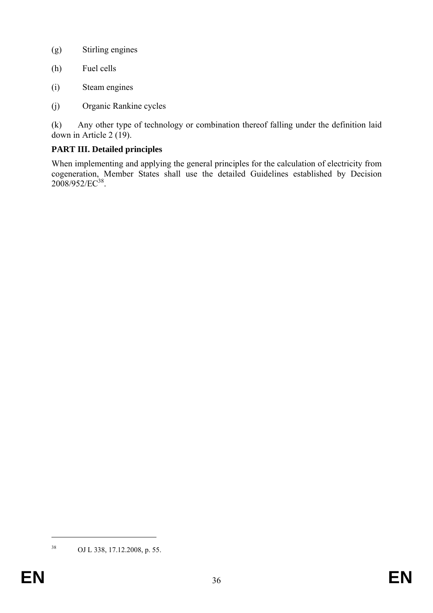- (g) Stirling engines
- (h) Fuel cells
- (i) Steam engines
- (j) Organic Rankine cycles

(k) Any other type of technology or combination thereof falling under the definition laid down in Article 2  $(19)$ .

# **PART III. Detailed principles**

When implementing and applying the general principles for the calculation of electricity from cogeneration, Member States shall use the detailed Guidelines established by Decision 2008/952/EC<sup>38</sup>.

1

<sup>38</sup> OJ L 338, 17.12.2008, p. 55.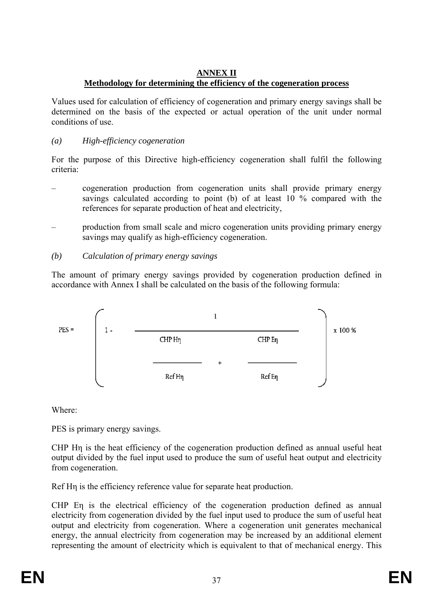### **ANNEX II Methodology for determining the efficiency of the cogeneration process**

Values used for calculation of efficiency of cogeneration and primary energy savings shall be determined on the basis of the expected or actual operation of the unit under normal conditions of use.

## *(a) High-efficiency cogeneration*

For the purpose of this Directive high-efficiency cogeneration shall fulfil the following criteria:

- cogeneration production from cogeneration units shall provide primary energy savings calculated according to point (b) of at least 10 % compared with the references for separate production of heat and electricity,
- production from small scale and micro cogeneration units providing primary energy savings may qualify as high-efficiency cogeneration.
- *(b) Calculation of primary energy savings*

The amount of primary energy savings provided by cogeneration production defined in accordance with Annex I shall be calculated on the basis of the following formula:



Where:

PES is primary energy savings.

CHP Hη is the heat efficiency of the cogeneration production defined as annual useful heat output divided by the fuel input used to produce the sum of useful heat output and electricity from cogeneration.

Ref Hη is the efficiency reference value for separate heat production.

CHP Eη is the electrical efficiency of the cogeneration production defined as annual electricity from cogeneration divided by the fuel input used to produce the sum of useful heat output and electricity from cogeneration. Where a cogeneration unit generates mechanical energy, the annual electricity from cogeneration may be increased by an additional element representing the amount of electricity which is equivalent to that of mechanical energy. This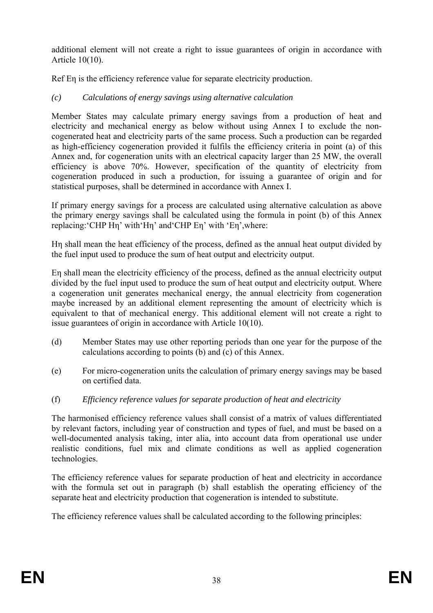additional element will not create a right to issue guarantees of origin in accordance with Article 10(10).

Ref En is the efficiency reference value for separate electricity production.

# *(c) Calculations of energy savings using alternative calculation*

Member States may calculate primary energy savings from a production of heat and electricity and mechanical energy as below without using Annex I to exclude the noncogenerated heat and electricity parts of the same process. Such a production can be regarded as high-efficiency cogeneration provided it fulfils the efficiency criteria in point (a) of this Annex and, for cogeneration units with an electrical capacity larger than 25 MW, the overall efficiency is above 70%. However, specification of the quantity of electricity from cogeneration produced in such a production, for issuing a guarantee of origin and for statistical purposes, shall be determined in accordance with Annex I.

If primary energy savings for a process are calculated using alternative calculation as above the primary energy savings shall be calculated using the formula in point (b) of this Annex replacing:'CHP Hη' with'Hη' and'CHP Eη' with 'Eη',where:

Hη shall mean the heat efficiency of the process, defined as the annual heat output divided by the fuel input used to produce the sum of heat output and electricity output.

Eη shall mean the electricity efficiency of the process, defined as the annual electricity output divided by the fuel input used to produce the sum of heat output and electricity output. Where a cogeneration unit generates mechanical energy, the annual electricity from cogeneration maybe increased by an additional element representing the amount of electricity which is equivalent to that of mechanical energy. This additional element will not create a right to issue guarantees of origin in accordance with Article 10(10).

- (d) Member States may use other reporting periods than one year for the purpose of the calculations according to points (b) and (c) of this Annex.
- (e) For micro-cogeneration units the calculation of primary energy savings may be based on certified data.
- (f) *Efficiency reference values for separate production of heat and electricity*

The harmonised efficiency reference values shall consist of a matrix of values differentiated by relevant factors, including year of construction and types of fuel, and must be based on a well-documented analysis taking, inter alia, into account data from operational use under realistic conditions, fuel mix and climate conditions as well as applied cogeneration technologies.

The efficiency reference values for separate production of heat and electricity in accordance with the formula set out in paragraph (b) shall establish the operating efficiency of the separate heat and electricity production that cogeneration is intended to substitute.

The efficiency reference values shall be calculated according to the following principles: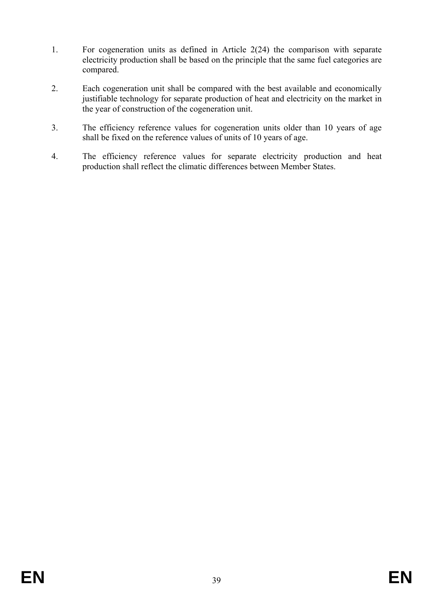- 1. For cogeneration units as defined in Article 2(24) the comparison with separate electricity production shall be based on the principle that the same fuel categories are compared.
- 2. Each cogeneration unit shall be compared with the best available and economically justifiable technology for separate production of heat and electricity on the market in the year of construction of the cogeneration unit.
- 3. The efficiency reference values for cogeneration units older than 10 years of age shall be fixed on the reference values of units of 10 years of age.
- 4. The efficiency reference values for separate electricity production and heat production shall reflect the climatic differences between Member States.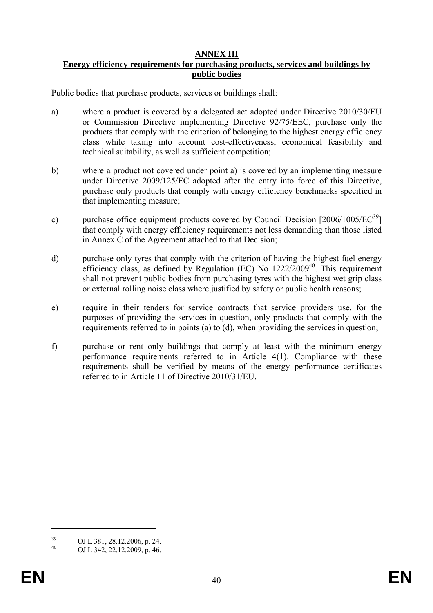## **ANNEX III**

## **Energy efficiency requirements for purchasing products, services and buildings by public bodies**

Public bodies that purchase products, services or buildings shall:

- a) where a product is covered by a delegated act adopted under Directive 2010/30/EU or Commission Directive implementing Directive 92/75/EEC, purchase only the products that comply with the criterion of belonging to the highest energy efficiency class while taking into account cost-effectiveness, economical feasibility and technical suitability, as well as sufficient competition;
- b) where a product not covered under point a) is covered by an implementing measure under Directive 2009/125/EC adopted after the entry into force of this Directive, purchase only products that comply with energy efficiency benchmarks specified in that implementing measure;
- c) purchase office equipment products covered by Council Decision [2006/1005/EC<sup>39</sup>] that comply with energy efficiency requirements not less demanding than those listed in Annex C of the Agreement attached to that Decision;
- d) purchase only tyres that comply with the criterion of having the highest fuel energy efficiency class, as defined by Regulation (EC) No  $1222/2009^{40}$ . This requirement shall not prevent public bodies from purchasing tyres with the highest wet grip class or external rolling noise class where justified by safety or public health reasons;
- e) require in their tenders for service contracts that service providers use, for the purposes of providing the services in question, only products that comply with the requirements referred to in points (a) to (d), when providing the services in question;
- f) purchase or rent only buildings that comply at least with the minimum energy performance requirements referred to in Article 4(1). Compliance with these requirements shall be verified by means of the energy performance certificates referred to in Article 11 of Directive 2010/31/EU.

<u>.</u>

 $^{39}$  OJ L 381, 28.12.2006, p. 24.

<sup>40</sup> OJ L 342, 22.12.2009, p. 46.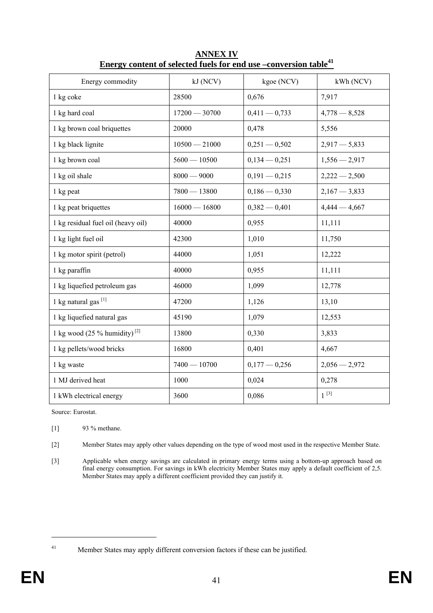| Energy commodity                         | kJ (NCV)        | kgoe (NCV)      | kWh (NCV)       |
|------------------------------------------|-----------------|-----------------|-----------------|
| 1 kg coke                                | 28500           | 0,676           | 7,917           |
| 1 kg hard coal                           | $17200 - 30700$ | $0,411 - 0,733$ | $4,778 - 8,528$ |
| 1 kg brown coal briquettes               | 20000           | 0,478           | 5,556           |
| 1 kg black lignite                       | $10500 - 21000$ | $0,251 - 0,502$ | $2,917 - 5,833$ |
| 1 kg brown coal                          | $5600 - 10500$  | $0,134 - 0,251$ | $1,556 - 2,917$ |
| 1 kg oil shale                           | $8000 - 9000$   | $0,191 - 0,215$ | $2,222 - 2,500$ |
| 1 kg peat                                | $7800 - 13800$  | $0,186 - 0,330$ | $2,167 - 3,833$ |
| 1 kg peat briquettes                     | $16000 - 16800$ | $0,382 - 0,401$ | $4,444 - 4,667$ |
| 1 kg residual fuel oil (heavy oil)       | 40000           | 0,955           | 11,111          |
| 1 kg light fuel oil                      | 42300           | 1,010           | 11,750          |
| 1 kg motor spirit (petrol)               | 44000           | 1,051           | 12,222          |
| 1 kg paraffin                            | 40000           | 0,955           | 11,111          |
| 1 kg liquefied petroleum gas             | 46000           | 1,099           | 12,778          |
| 1 kg natural gas <sup>[1]</sup>          | 47200           | 1,126           | 13,10           |
| 1 kg liquefied natural gas               | 45190           | 1,079           | 12,553          |
| 1 kg wood (25 % humidity) <sup>[2]</sup> | 13800           | 0,330           | 3,833           |
| 1 kg pellets/wood bricks                 | 16800           | 0,401           | 4,667           |
| 1 kg waste                               | $7400 - 10700$  | $0,177 - 0,256$ | $2,056 - 2,972$ |
| 1 MJ derived heat                        | 1000            | 0,024           | 0,278           |
| 1 kWh electrical energy                  | 3600            | 0,086           | $1^{[3]}$       |

**ANNEX IV Energy content of selected fuels for end use –conversion table<sup>41</sup>**

Source: Eurostat.

[1] 93 % methane.

[2] Member States may apply other values depending on the type of wood most used in the respective Member State.

[3] Applicable when energy savings are calculated in primary energy terms using a bottom-up approach based on final energy consumption. For savings in kWh electricity Member States may apply a default coefficient of 2,5. Member States may apply a different coefficient provided they can justify it.

1

<sup>41</sup> Member States may apply different conversion factors if these can be justified.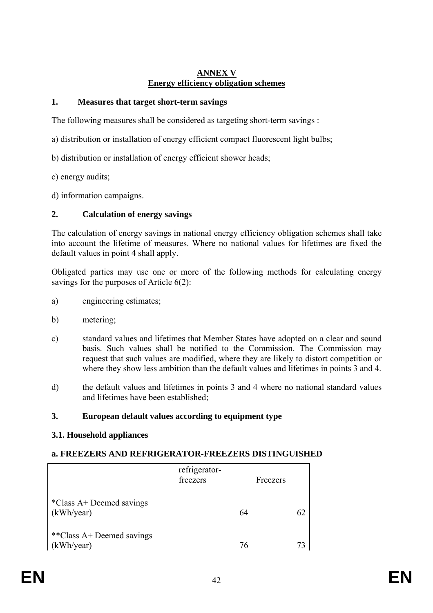### **ANNEX V Energy efficiency obligation schemes**

## **1. Measures that target short-term savings**

The following measures shall be considered as targeting short-term savings :

- a) distribution or installation of energy efficient compact fluorescent light bulbs;
- b) distribution or installation of energy efficient shower heads;
- c) energy audits;
- d) information campaigns.

### **2. Calculation of energy savings**

The calculation of energy savings in national energy efficiency obligation schemes shall take into account the lifetime of measures. Where no national values for lifetimes are fixed the default values in point 4 shall apply.

Obligated parties may use one or more of the following methods for calculating energy savings for the purposes of Article 6(2):

- a) engineering estimates;
- b) metering;
- c) standard values and lifetimes that Member States have adopted on a clear and sound basis. Such values shall be notified to the Commission. The Commission may request that such values are modified, where they are likely to distort competition or where they show less ambition than the default values and lifetimes in points 3 and 4.
- d) the default values and lifetimes in points 3 and 4 where no national standard values and lifetimes have been established;

### **3. European default values according to equipment type**

### **3.1. Household appliances**

### **a. FREEZERS AND REFRIGERATOR-FREEZERS DISTINGUISHED**

|                                         | refrigerator-<br>freezers | Freezers |    |
|-----------------------------------------|---------------------------|----------|----|
| *Class A+ Deemed savings<br>(kWh/year)  |                           | 64       | 62 |
| **Class A+ Deemed savings<br>(kWh/year) |                           | 76       | 73 |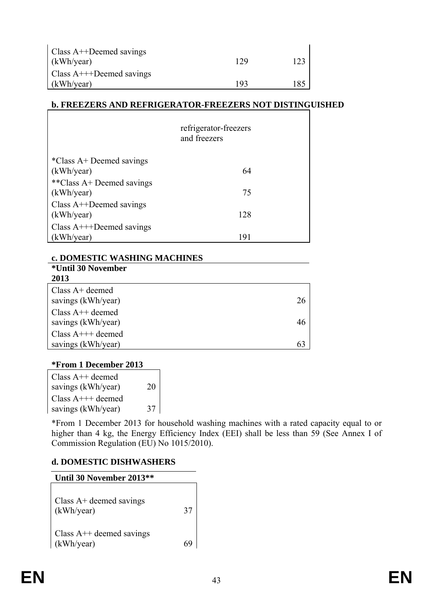| Class $A++$ Deemed savings<br>(kWh/year) | 129 |     |
|------------------------------------------|-----|-----|
| Class $A++D$ eemed savings               |     |     |
| (kWh/year)                               | 193 | 185 |

## **b. FREEZERS AND REFRIGERATOR-FREEZERS NOT DISTINGUISHED**

|                                        | refrigerator-freezers<br>and freezers |  |
|----------------------------------------|---------------------------------------|--|
| *Class A+ Deemed savings<br>(kWh/year) | 64                                    |  |
| **Class A+ Deemed savings              |                                       |  |
| (kWh/year)                             | 75                                    |  |
| Class $A++$ Deemed savings             |                                       |  |
| (kWh/year)                             | 128                                   |  |
| Class $A$ +++Deemed savings            |                                       |  |
| (kWh/year)                             | 191                                   |  |

### **c. DOMESTIC WASHING MACHINES**

| *Until 30 November     |    |
|------------------------|----|
| 2013                   |    |
| Class $A+$ deemed      |    |
| savings (kWh/year)     | 26 |
| Class $A++$ deemed     |    |
| savings (kWh/year)     | 46 |
| Class $A^{+++}$ deemed |    |
| savings (kWh/year)     | 63 |

### **\*From 1 December 2013**

| Class $A++$ deemed     |    |  |
|------------------------|----|--|
| savings (kWh/year)     | 20 |  |
| Class $A^{+++}$ deemed |    |  |
| savings (kWh/year)     | 37 |  |

\*From 1 December 2013 for household washing machines with a rated capacity equal to or higher than 4 kg, the Energy Efficiency Index (EEI) shall be less than 59 (See Annex I of Commission Regulation (EU) No 1015/2010).

### **d. DOMESTIC DISHWASHERS**

| Until 30 November 2013**                 |    |
|------------------------------------------|----|
| Class $A+$ deemed savings<br>(kWh/year)  | 37 |
| Class $A++$ deemed savings<br>(kWh/year) |    |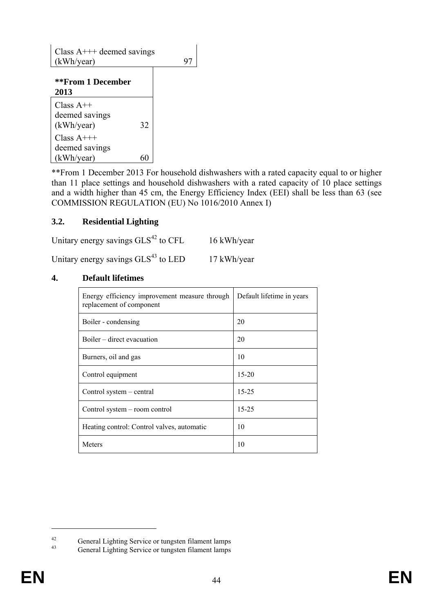Class  $A^{+++}$  deemed savings  $(kWh/year)$  97

| **From 1 December                             |    |
|-----------------------------------------------|----|
| 2013                                          |    |
| Class $A++$<br>deemed savings<br>(kWh/year)   | 32 |
| Class $A$ +++<br>deemed savings<br>(kWh/year) |    |

\*\*From 1 December 2013 For household dishwashers with a rated capacity equal to or higher than 11 place settings and household dishwashers with a rated capacity of 10 place settings and a width higher than 45 cm, the Energy Efficiency Index (EEI) shall be less than 63 (see COMMISSION REGULATION (EU) No 1016/2010 Annex I)

### **3.2. Residential Lighting**

Unitary energy savings  $GLS<sup>42</sup>$  to CFL 16 kWh/year Unitary energy savings  $GLS<sup>43</sup>$  to LED 17 kWh/year

#### **4. Default lifetimes**

| Energy efficiency improvement measure through<br>replacement of component | Default lifetime in years |
|---------------------------------------------------------------------------|---------------------------|
| Boiler - condensing                                                       | 20                        |
| Boiler – direct evacuation                                                | 20                        |
| Burners, oil and gas                                                      | 10                        |
| Control equipment                                                         | $15 - 20$                 |
| Control system – central                                                  | $15 - 25$                 |
| Control system – room control                                             | $15 - 25$                 |
| Heating control: Control valves, automatic                                | 10                        |
| Meters                                                                    | 10                        |

<u>.</u>

<sup>&</sup>lt;sup>42</sup><br>General Lighting Service or tungsten filament lamps<br>General Lighting Service or tungsten filament lamps

General Lighting Service or tungsten filament lamps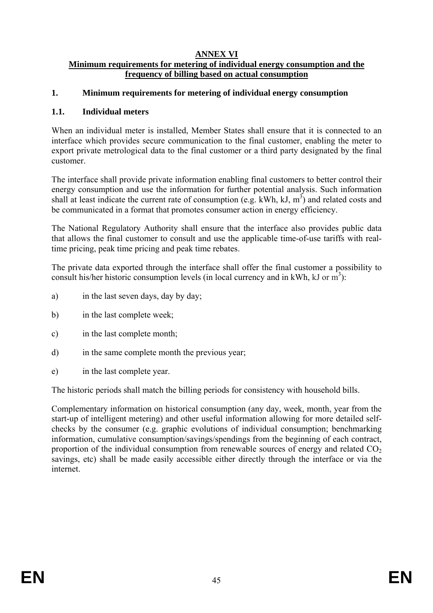# **ANNEX VI**

## **Minimum requirements for metering of individual energy consumption and the frequency of billing based on actual consumption**

### **1. Minimum requirements for metering of individual energy consumption**

### **1.1. Individual meters**

When an individual meter is installed, Member States shall ensure that it is connected to an interface which provides secure communication to the final customer, enabling the meter to export private metrological data to the final customer or a third party designated by the final customer.

The interface shall provide private information enabling final customers to better control their energy consumption and use the information for further potential analysis. Such information shall at least indicate the current rate of consumption (e.g. kWh, kJ,  $m^3$ ) and related costs and be communicated in a format that promotes consumer action in energy efficiency.

The National Regulatory Authority shall ensure that the interface also provides public data that allows the final customer to consult and use the applicable time-of-use tariffs with realtime pricing, peak time pricing and peak time rebates.

The private data exported through the interface shall offer the final customer a possibility to consult his/her historic consumption levels (in local currency and in kWh,  $kJ$  or  $m^3$ ):

- a) in the last seven days, day by day;
- b) in the last complete week;
- c) in the last complete month;
- d) in the same complete month the previous year;
- e) in the last complete year.

The historic periods shall match the billing periods for consistency with household bills.

Complementary information on historical consumption (any day, week, month, year from the start-up of intelligent metering) and other useful information allowing for more detailed selfchecks by the consumer (e.g. graphic evolutions of individual consumption; benchmarking information, cumulative consumption/savings/spendings from the beginning of each contract, proportion of the individual consumption from renewable sources of energy and related  $CO<sub>2</sub>$ savings, etc) shall be made easily accessible either directly through the interface or via the internet.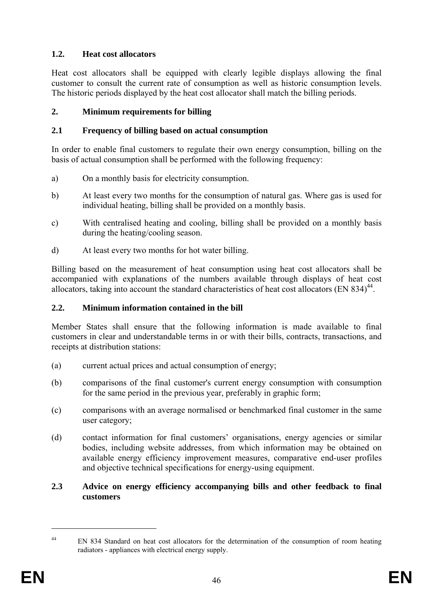# **1.2. Heat cost allocators**

Heat cost allocators shall be equipped with clearly legible displays allowing the final customer to consult the current rate of consumption as well as historic consumption levels. The historic periods displayed by the heat cost allocator shall match the billing periods.

# **2. Minimum requirements for billing**

# **2.1 Frequency of billing based on actual consumption**

In order to enable final customers to regulate their own energy consumption, billing on the basis of actual consumption shall be performed with the following frequency:

- a) On a monthly basis for electricity consumption.
- b) At least every two months for the consumption of natural gas. Where gas is used for individual heating, billing shall be provided on a monthly basis.
- c) With centralised heating and cooling, billing shall be provided on a monthly basis during the heating/cooling season.
- d) At least every two months for hot water billing.

Billing based on the measurement of heat consumption using heat cost allocators shall be accompanied with explanations of the numbers available through displays of heat cost allocators, taking into account the standard characteristics of heat cost allocators  $(EN 834)^{44}$ .

## **2.2. Minimum information contained in the bill**

Member States shall ensure that the following information is made available to final customers in clear and understandable terms in or with their bills, contracts, transactions, and receipts at distribution stations:

- (a) current actual prices and actual consumption of energy;
- (b) comparisons of the final customer's current energy consumption with consumption for the same period in the previous year, preferably in graphic form;
- (c) comparisons with an average normalised or benchmarked final customer in the same user category;
- (d) contact information for final customers' organisations, energy agencies or similar bodies, including website addresses, from which information may be obtained on available energy efficiency improvement measures, comparative end-user profiles and objective technical specifications for energy-using equipment.

## **2.3 Advice on energy efficiency accompanying bills and other feedback to final customers**

<u>.</u>

<sup>&</sup>lt;sup>44</sup> EN 834 Standard on heat cost allocators for the determination of the consumption of room heating radiators - appliances with electrical energy supply.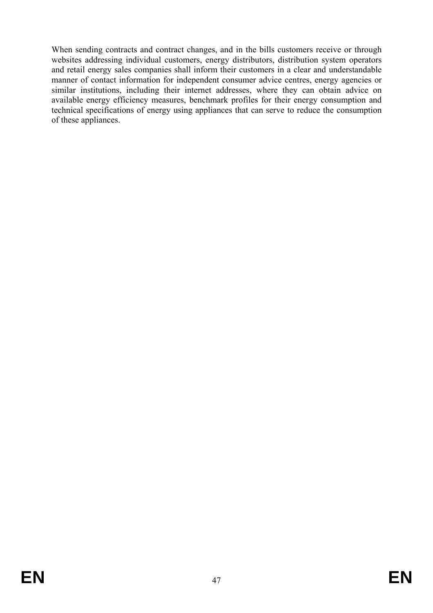When sending contracts and contract changes, and in the bills customers receive or through websites addressing individual customers, energy distributors, distribution system operators and retail energy sales companies shall inform their customers in a clear and understandable manner of contact information for independent consumer advice centres, energy agencies or similar institutions, including their internet addresses, where they can obtain advice on available energy efficiency measures, benchmark profiles for their energy consumption and technical specifications of energy using appliances that can serve to reduce the consumption of these appliances.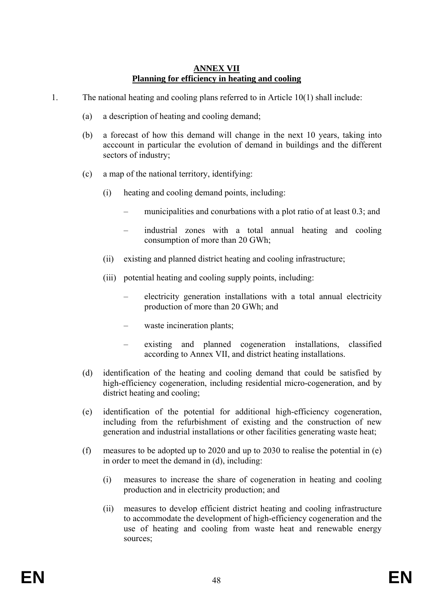#### **ANNEX VII Planning for efficiency in heating and cooling**

- 1. The national heating and cooling plans referred to in Article 10(1) shall include:
	- (a) a description of heating and cooling demand;
	- (b) a forecast of how this demand will change in the next 10 years, taking into acccount in particular the evolution of demand in buildings and the different sectors of industry;
	- (c) a map of the national territory, identifying:
		- (i) heating and cooling demand points, including:
			- municipalities and conurbations with a plot ratio of at least 0.3; and
			- industrial zones with a total annual heating and cooling consumption of more than 20 GWh;
		- (ii) existing and planned district heating and cooling infrastructure;
		- (iii) potential heating and cooling supply points, including:
			- electricity generation installations with a total annual electricity production of more than 20 GWh; and
			- waste incineration plants:
			- existing and planned cogeneration installations, classified according to Annex VII, and district heating installations.
	- (d) identification of the heating and cooling demand that could be satisfied by high-efficiency cogeneration, including residential micro-cogeneration, and by district heating and cooling;
	- (e) identification of the potential for additional high-efficiency cogeneration, including from the refurbishment of existing and the construction of new generation and industrial installations or other facilities generating waste heat;
	- (f) measures to be adopted up to 2020 and up to 2030 to realise the potential in (e) in order to meet the demand in (d), including:
		- (i) measures to increase the share of cogeneration in heating and cooling production and in electricity production; and
		- (ii) measures to develop efficient district heating and cooling infrastructure to accommodate the development of high-efficiency cogeneration and the use of heating and cooling from waste heat and renewable energy sources;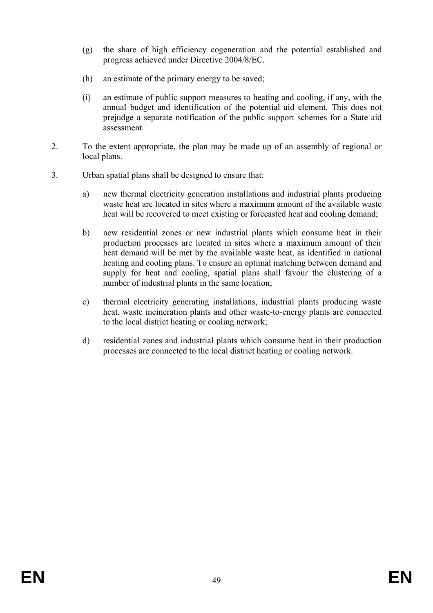- (g) the share of high efficiency cogeneration and the potential established and progress achieved under Directive 2004/8/EC.
- (h) an estimate of the primary energy to be saved;
- (i) an estimate of public support measures to heating and cooling, if any, with the annual budget and identification of the potential aid element. This does not prejudge a separate notification of the public support schemes for a State aid assessment.
- 2. To the extent appropriate, the plan may be made up of an assembly of regional or local plans.
- 3. Urban spatial plans shall be designed to ensure that:
	- a) new thermal electricity generation installations and industrial plants producing waste heat are located in sites where a maximum amount of the available waste heat will be recovered to meet existing or forecasted heat and cooling demand;
	- b) new residential zones or new industrial plants which consume heat in their production processes are located in sites where a maximum amount of their heat demand will be met by the available waste heat, as identified in national heating and cooling plans. To ensure an optimal matching between demand and supply for heat and cooling, spatial plans shall favour the clustering of a number of industrial plants in the same location;
	- c) thermal electricity generating installations, industrial plants producing waste heat, waste incineration plants and other waste-to-energy plants are connected to the local district heating or cooling network;
	- d) residential zones and industrial plants which consume heat in their production processes are connected to the local district heating or cooling network.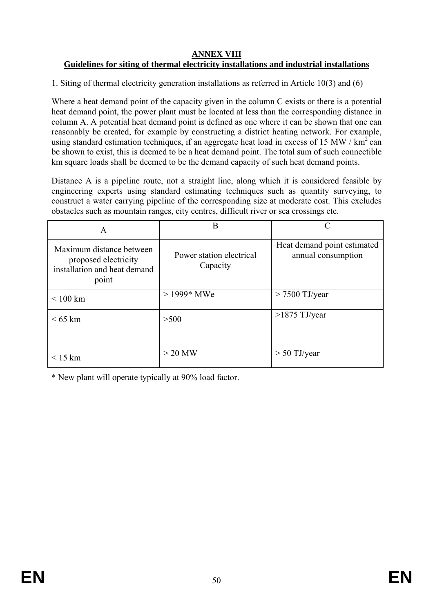### **ANNEX VIII Guidelines for siting of thermal electricity installations and industrial installations**

1. Siting of thermal electricity generation installations as referred in Article 10(3) and (6)

Where a heat demand point of the capacity given in the column C exists or there is a potential heat demand point, the power plant must be located at less than the corresponding distance in column A. A potential heat demand point is defined as one where it can be shown that one can reasonably be created, for example by constructing a district heating network. For example, using standard estimation techniques, if an aggregate heat load in excess of 15 MW /  $km^2$  can be shown to exist, this is deemed to be a heat demand point. The total sum of such connectible km square loads shall be deemed to be the demand capacity of such heat demand points.

Distance A is a pipeline route, not a straight line, along which it is considered feasible by engineering experts using standard estimating techniques such as quantity surveying, to construct a water carrying pipeline of the corresponding size at moderate cost. This excludes obstacles such as mountain ranges, city centres, difficult river or sea crossings etc.

| A                                                                                         | В                                    | $\mathcal{C}_{\mathcal{C}}$                       |
|-------------------------------------------------------------------------------------------|--------------------------------------|---------------------------------------------------|
| Maximum distance between<br>proposed electricity<br>installation and heat demand<br>point | Power station electrical<br>Capacity | Heat demand point estimated<br>annual consumption |
| $\leq 100$ km                                                                             | $>1999*$ MWe                         | $> 7500$ TJ/year                                  |
| $< 65$ km                                                                                 | >500                                 | $>1875$ TJ/year                                   |
| $\leq$ 15 km                                                                              | $>$ 20 MW                            | $> 50$ TJ/year                                    |

\* New plant will operate typically at 90% load factor.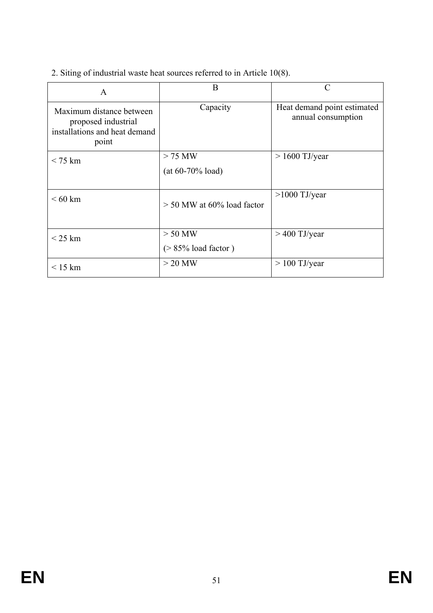2. Siting of industrial waste heat sources referred to in Article 10(8).

| A                                                                                         | B                                   | C                                                 |
|-------------------------------------------------------------------------------------------|-------------------------------------|---------------------------------------------------|
| Maximum distance between<br>proposed industrial<br>installations and heat demand<br>point | Capacity                            | Heat demand point estimated<br>annual consumption |
| $<$ 75 km                                                                                 | $>$ 75 MW<br>$(at 60-70\% load)$    | $> 1600$ TJ/year                                  |
| $\leq 60$ km                                                                              | $>$ 50 MW at 60% load factor        | $>1000$ TJ/year                                   |
| $\leq$ 25 km                                                                              | $> 50$ MW<br>$($ > 85% load factor) | $>$ 400 TJ/year                                   |
| < 15 km                                                                                   | $>$ 20 MW                           | $> 100$ TJ/year                                   |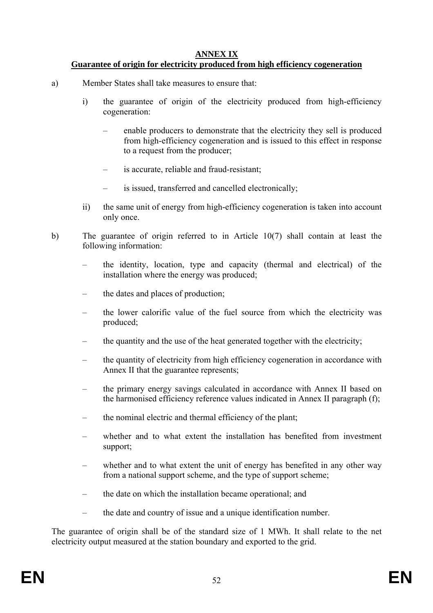## **ANNEX IX**

## **Guarantee of origin for electricity produced from high efficiency cogeneration**

- a) Member States shall take measures to ensure that:
	- i) the guarantee of origin of the electricity produced from high-efficiency cogeneration:
		- enable producers to demonstrate that the electricity they sell is produced from high-efficiency cogeneration and is issued to this effect in response to a request from the producer;
		- is accurate, reliable and fraud-resistant;
		- is issued, transferred and cancelled electronically;
	- ii) the same unit of energy from high-efficiency cogeneration is taken into account only once.
- b) The guarantee of origin referred to in Article 10(7) shall contain at least the following information:
	- the identity, location, type and capacity (thermal and electrical) of the installation where the energy was produced;
	- the dates and places of production;
	- the lower calorific value of the fuel source from which the electricity was produced;
	- the quantity and the use of the heat generated together with the electricity;
	- the quantity of electricity from high efficiency cogeneration in accordance with Annex II that the guarantee represents;
	- the primary energy savings calculated in accordance with Annex II based on the harmonised efficiency reference values indicated in Annex II paragraph (f);
	- the nominal electric and thermal efficiency of the plant;
	- whether and to what extent the installation has benefited from investment support;
	- whether and to what extent the unit of energy has benefited in any other way from a national support scheme, and the type of support scheme;
	- the date on which the installation became operational; and
	- the date and country of issue and a unique identification number.

The guarantee of origin shall be of the standard size of 1 MWh. It shall relate to the net electricity output measured at the station boundary and exported to the grid.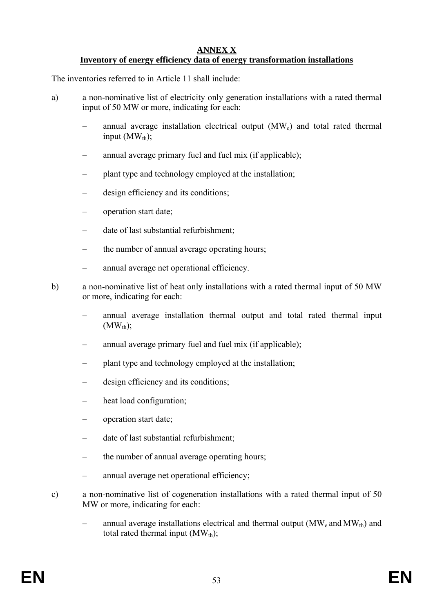#### **ANNEX X Inventory of energy efficiency data of energy transformation installations**

The inventories referred to in Article 11 shall include:

- a) a non-nominative list of electricity only generation installations with a rated thermal input of 50 MW or more, indicating for each:
	- annual average installation electrical output  $(MW_e)$  and total rated thermal input  $(MW_{th})$ ;
	- annual average primary fuel and fuel mix (if applicable);
	- plant type and technology employed at the installation;
	- design efficiency and its conditions;
	- operation start date;
	- date of last substantial refurbishment;
	- the number of annual average operating hours;
	- annual average net operational efficiency.
- b) a non-nominative list of heat only installations with a rated thermal input of 50 MW or more, indicating for each:
	- annual average installation thermal output and total rated thermal input  $(MW_{th})$ ;
	- annual average primary fuel and fuel mix (if applicable);
	- plant type and technology employed at the installation;
	- design efficiency and its conditions;
	- heat load configuration;
	- operation start date;
	- date of last substantial refurbishment;
	- the number of annual average operating hours;
	- annual average net operational efficiency;
- c) a non-nominative list of cogeneration installations with a rated thermal input of 50 MW or more, indicating for each:
	- annual average installations electrical and thermal output ( $\text{MW}_e$  and  $\text{MW}_\text{th}$ ) and total rated thermal input  $(MW<sub>th</sub>)$ ;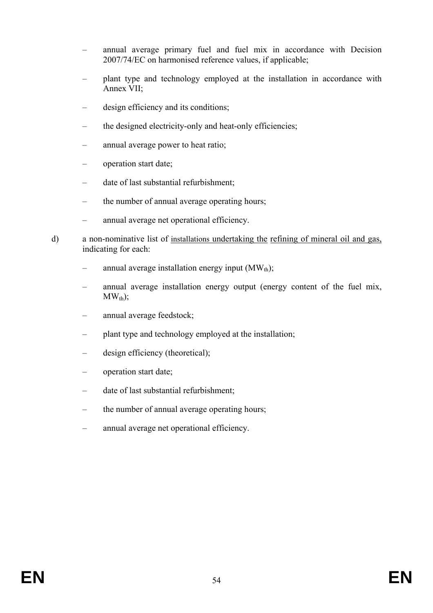- annual average primary fuel and fuel mix in accordance with Decision 2007/74/EC on harmonised reference values, if applicable;
- plant type and technology employed at the installation in accordance with Annex VII;
- design efficiency and its conditions;
- the designed electricity-only and heat-only efficiencies;
- annual average power to heat ratio;
- operation start date;
- date of last substantial refurbishment;
- the number of annual average operating hours;
- annual average net operational efficiency.
- d) a non-nominative list of installations undertaking the refining of mineral oil and gas, indicating for each:
	- annual average installation energy input  $(MW<sub>th</sub>)$ ;
	- annual average installation energy output (energy content of the fuel mix,  $MW<sub>th</sub>$ );
	- annual average feedstock;
	- plant type and technology employed at the installation;
	- design efficiency (theoretical);
	- operation start date;
	- date of last substantial refurbishment;
	- the number of annual average operating hours;
	- annual average net operational efficiency.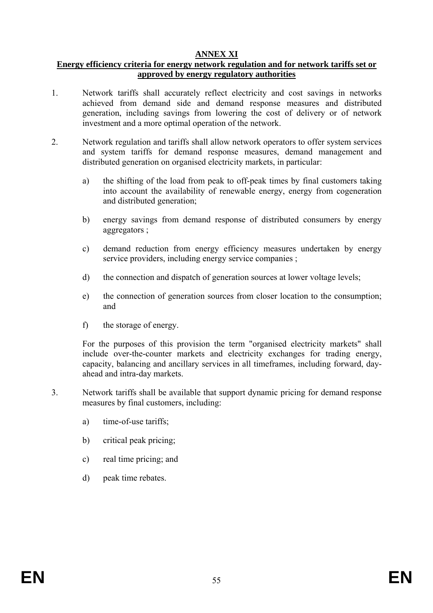## **ANNEX XI**

### **Energy efficiency criteria for energy network regulation and for network tariffs set or approved by energy regulatory authorities**

- 1. Network tariffs shall accurately reflect electricity and cost savings in networks achieved from demand side and demand response measures and distributed generation, including savings from lowering the cost of delivery or of network investment and a more optimal operation of the network.
- 2. Network regulation and tariffs shall allow network operators to offer system services and system tariffs for demand response measures, demand management and distributed generation on organised electricity markets, in particular:
	- a) the shifting of the load from peak to off-peak times by final customers taking into account the availability of renewable energy, energy from cogeneration and distributed generation;
	- b) energy savings from demand response of distributed consumers by energy aggregators ;
	- c) demand reduction from energy efficiency measures undertaken by energy service providers, including energy service companies ;
	- d) the connection and dispatch of generation sources at lower voltage levels;
	- e) the connection of generation sources from closer location to the consumption; and
	- f) the storage of energy.

For the purposes of this provision the term "organised electricity markets" shall include over-the-counter markets and electricity exchanges for trading energy, capacity, balancing and ancillary services in all timeframes, including forward, dayahead and intra-day markets.

- 3. Network tariffs shall be available that support dynamic pricing for demand response measures by final customers, including:
	- a) time-of-use tariffs;
	- b) critical peak pricing;
	- c) real time pricing; and
	- d) peak time rebates.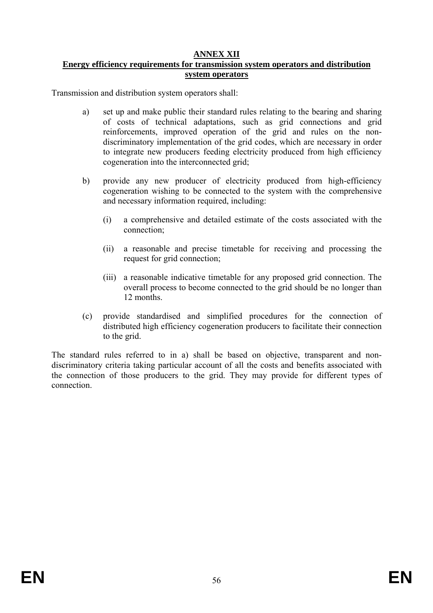## **ANNEX XII**

## **Energy efficiency requirements for transmission system operators and distribution system operators**

Transmission and distribution system operators shall:

- a) set up and make public their standard rules relating to the bearing and sharing of costs of technical adaptations, such as grid connections and grid reinforcements, improved operation of the grid and rules on the nondiscriminatory implementation of the grid codes, which are necessary in order to integrate new producers feeding electricity produced from high efficiency cogeneration into the interconnected grid;
- b) provide any new producer of electricity produced from high-efficiency cogeneration wishing to be connected to the system with the comprehensive and necessary information required, including:
	- (i) a comprehensive and detailed estimate of the costs associated with the connection;
	- (ii) a reasonable and precise timetable for receiving and processing the request for grid connection;
	- (iii) a reasonable indicative timetable for any proposed grid connection. The overall process to become connected to the grid should be no longer than 12 months.
- (c) provide standardised and simplified procedures for the connection of distributed high efficiency cogeneration producers to facilitate their connection to the grid.

The standard rules referred to in a) shall be based on objective, transparent and nondiscriminatory criteria taking particular account of all the costs and benefits associated with the connection of those producers to the grid. They may provide for different types of connection.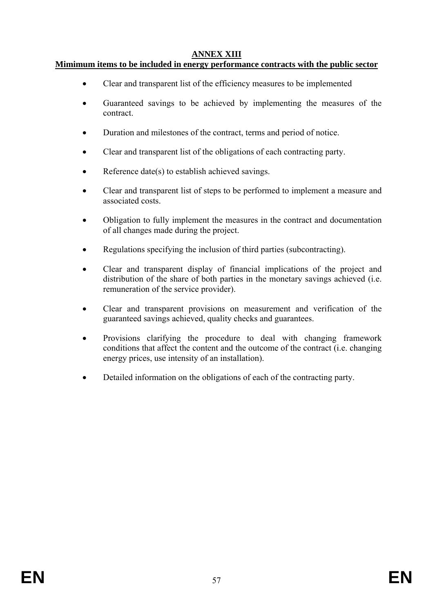# **ANNEX XIII**

## **Mimimum items to be included in energy performance contracts with the public sector**

- Clear and transparent list of the efficiency measures to be implemented
- Guaranteed savings to be achieved by implementing the measures of the contract.
- Duration and milestones of the contract, terms and period of notice.
- Clear and transparent list of the obligations of each contracting party.
- Reference date(s) to establish achieved savings.
- Clear and transparent list of steps to be performed to implement a measure and associated costs.
- Obligation to fully implement the measures in the contract and documentation of all changes made during the project.
- Regulations specifying the inclusion of third parties (subcontracting).
- Clear and transparent display of financial implications of the project and distribution of the share of both parties in the monetary savings achieved (i.e. remuneration of the service provider).
- Clear and transparent provisions on measurement and verification of the guaranteed savings achieved, quality checks and guarantees.
- Provisions clarifying the procedure to deal with changing framework conditions that affect the content and the outcome of the contract (i.e. changing energy prices, use intensity of an installation).
- Detailed information on the obligations of each of the contracting party.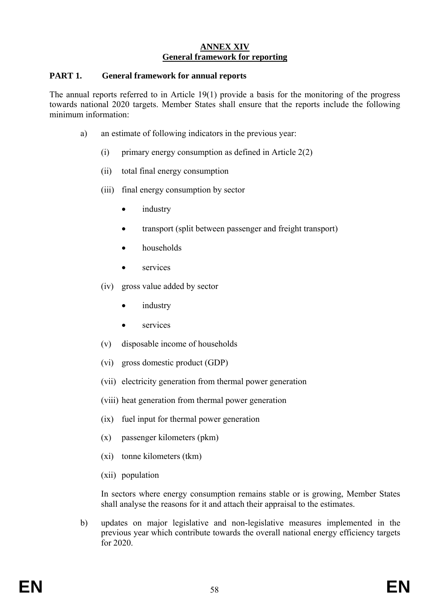### **ANNEX XIV General framework for reporting**

#### **PART 1. General framework for annual reports**

The annual reports referred to in Article 19(1) provide a basis for the monitoring of the progress towards national 2020 targets. Member States shall ensure that the reports include the following minimum information:

- a) an estimate of following indicators in the previous year:
	- (i) primary energy consumption as defined in Article 2(2)
	- (ii) total final energy consumption
	- (iii) final energy consumption by sector
		- industry
		- transport (split between passenger and freight transport)
		- households
		- services
	- (iv) gross value added by sector
		- *industry*
		- services
	- (v) disposable income of households
	- (vi) gross domestic product (GDP)
	- (vii) electricity generation from thermal power generation
	- (viii) heat generation from thermal power generation
	- (ix) fuel input for thermal power generation
	- (x) passenger kilometers (pkm)
	- (xi) tonne kilometers (tkm)
	- (xii) population

In sectors where energy consumption remains stable or is growing, Member States shall analyse the reasons for it and attach their appraisal to the estimates.

b) updates on major legislative and non-legislative measures implemented in the previous year which contribute towards the overall national energy efficiency targets for 2020.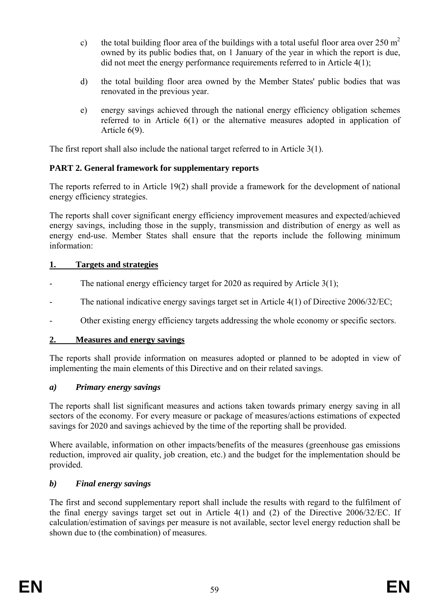- c) the total building floor area of the buildings with a total useful floor area over  $250 \text{ m}^2$ owned by its public bodies that, on 1 January of the year in which the report is due, did not meet the energy performance requirements referred to in Article 4(1);
- d) the total building floor area owned by the Member States' public bodies that was renovated in the previous year.
- e) energy savings achieved through the national energy efficiency obligation schemes referred to in Article 6(1) or the alternative measures adopted in application of Article 6(9).

The first report shall also include the national target referred to in Article 3(1).

# **PART 2. General framework for supplementary reports**

The reports referred to in Article 19(2) shall provide a framework for the development of national energy efficiency strategies.

The reports shall cover significant energy efficiency improvement measures and expected/achieved energy savings, including those in the supply, transmission and distribution of energy as well as energy end-use. Member States shall ensure that the reports include the following minimum information:

# **1. Targets and strategies**

- The national energy efficiency target for 2020 as required by Article  $3(1)$ ;
- The national indicative energy savings target set in Article  $4(1)$  of Directive 2006/32/EC;
- Other existing energy efficiency targets addressing the whole economy or specific sectors.

## **2. Measures and energy savings**

The reports shall provide information on measures adopted or planned to be adopted in view of implementing the main elements of this Directive and on their related savings.

## *a) Primary energy savings*

The reports shall list significant measures and actions taken towards primary energy saving in all sectors of the economy. For every measure or package of measures/actions estimations of expected savings for 2020 and savings achieved by the time of the reporting shall be provided.

Where available, information on other impacts/benefits of the measures (greenhouse gas emissions reduction, improved air quality, job creation, etc.) and the budget for the implementation should be provided.

# *b) Final energy savings*

The first and second supplementary report shall include the results with regard to the fulfilment of the final energy savings target set out in Article 4(1) and (2) of the Directive 2006/32/EC. If calculation/estimation of savings per measure is not available, sector level energy reduction shall be shown due to (the combination) of measures.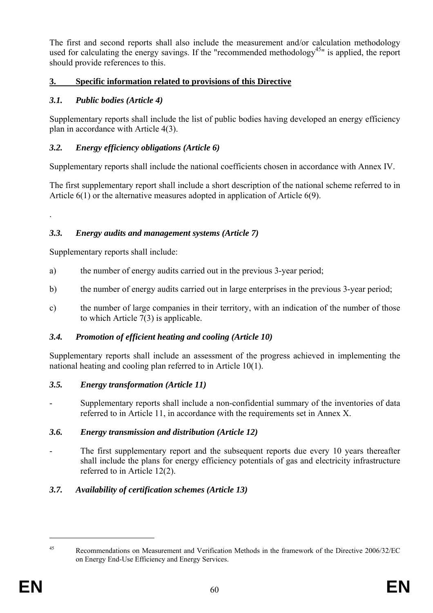The first and second reports shall also include the measurement and/or calculation methodology used for calculating the energy savings. If the "recommended methodology<sup>45</sup>" is applied, the report should provide references to this.

# **3. Specific information related to provisions of this Directive**

# *3.1. Public bodies (Article 4)*

Supplementary reports shall include the list of public bodies having developed an energy efficiency plan in accordance with Article 4(3).

# *3.2. Energy efficiency obligations (Article 6)*

Supplementary reports shall include the national coefficients chosen in accordance with Annex IV.

The first supplementary report shall include a short description of the national scheme referred to in Article 6(1) or the alternative measures adopted in application of Article 6(9).

# *3.3. Energy audits and management systems (Article 7)*

Supplementary reports shall include:

.

- a) the number of energy audits carried out in the previous 3-year period;
- b) the number of energy audits carried out in large enterprises in the previous 3-year period;
- c) the number of large companies in their territory, with an indication of the number of those to which Article 7(3) is applicable.

## *3.4. Promotion of efficient heating and cooling (Article 10)*

Supplementary reports shall include an assessment of the progress achieved in implementing the national heating and cooling plan referred to in Article 10(1).

## *3.5. Energy transformation (Article 11)*

- Supplementary reports shall include a non-confidential summary of the inventories of data referred to in Article 11, in accordance with the requirements set in Annex X.

# *3.6. Energy transmission and distribution (Article 12)*

The first supplementary report and the subsequent reports due every 10 years thereafter shall include the plans for energy efficiency potentials of gas and electricity infrastructure referred to in Article 12(2).

# *3.7. Availability of certification schemes (Article 13)*

 $\overline{a}$ 

<sup>45</sup> Recommendations on Measurement and Verification Methods in the framework of the Directive 2006/32/EC on Energy End-Use Efficiency and Energy Services.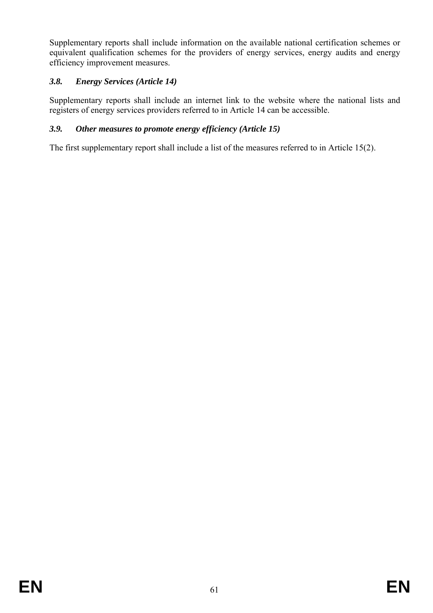Supplementary reports shall include information on the available national certification schemes or equivalent qualification schemes for the providers of energy services, energy audits and energy efficiency improvement measures.

# *3.8. Energy Services (Article 14)*

Supplementary reports shall include an internet link to the website where the national lists and registers of energy services providers referred to in Article 14 can be accessible.

## *3.9. Other measures to promote energy efficiency (Article 15)*

The first supplementary report shall include a list of the measures referred to in Article 15(2).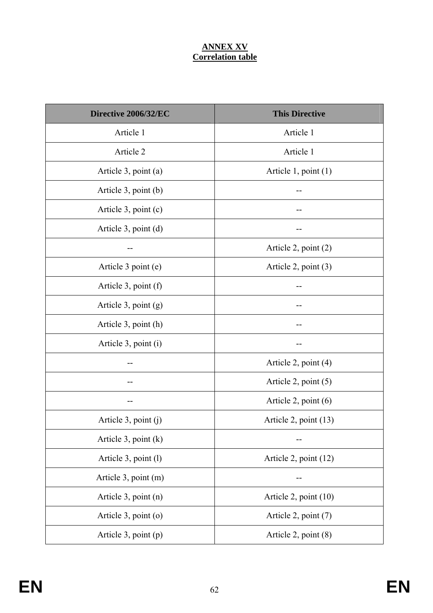# **ANNEX XV Correlation table**

| Directive 2006/32/EC      | <b>This Directive</b>  |
|---------------------------|------------------------|
| Article 1                 | Article 1              |
| Article 2                 | Article 1              |
| Article 3, point (a)      | Article 1, point (1)   |
| Article 3, point (b)      |                        |
| Article 3, point (c)      |                        |
| Article 3, point (d)      |                        |
|                           | Article 2, point (2)   |
| Article 3 point (e)       | Article 2, point $(3)$ |
| Article 3, point (f)      |                        |
| Article 3, point (g)      |                        |
| Article 3, point (h)      |                        |
| Article 3, point (i)      |                        |
|                           | Article 2, point (4)   |
| --                        | Article 2, point $(5)$ |
|                           | Article 2, point $(6)$ |
| Article $3$ , point $(j)$ | Article 2, point (13)  |
| Article 3, point $(k)$    |                        |
| Article 3, point (l)      | Article 2, point (12)  |
| Article 3, point (m)      |                        |
| Article 3, point (n)      | Article 2, point (10)  |
| Article 3, point (o)      | Article 2, point (7)   |
| Article 3, point (p)      | Article 2, point (8)   |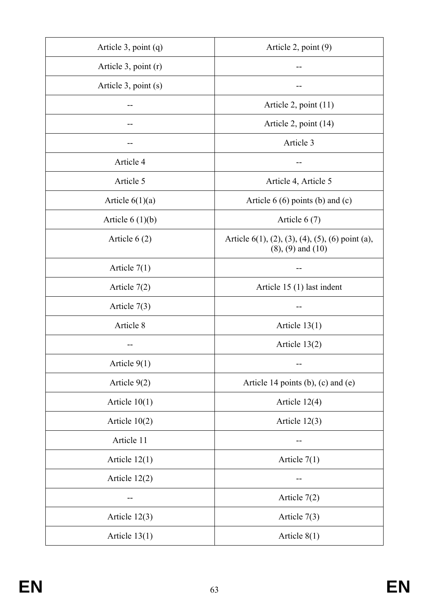| Article 3, point (q)      | Article 2, point $(9)$                                                                           |
|---------------------------|--------------------------------------------------------------------------------------------------|
| Article $3$ , point $(r)$ |                                                                                                  |
| Article 3, point (s)      |                                                                                                  |
|                           | Article 2, point $(11)$                                                                          |
|                           | Article 2, point (14)                                                                            |
|                           | Article 3                                                                                        |
| Article 4                 |                                                                                                  |
| Article 5                 | Article 4, Article 5                                                                             |
| Article $6(1)(a)$         | Article $6(6)$ points (b) and (c)                                                                |
| Article $6(1)(b)$         | Article $6(7)$                                                                                   |
| Article $6(2)$            | Article $6(1)$ , $(2)$ , $(3)$ , $(4)$ , $(5)$ , $(6)$ point $(a)$ ,<br>$(8)$ , $(9)$ and $(10)$ |
| Article $7(1)$            |                                                                                                  |
| Article $7(2)$            | Article 15 (1) last indent                                                                       |
| Article $7(3)$            |                                                                                                  |
| Article 8                 | Article $13(1)$                                                                                  |
|                           | Article 13(2)                                                                                    |
| Article $9(1)$            |                                                                                                  |
| Article $9(2)$            | Article 14 points (b), (c) and (e)                                                               |
| Article $10(1)$           | Article $12(4)$                                                                                  |
| Article $10(2)$           | Article $12(3)$                                                                                  |
| Article 11                |                                                                                                  |
| Article $12(1)$           | Article $7(1)$                                                                                   |
| Article $12(2)$           |                                                                                                  |
|                           | Article $7(2)$                                                                                   |
| Article $12(3)$           | Article $7(3)$                                                                                   |
| Article $13(1)$           | Article $8(1)$                                                                                   |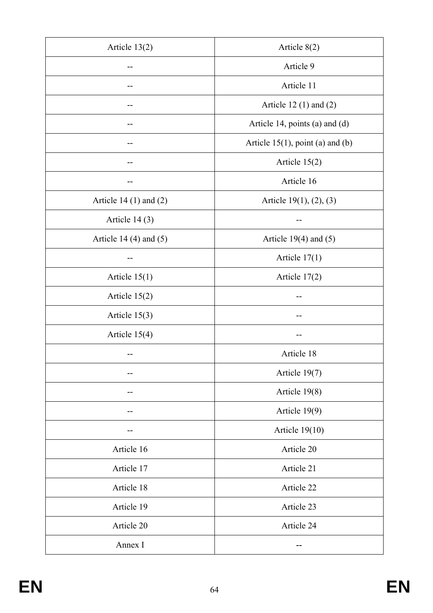| Article $13(2)$            | Article $8(2)$                      |
|----------------------------|-------------------------------------|
|                            | Article 9                           |
|                            | Article 11                          |
|                            | Article 12 $(1)$ and $(2)$          |
|                            | Article 14, points (a) and (d)      |
|                            | Article $15(1)$ , point (a) and (b) |
|                            | Article $15(2)$                     |
|                            | Article 16                          |
| Article 14 $(1)$ and $(2)$ | Article $19(1)$ , $(2)$ , $(3)$     |
| Article $14(3)$            | --                                  |
| Article 14 $(4)$ and $(5)$ | Article $19(4)$ and $(5)$           |
|                            | Article $17(1)$                     |
| Article $15(1)$            | Article $17(2)$                     |
| Article $15(2)$            |                                     |
| Article $15(3)$            |                                     |
| Article $15(4)$            |                                     |
|                            | Article 18                          |
|                            | Article 19(7)                       |
|                            | Article 19(8)                       |
|                            | Article 19(9)                       |
|                            | Article $19(10)$                    |
| Article 16                 | Article 20                          |
| Article 17                 | Article 21                          |
| Article 18                 | Article 22                          |
| Article 19                 | Article 23                          |
| Article 20                 | Article 24                          |
| Annex I                    |                                     |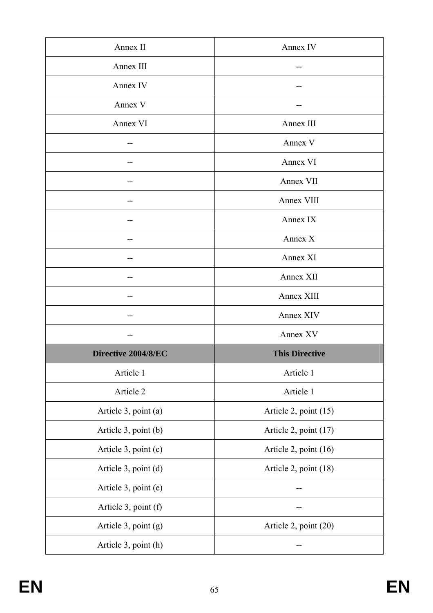| Annex II             | Annex IV              |
|----------------------|-----------------------|
| Annex III            |                       |
| Annex IV             |                       |
| Annex V              |                       |
| Annex VI             | Annex III             |
| --                   | Annex V               |
| --                   | Annex VI              |
|                      | Annex VII             |
|                      | Annex VIII            |
| --                   | Annex IX              |
|                      | Annex X               |
|                      | Annex XI              |
|                      | Annex XII             |
|                      | Annex XIII            |
| --                   | Annex XIV             |
| --                   | Annex XV              |
| Directive 2004/8/EC  | <b>This Directive</b> |
| Article 1            | Article 1             |
| Article 2            | Article 1             |
| Article 3, point (a) |                       |
|                      | Article 2, point (15) |
| Article 3, point (b) | Article 2, point (17) |
| Article 3, point (c) | Article 2, point (16) |
| Article 3, point (d) | Article 2, point (18) |
| Article 3, point (e) |                       |
| Article 3, point (f) |                       |
| Article 3, point (g) | Article 2, point (20) |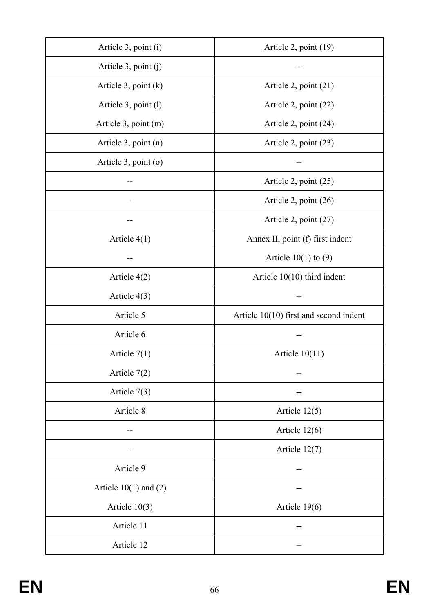| Article 3, point (i)      | Article 2, point (19)                    |
|---------------------------|------------------------------------------|
| Article $3$ , point $(j)$ |                                          |
| Article $3$ , point $(k)$ | Article 2, point (21)                    |
| Article 3, point (1)      | Article 2, point (22)                    |
| Article 3, point (m)      | Article 2, point (24)                    |
| Article 3, point (n)      | Article 2, point (23)                    |
| Article 3, point (o)      |                                          |
|                           | Article 2, point (25)                    |
|                           | Article 2, point (26)                    |
| --                        | Article 2, point (27)                    |
| Article $4(1)$            | Annex II, point (f) first indent         |
| --                        | Article $10(1)$ to $(9)$                 |
| Article $4(2)$            | Article $10(10)$ third indent            |
| Article $4(3)$            |                                          |
| Article 5                 | Article $10(10)$ first and second indent |
| Article 6                 |                                          |
| Article $7(1)$            | Article $10(11)$                         |
| Article $7(2)$            |                                          |
| Article $7(3)$            |                                          |
| Article 8                 | Article $12(5)$                          |
|                           | Article $12(6)$                          |
|                           | Article $12(7)$                          |
| Article 9                 |                                          |
| Article $10(1)$ and $(2)$ |                                          |
| Article $10(3)$           | Article 19(6)                            |
| Article 11                |                                          |
| Article 12                |                                          |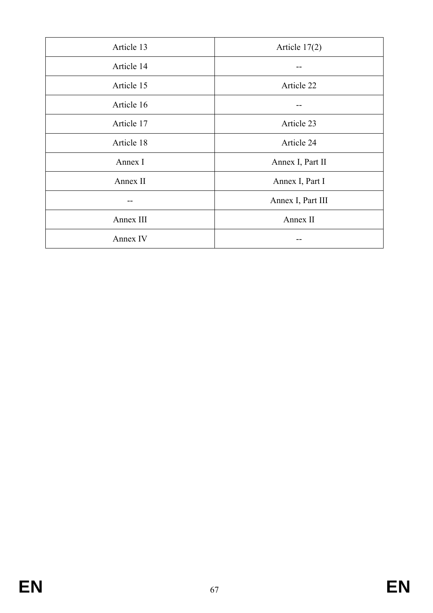| Article 13 | Article $17(2)$   |
|------------|-------------------|
| Article 14 |                   |
| Article 15 | Article 22        |
| Article 16 |                   |
| Article 17 | Article 23        |
| Article 18 | Article 24        |
| Annex I    | Annex I, Part II  |
| Annex II   | Annex I, Part I   |
|            | Annex I, Part III |
| Annex III  | Annex II          |
| Annex IV   |                   |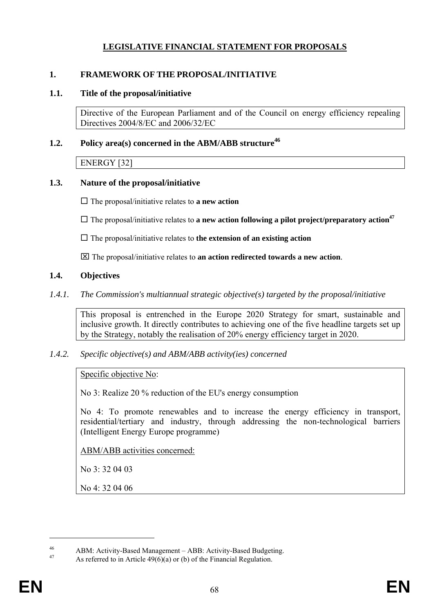# **LEGISLATIVE FINANCIAL STATEMENT FOR PROPOSALS**

### **1. FRAMEWORK OF THE PROPOSAL/INITIATIVE**

### **1.1. Title of the proposal/initiative**

Directive of the European Parliament and of the Council on energy efficiency repealing Directives 2004/8/EC and 2006/32/EC

### **1.2.** Policy area(s) concerned in the ABM/ABB structure<sup>46</sup>

ENERGY [32]

### **1.3. Nature of the proposal/initiative**

 $\Box$  The proposal/initiative relates to **a new action** 

 $\Box$  The proposal/initiative relates to **a new action following a pilot project/preparatory action**<sup>47</sup>

 $\Box$  The proposal/initiative relates to **the extension of an existing action** 

⌧ The proposal/initiative relates to **an action redirected towards a new action**.

## **1.4. Objectives**

*1.4.1. The Commission's multiannual strategic objective(s) targeted by the proposal/initiative* 

This proposal is entrenched in the Europe 2020 Strategy for smart, sustainable and inclusive growth. It directly contributes to achieving one of the five headline targets set up by the Strategy, notably the realisation of 20% energy efficiency target in 2020.

*1.4.2. Specific objective(s) and ABM/ABB activity(ies) concerned* 

Specific objective No:

No 3: Realize 20 % reduction of the EU's energy consumption

No 4: To promote renewables and to increase the energy efficiency in transport, residential/tertiary and industry, through addressing the non-technological barriers (Intelligent Energy Europe programme)

ABM/ABB activities concerned:

No 3: 32 04 03

No 4: 32 04 06

 $\overline{a}$ 

<sup>46</sup> ABM: Activity-Based Management – ABB: Activity-Based Budgeting.

As referred to in Article  $49(6)(a)$  or (b) of the Financial Regulation.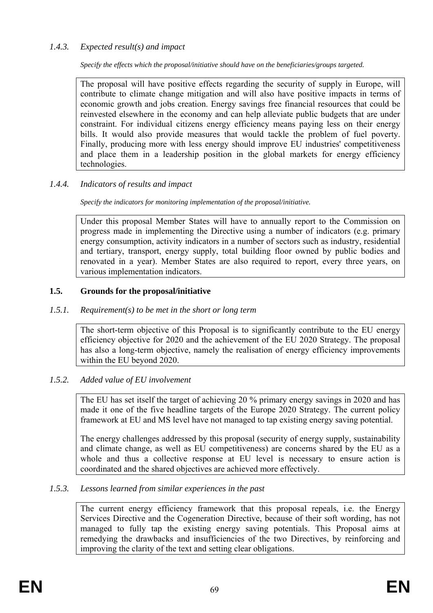## *1.4.3. Expected result(s) and impact*

*Specify the effects which the proposal/initiative should have on the beneficiaries/groups targeted.* 

The proposal will have positive effects regarding the security of supply in Europe, will contribute to climate change mitigation and will also have positive impacts in terms of economic growth and jobs creation. Energy savings free financial resources that could be reinvested elsewhere in the economy and can help alleviate public budgets that are under constraint. For individual citizens energy efficiency means paying less on their energy bills. It would also provide measures that would tackle the problem of fuel poverty. Finally, producing more with less energy should improve EU industries' competitiveness and place them in a leadership position in the global markets for energy efficiency technologies.

## *1.4.4. Indicators of results and impact*

*Specify the indicators for monitoring implementation of the proposal/initiative.* 

Under this proposal Member States will have to annually report to the Commission on progress made in implementing the Directive using a number of indicators (e.g. primary energy consumption, activity indicators in a number of sectors such as industry, residential and tertiary, transport, energy supply, total building floor owned by public bodies and renovated in a year). Member States are also required to report, every three years, on various implementation indicators.

## **1.5. Grounds for the proposal/initiative**

### *1.5.1. Requirement(s) to be met in the short or long term*

The short-term objective of this Proposal is to significantly contribute to the EU energy efficiency objective for 2020 and the achievement of the EU 2020 Strategy. The proposal has also a long-term objective, namely the realisation of energy efficiency improvements within the EU beyond 2020.

### *1.5.2. Added value of EU involvement*

The EU has set itself the target of achieving 20 % primary energy savings in 2020 and has made it one of the five headline targets of the Europe 2020 Strategy. The current policy framework at EU and MS level have not managed to tap existing energy saving potential.

The energy challenges addressed by this proposal (security of energy supply, sustainability and climate change, as well as EU competitiveness) are concerns shared by the EU as a whole and thus a collective response at EU level is necessary to ensure action is coordinated and the shared objectives are achieved more effectively.

### *1.5.3. Lessons learned from similar experiences in the past*

The current energy efficiency framework that this proposal repeals, i.e. the Energy Services Directive and the Cogeneration Directive, because of their soft wording, has not managed to fully tap the existing energy saving potentials. This Proposal aims at remedying the drawbacks and insufficiencies of the two Directives, by reinforcing and improving the clarity of the text and setting clear obligations.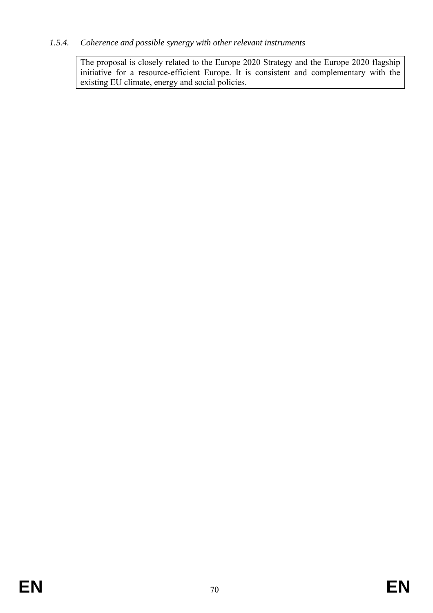## *1.5.4. Coherence and possible synergy with other relevant instruments*

The proposal is closely related to the Europe 2020 Strategy and the Europe 2020 flagship initiative for a resource-efficient Europe. It is consistent and complementary with the existing EU climate, energy and social policies.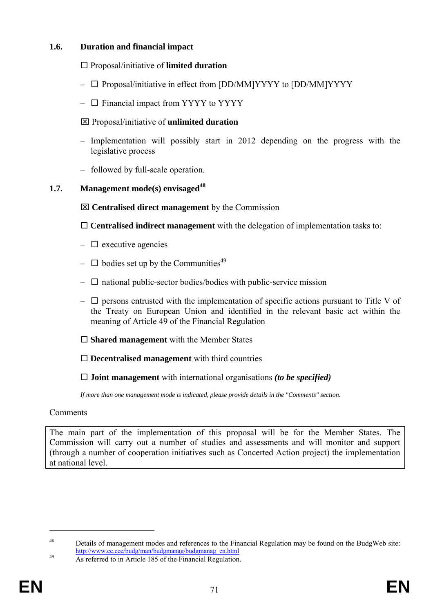## **1.6. Duration and financial impact**

### □ Proposal/initiative of **limited duration**

- $\Box$  Proposal/initiative in effect from [DD/MM]YYYY to [DD/MM]YYYY
- $\Box$  Financial impact from YYYY to YYYY

### ⌧ Proposal/initiative of **unlimited duration**

- Implementation will possibly start in 2012 depending on the progress with the legislative process
- followed by full-scale operation.

## **1.7.** Management mode(s) envisaged<sup>48</sup>

⌧ **Centralised direct management** by the Commission

**Centralised indirect management** with the delegation of implementation tasks to:

- $\Box$  executive agencies
- $\Box$  bodies set up by the Communities<sup>49</sup>
- $\Box$  national public-sector bodies/bodies with public-service mission
- $\Box$  persons entrusted with the implementation of specific actions pursuant to Title V of the Treaty on European Union and identified in the relevant basic act within the meaning of Article 49 of the Financial Regulation
- **Shared management** with the Member States

**Decentralised management** with third countries

**Joint management** with international organisations *(to be specified)* 

*If more than one management mode is indicated, please provide details in the "Comments" section.* 

### **Comments**

The main part of the implementation of this proposal will be for the Member States. The Commission will carry out a number of studies and assessments and will monitor and support (through a number of cooperation initiatives such as Concerted Action project) the implementation at national level.

<sup>48</sup> Details of management modes and references to the Financial Regulation may be found on the BudgWeb site: [http://www.cc.cec/budg/man/budgmanag/budgmanag\\_en.html](http://www.cc.cec/budg/man/budgmanag/budgmanag_en.html) As referred to in Article 185 of the Financial Regulation.

 $\overline{a}$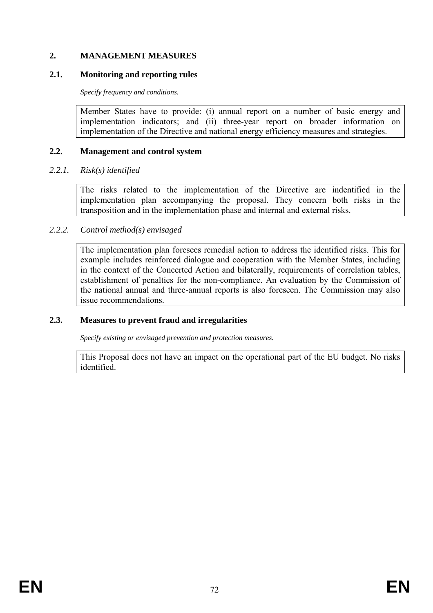# **2. MANAGEMENT MEASURES**

# **2.1. Monitoring and reporting rules**

*Specify frequency and conditions.* 

Member States have to provide: (i) annual report on a number of basic energy and implementation indicators; and (ii) three-year report on broader information on implementation of the Directive and national energy efficiency measures and strategies.

# **2.2. Management and control system**

# *2.2.1. Risk(s) identified*

The risks related to the implementation of the Directive are indentified in the implementation plan accompanying the proposal. They concern both risks in the transposition and in the implementation phase and internal and external risks.

# *2.2.2. Control method(s) envisaged*

The implementation plan foresees remedial action to address the identified risks. This for example includes reinforced dialogue and cooperation with the Member States, including in the context of the Concerted Action and bilaterally, requirements of correlation tables, establishment of penalties for the non-compliance. An evaluation by the Commission of the national annual and three-annual reports is also foreseen. The Commission may also issue recommendations.

# **2.3. Measures to prevent fraud and irregularities**

*Specify existing or envisaged prevention and protection measures.* 

This Proposal does not have an impact on the operational part of the EU budget. No risks identified.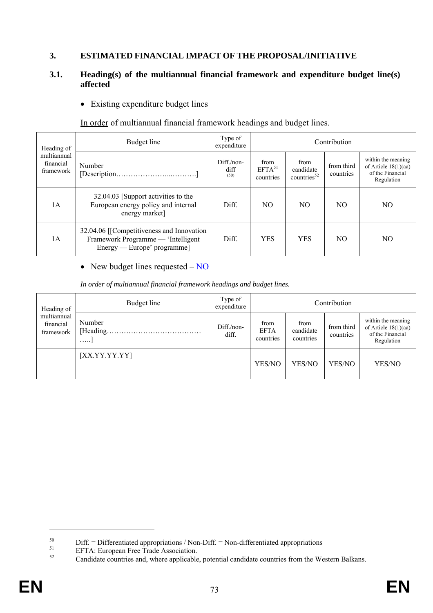# **3. ESTIMATED FINANCIAL IMPACT OF THE PROPOSAL/INITIATIVE**

# **3.1. Heading(s) of the multiannual financial framework and expenditure budget line(s) affected**

• Existing expenditure budget lines

In order of multiannual financial framework headings and budget lines.

| Heading of                            | Budget line                                                                                                     | Type of<br>expenditure      |                                         | Contribution                        |                                                                |                                                                                |  |  |  |
|---------------------------------------|-----------------------------------------------------------------------------------------------------------------|-----------------------------|-----------------------------------------|-------------------------------------|----------------------------------------------------------------|--------------------------------------------------------------------------------|--|--|--|
| multiannual<br>financial<br>framework | Number                                                                                                          | $Diff/non-$<br>diff<br>(50) | from<br>EFTA <sup>51</sup><br>countries | from<br>candidate<br>countries $52$ | from third<br>countries<br>NO.<br>NO.<br>NO.<br>N <sub>O</sub> | within the meaning<br>of Article $18(1)(aa)$<br>of the Financial<br>Regulation |  |  |  |
| 1A                                    | 32.04.03 [Support activities to the<br>European energy policy and internal<br>energy market]                    | Diff.                       | NO.                                     | NO.                                 |                                                                |                                                                                |  |  |  |
| 1A                                    | 32.04.06 [[Competitiveness and Innovation]<br>Framework Programme — 'Intelligent<br>Energy — Europe' programme] | Diff.                       | <b>YES</b>                              | <b>YES</b>                          |                                                                |                                                                                |  |  |  |

### • New budget lines requested – NO

*In order of multiannual financial framework headings and budget lines.* 

| Heading of                            | Budget line                     | Type of<br>expenditure | Contribution                     |                                |                         |                                                                                |  |  |  |  |
|---------------------------------------|---------------------------------|------------------------|----------------------------------|--------------------------------|-------------------------|--------------------------------------------------------------------------------|--|--|--|--|
| multiannual<br>financial<br>framework | Number<br>[Heading.<br>$\cdots$ | Diff./non-<br>diff.    | from<br><b>EFTA</b><br>countries | from<br>candidate<br>countries | from third<br>countries | within the meaning<br>of Article $18(1)(aa)$<br>of the Financial<br>Regulation |  |  |  |  |
|                                       | [XX.YY.YY.YY]                   |                        | YES/NO                           | YES/NO                         | YES/NO                  | YES/NO                                                                         |  |  |  |  |

 $\overline{a}$ 

<sup>&</sup>lt;sup>50</sup> Diff. = Differentiated appropriations / Non-Diff. = Non-differentiated appropriations<br>
EFTA: European Free Trade Association.<br>
Condidate acquires from the Way

Candidate countries and, where applicable, potential candidate countries from the Western Balkans.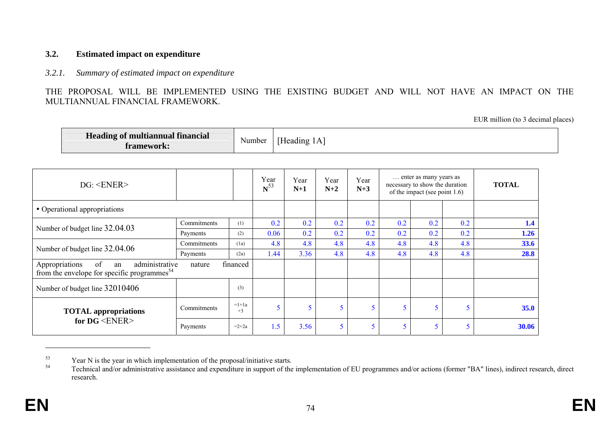### **3.2. Estimated impact on expenditure**

### *3.2.1. Summary of estimated impact on expenditure*

THE PROPOSAL WILL BE IMPLEMENTED USING THE EXISTING BUDGET AND WILL NOT HAVE AN IMPACT ON THE MULTIANNUAL FINANCIAL FRAMEWORK.

EUR million (to 3 decimal places)

| framework:                                                                                              | <b>Heading of multiannual financial</b> |                 |                  |               |               |               |     |                                                                                              |     |              |
|---------------------------------------------------------------------------------------------------------|-----------------------------------------|-----------------|------------------|---------------|---------------|---------------|-----|----------------------------------------------------------------------------------------------|-----|--------------|
| DG: <b>ENER</b>                                                                                         |                                         |                 | Year<br>$N^{53}$ | Year<br>$N+1$ | Year<br>$N+2$ | Year<br>$N+3$ |     | enter as many years as<br>necessary to show the duration<br>of the impact (see point $1.6$ ) |     | <b>TOTAL</b> |
| • Operational appropriations                                                                            |                                         |                 |                  |               |               |               |     |                                                                                              |     |              |
|                                                                                                         | Commitments                             | (1)             | 0.2              | 0.2           | 0.2           | 0.2           | 0.2 | 0.2                                                                                          | 0.2 | 1.4          |
| Number of budget line 32.04.03                                                                          | Payments                                | (2)             | 0.06             | 0.2           | 0.2           | 0.2           | 0.2 | 0.2                                                                                          | 0.2 | 1.26         |
| Number of budget line 32.04.06                                                                          | Commitments                             | (1a)            | 4.8              | 4.8           | 4.8           | 4.8           | 4.8 | 4.8                                                                                          | 4.8 | 33.6         |
|                                                                                                         | Payments                                | (2a)            | 1.44             | 3.36          | 4.8           | 4.8           | 4.8 | 4.8                                                                                          | 4.8 | 28.8         |
| Appropriations<br>of<br>administrative<br>an<br>from the envelope for specific programmes <sup>54</sup> | financed                                |                 |                  |               |               |               |     |                                                                                              |     |              |
| Number of budget line 32010406                                                                          |                                         | (3)             |                  |               |               |               |     |                                                                                              |     |              |
| <b>TOTAL</b> appropriations                                                                             | Commitments                             | $=1+1a$<br>$+3$ |                  | 5<br>5        | 5             | 5             | 5   | 5                                                                                            | 5   | 35.0         |
| for $DG \leq$ ENER>                                                                                     | Payments                                | $=2+2a$         | 1.5              | 3.56          | 5             | 5             | 5   | 5                                                                                            |     | 30.06        |

 $53$  Year N is the year in which implementation of the proposal/initiative starts.<br> $54$  Technical and/or edministrative scalidance and aunomality in support of the

Technical and/or administrative assistance and expenditure in support of the implementation of EU programmes and/or actions (former "BA" lines), indirect research, direct research.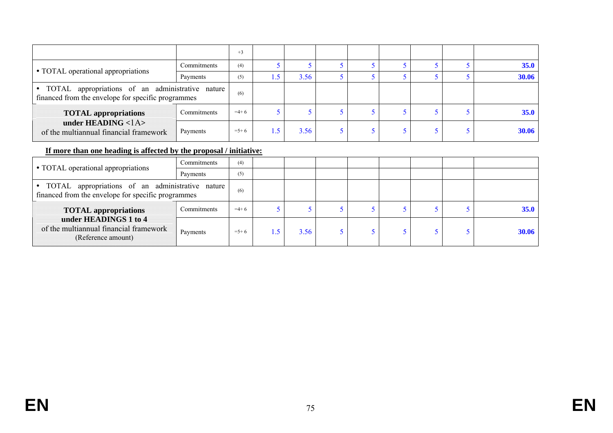|                                                                                                          |             | $+3$    |               |      |  |  |             |
|----------------------------------------------------------------------------------------------------------|-------------|---------|---------------|------|--|--|-------------|
| • TOTAL operational appropriations                                                                       | Commitments | (4)     |               |      |  |  | <b>35.0</b> |
|                                                                                                          | Payments    | (5)     |               | 3.56 |  |  | 30.06       |
| • TOTAL appropriations of an administrative nature<br>financed from the envelope for specific programmes |             |         |               |      |  |  |             |
| <b>TOTAL</b> appropriations                                                                              | Commitments | $=4+6$  |               |      |  |  | <b>35.0</b> |
| under HEADING $<$ 1A $>$<br>of the multiannual financial framework                                       | Payments    | $=$ 5+6 | $\mathcal{L}$ | 3.56 |  |  | 30.06       |

# **If more than one heading is affected by the proposal / initiative:**

| • TOTAL operational appropriations                                                                       | Commitments | (4)     |              |      |  |  |              |
|----------------------------------------------------------------------------------------------------------|-------------|---------|--------------|------|--|--|--------------|
|                                                                                                          | Payments    | (5)     |              |      |  |  |              |
| • TOTAL appropriations of an administrative nature<br>financed from the envelope for specific programmes | (6)         |         |              |      |  |  |              |
| <b>TOTAL appropriations</b>                                                                              | Commitments | $=4+6$  |              |      |  |  | <b>35.0</b>  |
| under HEADINGS 1 to 4<br>of the multiannual financial framework<br>(Reference amount)                    | Payments    | $=$ 5+6 | $\mathbf{E}$ | 3.56 |  |  | <b>30.06</b> |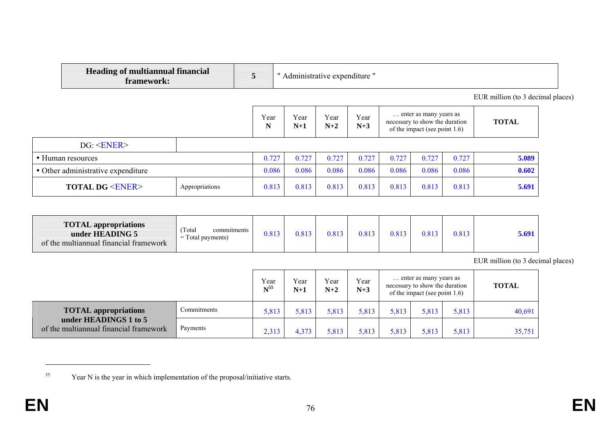| <b>Heading of multiannual financial</b><br>framework: |                | 5     | Administrative expenditure " |       |               |       |                                                                                           |       |                                   |  |
|-------------------------------------------------------|----------------|-------|------------------------------|-------|---------------|-------|-------------------------------------------------------------------------------------------|-------|-----------------------------------|--|
|                                                       |                |       |                              |       |               |       |                                                                                           |       | EUR million (to 3 decimal places) |  |
|                                                       |                |       |                              |       | Year<br>$N+3$ |       | enter as many years as<br>necessary to show the duration<br>of the impact (see point 1.6) |       | <b>TOTAL</b>                      |  |
| DG: <b>ENER</b>                                       |                |       |                              |       |               |       |                                                                                           |       |                                   |  |
| • Human resources                                     |                | 0.727 | 0.727                        | 0.727 | 0.727         | 0.727 | 0.727                                                                                     | 0.727 | 5.089                             |  |
| • Other administrative expenditure                    |                | 0.086 | 0.086                        | 0.086 | 0.086         | 0.086 | 0.086                                                                                     | 0.086 | 0.602                             |  |
| <b>TOTAL DG <ener></ener></b>                         | Appropriations | 0.813 | 0.813                        | 0.813 | 0.813         | 0.813 | 0.813                                                                                     | 0.813 | 5.691                             |  |

| <b>TOTAL</b> appropriations<br>under HEADING 5<br>of the multiannual financial framework | Total<br>commitments<br>Total payments)<br>$=$ | .813 | 0.813 | 0.813 |  | 0.813 | 0.81? | 0.813 | 5.69 |
|------------------------------------------------------------------------------------------|------------------------------------------------|------|-------|-------|--|-------|-------|-------|------|
|------------------------------------------------------------------------------------------|------------------------------------------------|------|-------|-------|--|-------|-------|-------|------|

EUR million (to 3 decimal places)

|                                                                 | Year<br>$N^{55}$ | Year<br>$N+1$ | Year<br>$N+2$ | Year<br>$N+3$ | enter as many years as<br>necessary to show the duration<br>of the impact (see point $1.6$ ) |       |       | <b>TOTAL</b> |        |
|-----------------------------------------------------------------|------------------|---------------|---------------|---------------|----------------------------------------------------------------------------------------------|-------|-------|--------------|--------|
| <b>TOTAL</b> appropriations                                     | Commitments      | 5,813         | 5,813         | 5,813         | 5,813                                                                                        | 5,813 | 5,813 | 5,813        | 40,691 |
| under HEADINGS 1 to 5<br>of the multiannual financial framework | Payments         | 2,313         | 4,373         | 5,813         | 5,813                                                                                        | 5,813 | 5,813 | 5,813        | 35,751 |

<sup>55</sup> Year N is the year in which implementation of the proposal/initiative starts.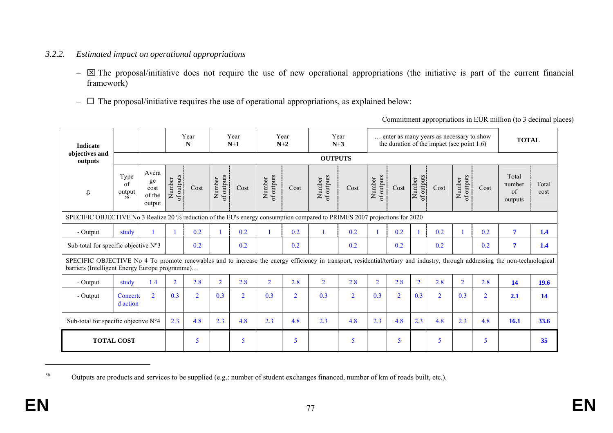# *3.2.2. Estimated impact on operational appropriations*

- $\boxtimes$  The proposal/initiative does not require the use of new operational appropriations (the initiative is part of the current financial framework)
- $\Box$  The proposal/initiative requires the use of operational appropriations, as explained below:

| <b>Indicate</b>                                                                                                                                                                                                                 |                                                           |                                         |                      | Year<br>N      |                      | Year<br>$N+1$  |                      | Year<br>$N+2$  | $N+3$                | Year           |                      |                |                      | enter as many years as necessary to show<br>the duration of the impact (see point $1.6$ ) |                      |                | <b>TOTAL</b>                             |               |
|---------------------------------------------------------------------------------------------------------------------------------------------------------------------------------------------------------------------------------|-----------------------------------------------------------|-----------------------------------------|----------------------|----------------|----------------------|----------------|----------------------|----------------|----------------------|----------------|----------------------|----------------|----------------------|-------------------------------------------------------------------------------------------|----------------------|----------------|------------------------------------------|---------------|
| objectives and<br>outputs                                                                                                                                                                                                       |                                                           |                                         |                      |                |                      |                |                      |                | <b>OUTPUTS</b>       |                |                      |                |                      |                                                                                           |                      |                |                                          |               |
| ⇩<br>SPECIFIC OBJECTIVE No 3 Realize 20 % reduction of the EU's energy consumption compared to PRIMES 2007 projections for 2020                                                                                                 | Type<br>of<br>$\displaystyle \mathop{\text{output}}_{56}$ | Avera<br>ge<br>cost<br>of the<br>output | Number<br>of outputs | Cost           | of outputs<br>Number | Cost           | of outputs<br>Number | Cost           | of outputs<br>Number | Cost           | of outputs<br>Number | Cost           | of outputs<br>Number | Cost                                                                                      | of outputs<br>Number | Cost           | Total<br>number<br>$\alpha$ f<br>outputs | Total<br>cost |
|                                                                                                                                                                                                                                 |                                                           |                                         |                      |                |                      |                |                      |                |                      |                |                      |                |                      |                                                                                           |                      |                |                                          |               |
| - Output                                                                                                                                                                                                                        | study                                                     |                                         |                      | 0.2            |                      | 0.2            |                      | 0.2            |                      | 0.2            |                      | 0.2            |                      | 0.2                                                                                       | $\mathbf{1}$         | 0.2            | $\overline{\mathbf{7}}$                  | 1.4           |
| Sub-total for specific objective $N^{\circ}3$                                                                                                                                                                                   |                                                           |                                         | 0.2                  |                | 0.2                  |                | 0.2                  |                | 0.2                  |                | 0.2                  |                | 0.2                  |                                                                                           | 0.2                  | $\overline{7}$ | 1.4                                      |               |
| SPECIFIC OBJECTIVE No 4 To promote renewables and to increase the energy efficiency in transport, residential/tertiary and industry, through addressing the non-technological<br>barriers (Intelligent Energy Europe programme) |                                                           |                                         |                      |                |                      |                |                      |                |                      |                |                      |                |                      |                                                                                           |                      |                |                                          |               |
| - Output                                                                                                                                                                                                                        | study                                                     | 1.4                                     | $\overline{2}$       | 2.8            | $\overline{2}$       | 2.8            | $\overline{2}$       | 2.8            | $\overline{2}$       | 2.8            | $\overline{2}$       | 2.8            | $\overline{2}$       | 2.8                                                                                       | $\overline{2}$       | 2.8            | 14                                       | 19.6          |
| - Output                                                                                                                                                                                                                        | Concerte<br>d action                                      | $\overline{2}$                          | 0.3                  | $\overline{2}$ | 0.3                  | $\overline{2}$ | 0.3                  | $\overline{2}$ | 0.3                  | $\overline{2}$ | 0.3                  | $\overline{2}$ | 0.3                  | $\overline{2}$                                                                            | 0.3                  | $\overline{2}$ | 2.1                                      | 14            |
| Sub-total for specific objective $N^{\circ}4$                                                                                                                                                                                   |                                                           | 2.3                                     | 4.8                  | 2.3            | 4.8                  | 2.3            | 4.8                  | 2.3            | 4.8                  | 2.3            | 4.8                  | 2.3            | 4.8                  | 2.3                                                                                       | 4.8                  | 16.1           | 33.6                                     |               |
| <b>TOTAL COST</b>                                                                                                                                                                                                               |                                                           |                                         |                      | 5              |                      | 5              |                      | 5              |                      | 5              |                      | 5              |                      | 5                                                                                         |                      | 5              |                                          | 35            |

<sup>56</sup> Outputs are products and services to be supplied (e.g.: number of student exchanges financed, number of km of roads built, etc.).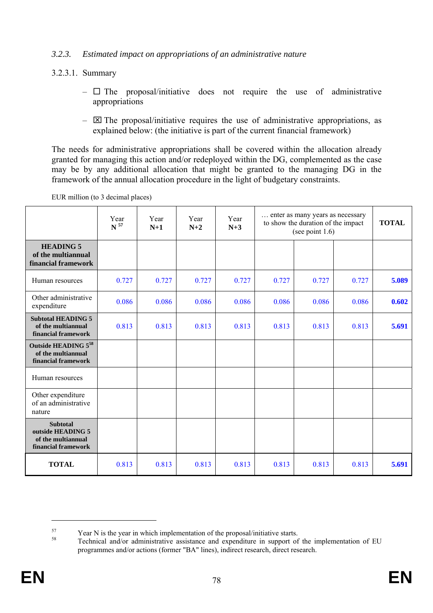# *3.2.3. Estimated impact on appropriations of an administrative nature*

- 3.2.3.1. Summary
	- $\Box$  The proposal/initiative does not require the use of administrative appropriations
	- $\boxtimes$  The proposal/initiative requires the use of administrative appropriations, as explained below: (the initiative is part of the current financial framework)

The needs for administrative appropriations shall be covered within the allocation already granted for managing this action and/or redeployed within the DG, complemented as the case may be by any additional allocation that might be granted to the managing DG in the framework of the annual allocation procedure in the light of budgetary constraints.

|                                                                                   | Year<br>$\,$ $\,$ $^{57}$ | Year<br>$N+1$ | Year<br>$N+2$ | Year<br>$N+3$ |       | enter as many years as necessary<br>to show the duration of the impact<br>(see point $1.6$ ) |       |       |  |  |  |
|-----------------------------------------------------------------------------------|---------------------------|---------------|---------------|---------------|-------|----------------------------------------------------------------------------------------------|-------|-------|--|--|--|
| <b>HEADING 5</b><br>of the multiannual<br>financial framework                     |                           |               |               |               |       |                                                                                              |       |       |  |  |  |
| Human resources                                                                   | 0.727                     | 0.727         | 0.727         | 0.727         | 0.727 | 0.727                                                                                        | 0.727 | 5.089 |  |  |  |
| Other administrative<br>expenditure                                               | 0.086                     | 0.086         | 0.086         | 0.086         | 0.086 | 0.086                                                                                        | 0.086 | 0.602 |  |  |  |
| <b>Subtotal HEADING 5</b><br>of the multiannual<br>financial framework            | 0.813                     | 0.813         | 0.813         | 0.813         | 0.813 | 0.813                                                                                        | 0.813 | 5.691 |  |  |  |
| Outside HEADING 558<br>of the multiannual<br>financial framework                  |                           |               |               |               |       |                                                                                              |       |       |  |  |  |
| Human resources                                                                   |                           |               |               |               |       |                                                                                              |       |       |  |  |  |
| Other expenditure<br>of an administrative<br>nature                               |                           |               |               |               |       |                                                                                              |       |       |  |  |  |
| <b>Subtotal</b><br>outside HEADING 5<br>of the multiannual<br>financial framework |                           |               |               |               |       |                                                                                              |       |       |  |  |  |
| <b>TOTAL</b>                                                                      | 0.813                     | 0.813         | 0.813         | 0.813         | 0.813 | 0.813                                                                                        | 0.813 | 5.691 |  |  |  |

EUR million (to 3 decimal places)

 $\overline{a}$ 

 $57$  Year N is the year in which implementation of the proposal/initiative starts.<br>  $58$  Technical and/or administrative assistance and expenditure in support of the implementation of EU programmes and/or actions (former "BA" lines), indirect research, direct research.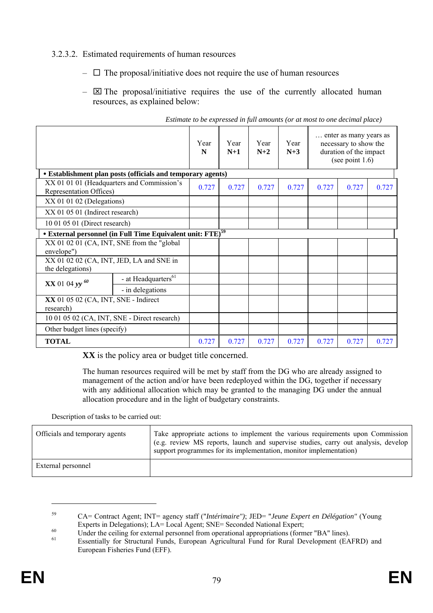# 3.2.3.2. Estimated requirements of human resources

- $\Box$  The proposal/initiative does not require the use of human resources
- $\boxtimes$  The proposal/initiative requires the use of the currently allocated human resources, as explained below:

|                                                              |                                                                               | Year<br>N | Year<br>$N+1$ | Year<br>$N+2$ | Year<br>$N+3$ |       | enter as many years as<br>necessary to show the<br>duration of the impact<br>(see point $1.6$ ) |       |
|--------------------------------------------------------------|-------------------------------------------------------------------------------|-----------|---------------|---------------|---------------|-------|-------------------------------------------------------------------------------------------------|-------|
|                                                              | • Establishment plan posts (officials and temporary agents)                   |           |               |               |               |       |                                                                                                 |       |
| Representation Offices)                                      | XX 01 01 01 (Headquarters and Commission's                                    | 0.727     | 0.727         | 0.727         | 0.727         | 0.727 | 0.727                                                                                           | 0.727 |
| $XX$ 01 01 02 (Delegations)                                  |                                                                               |           |               |               |               |       |                                                                                                 |       |
| XX 01 05 01 (Indirect research)                              |                                                                               |           |               |               |               |       |                                                                                                 |       |
| 10 01 05 01 (Direct research)                                |                                                                               |           |               |               |               |       |                                                                                                 |       |
|                                                              | <b>• External personnel (in Full Time Equivalent unit: FTE)</b> <sup>59</sup> |           |               |               |               |       |                                                                                                 |       |
| envelope")                                                   | XX 01 02 01 (CA, INT, SNE from the "global"                                   |           |               |               |               |       |                                                                                                 |       |
| XX 01 02 02 (CA, INT, JED, LA and SNE in<br>the delegations) |                                                                               |           |               |               |               |       |                                                                                                 |       |
| $XX$ 01 04 yy $^{60}$                                        | - at Headquarters <sup>61</sup>                                               |           |               |               |               |       |                                                                                                 |       |
|                                                              | - in delegations                                                              |           |               |               |               |       |                                                                                                 |       |
| XX 01 05 02 (CA, INT, SNE - Indirect<br>research)            |                                                                               |           |               |               |               |       |                                                                                                 |       |
| 10 01 05 02 (CA, INT, SNE - Direct research)                 |                                                                               |           |               |               |               |       |                                                                                                 |       |
| Other budget lines (specify)                                 |                                                                               |           |               |               |               |       |                                                                                                 |       |
| <b>TOTAL</b>                                                 |                                                                               | 0.727     | 0.727         | 0.727         | 0.727         | 0.727 | 0.727                                                                                           | 0.727 |

*Estimate to be expressed in full amounts (or at most to one decimal place)* 

**XX** is the policy area or budget title concerned.

The human resources required will be met by staff from the DG who are already assigned to management of the action and/or have been redeployed within the DG, together if necessary with any additional allocation which may be granted to the managing DG under the annual allocation procedure and in the light of budgetary constraints.

Description of tasks to be carried out:

| Officials and temporary agents | Take appropriate actions to implement the various requirements upon Commission<br>(e.g. review MS reports, launch and supervise studies, carry out analysis, develop<br>support programmes for its implementation, monitor implementation) |
|--------------------------------|--------------------------------------------------------------------------------------------------------------------------------------------------------------------------------------------------------------------------------------------|
| External personnel             |                                                                                                                                                                                                                                            |

 $\overline{a}$ 

<sup>59</sup> CA= Contract Agent; INT= agency staff ("*Intérimaire")*; JED= "*Jeune Expert en Délégation"* (Young

Experts in Delegations); LA= Local Agent; SNE= Seconded National Expert;<br>
Under the ceiling for external personnel from operational appropriations (former "BA" lines).<br>
Essentially for Structural Funds, European Agricultur European Fisheries Fund (EFF).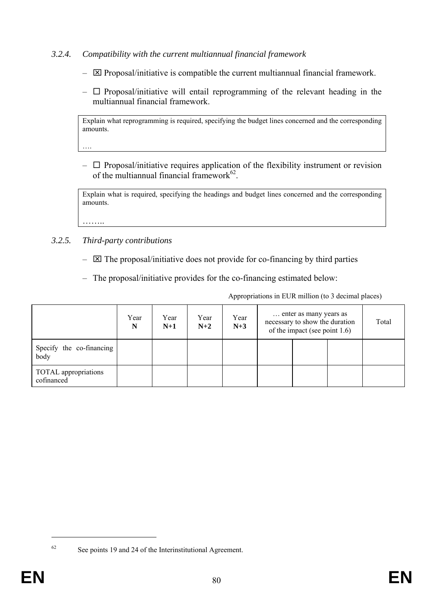- *3.2.4. Compatibility with the current multiannual financial framework* 
	- $\boxtimes$  Proposal/initiative is compatible the current multiannual financial framework.
	- $\Box$  Proposal/initiative will entail reprogramming of the relevant heading in the multiannual financial framework.

Explain what reprogramming is required, specifying the budget lines concerned and the corresponding amounts.

….

……..

 $\Box$  Proposal/initiative requires application of the flexibility instrument or revision of the multiannual financial framework $62$ .

Explain what is required, specifying the headings and budget lines concerned and the corresponding amounts.

*3.2.5. Third-party contributions* 

- $-\nabla$  The proposal/initiative does not provide for co-financing by third parties
- The proposal/initiative provides for the co-financing estimated below:

Appropriations in EUR million (to 3 decimal places)

|                                    | Year<br>N | Year<br>$N+1$ | Year<br>$N+2$ | Year<br>$N+3$ | enter as many years as<br>necessary to show the duration<br>of the impact (see point $1.6$ ) |  |  | Total |
|------------------------------------|-----------|---------------|---------------|---------------|----------------------------------------------------------------------------------------------|--|--|-------|
| Specify the co-financing<br>body   |           |               |               |               |                                                                                              |  |  |       |
| TOTAL appropriations<br>cofinanced |           |               |               |               |                                                                                              |  |  |       |

<sup>1</sup> 

<sup>62</sup> See points 19 and 24 of the Interinstitutional Agreement.